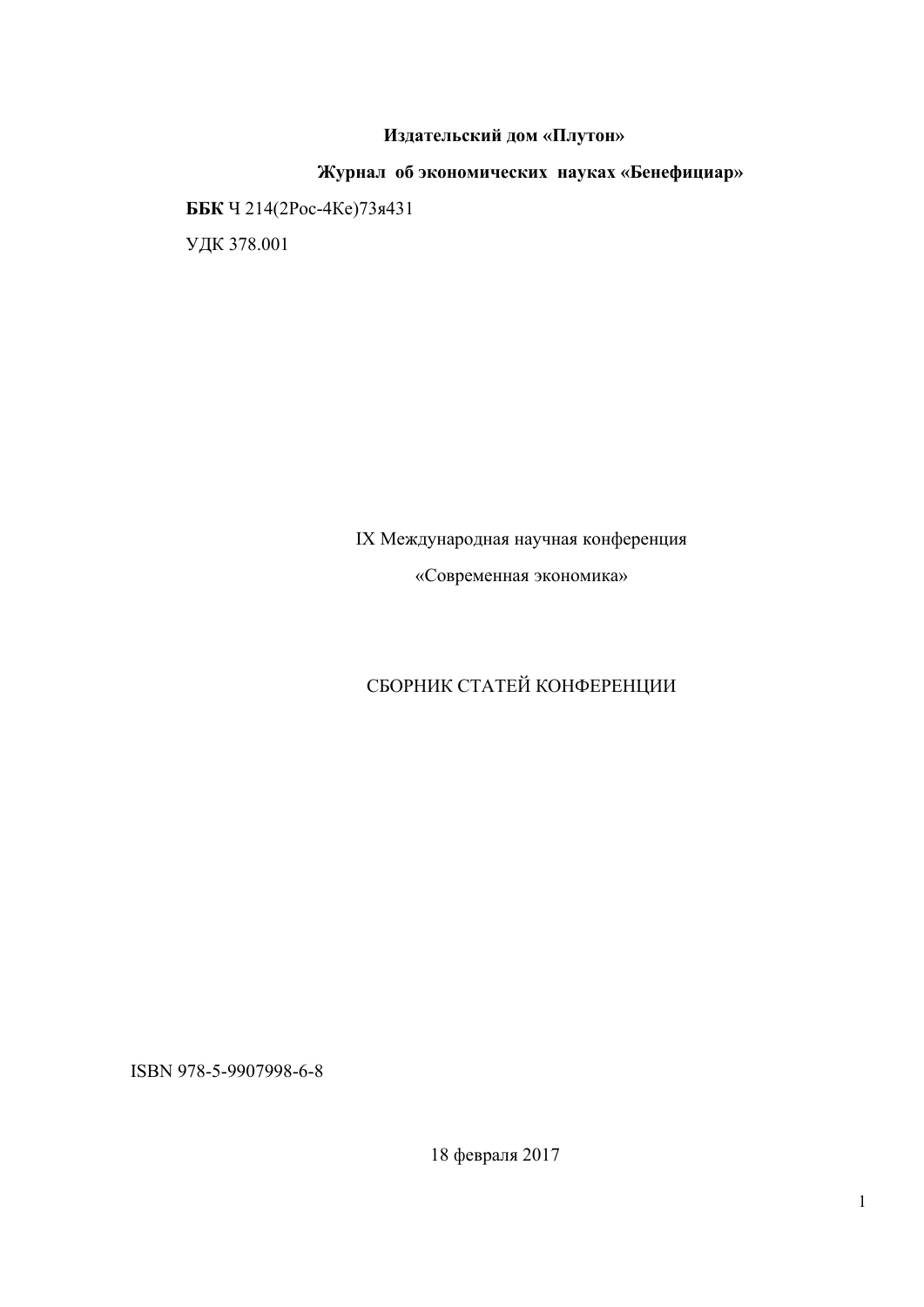# **Издательский дом «Плутон»**

**Журнал об экономических науках «Бенефициар» ББК** Ч 214(2Рос-4Ке)73я431 УДК 378.001

# IX Международная научная конференция

«Современная экономика»

# СБОРНИК СТАТЕЙ КОНФЕРЕНЦИИ

ISBN 978-5-9907998-6-8

18 февраля 2017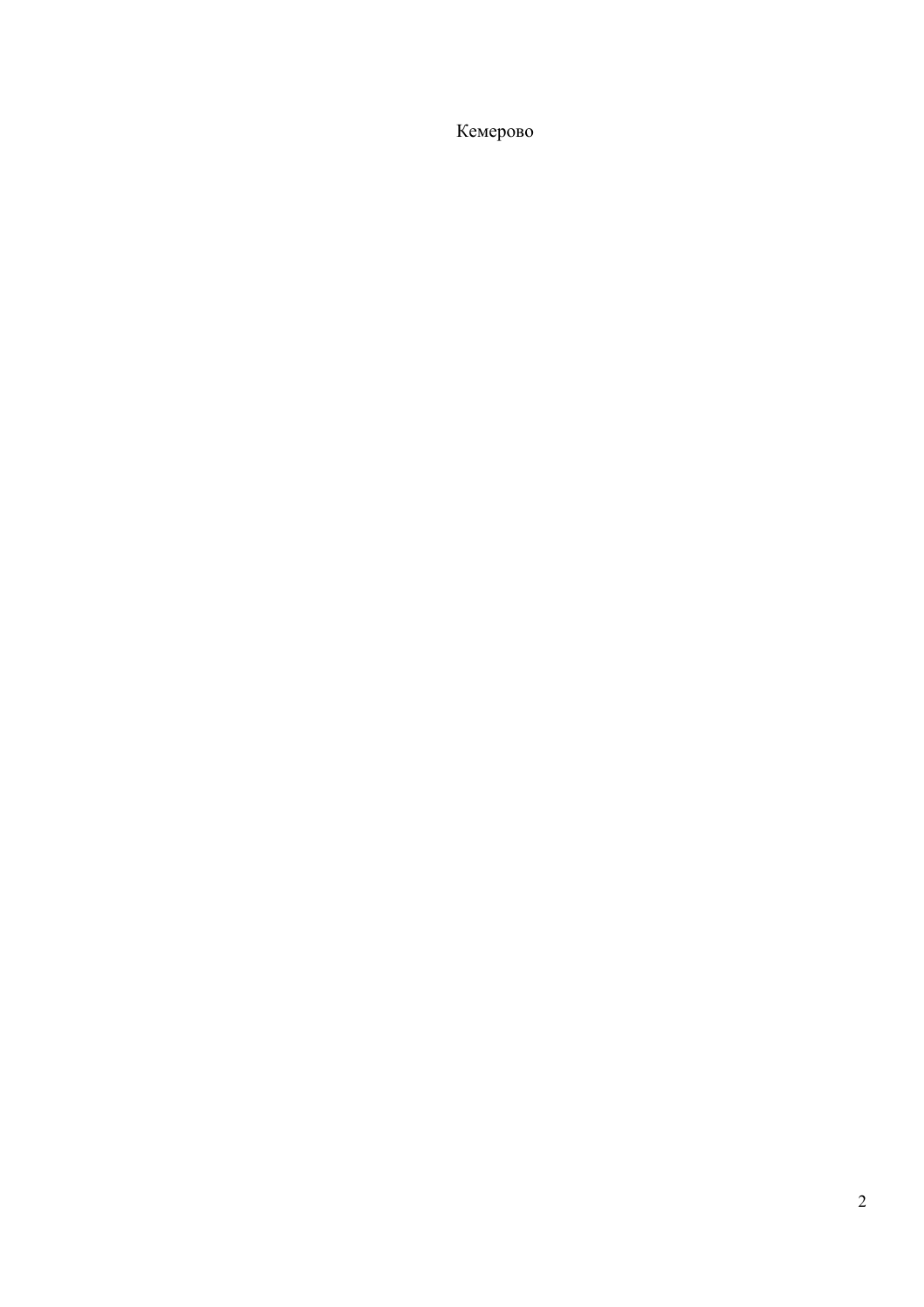Кемерово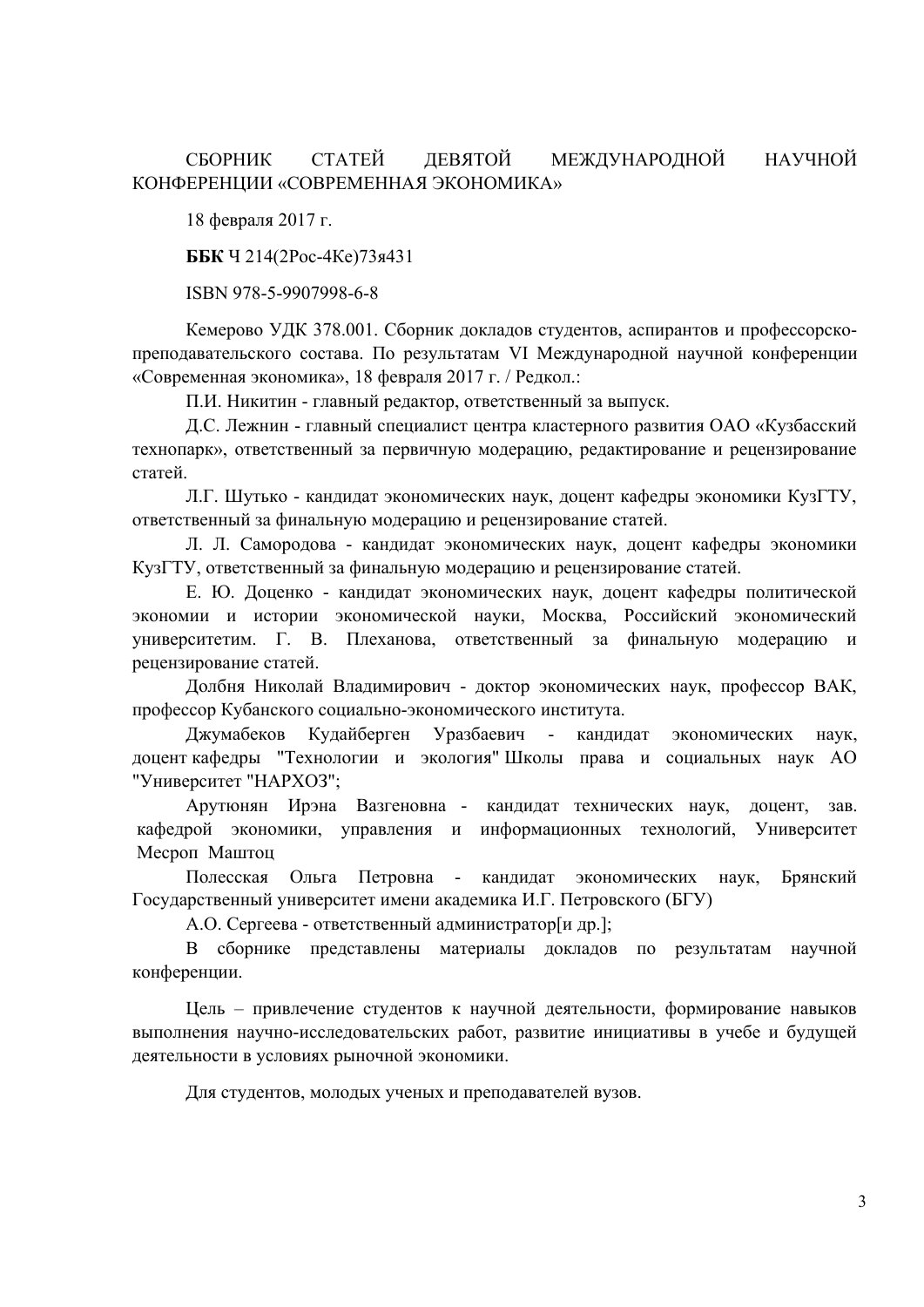# СБОРНИК СТАТЕЙ ДЕВЯТОЙ МЕЖДУНАРОДНОЙ НАУЧНОЙ КОНФЕРЕНЦИИ «СОВРЕМЕННАЯ ЭКОНОМИКА»

18 февраля 2017 г.

**ББК** Ч 214(2Рос-4Ке)73я431

ISBN 978-5-9907998-6-8

Кемерово УДК 378.001. Сборник докладов студентов, аспирантов и профессорскопреподавательского состава. По результатам VI Международной научной конференции «Современная экономика», 18 февраля 2017 г. / Редкол.:

П.И. Никитин - главный редактор, ответственный за выпуск.

Д.С. Лежнин - главный специалист центра кластерного развития ОАО «Кузбасский технопарк», ответственный за первичную модерацию, редактирование и рецензирование статей.

Л.Г. Шутько - кандидат экономических наук, доцент кафедры экономики КузГТУ, ответственный за финальную модерацию и рецензирование статей.

Л. Л. Самородова - кандидат экономических наук, доцент кафедры экономики КузГТУ, ответственный за финальную модерацию и рецензирование статей.

Е. Ю. Доценко - кандидат экономических наук, доцент кафедры политической экономии и истории экономической науки, Москва, Российский экономический университетим. Г. В. Плеханова, ответственный за финальную модерацию и рецензирование статей.

Долбня Николай Владимирович - доктор экономических наук, профессор ВАК, профессор Кубанского социально-экономического института.

Джумабеков Кудайберген Уразбаевич - кандидат экономических наук, доцент кафедры "Технологии и экология" Школы права и социальных наук АО "Университет "НАРХОЗ";

Арутюнян Ирэна Вазгеновна - кандидат технических наук, доцент, зав. кафедрой экономики, управления и информационных технологий, Университет Месроп Маштоц

Полесская Ольга Петровна - кандидат экономических наук, Брянский Государственный университет имени академика И.Г. Петровского (БГУ)

А.О. Сергеева - ответственный администратор[и др.];

В сборнике представлены материалы докладов по результатам научной конференции.

Цель – привлечение студентов к научной деятельности, формирование навыков выполнения научно-исследовательских работ, развитие инициативы в учебе и будущей деятельности в условиях рыночной экономики.

Для студентов, молодых ученых и преподавателей вузов.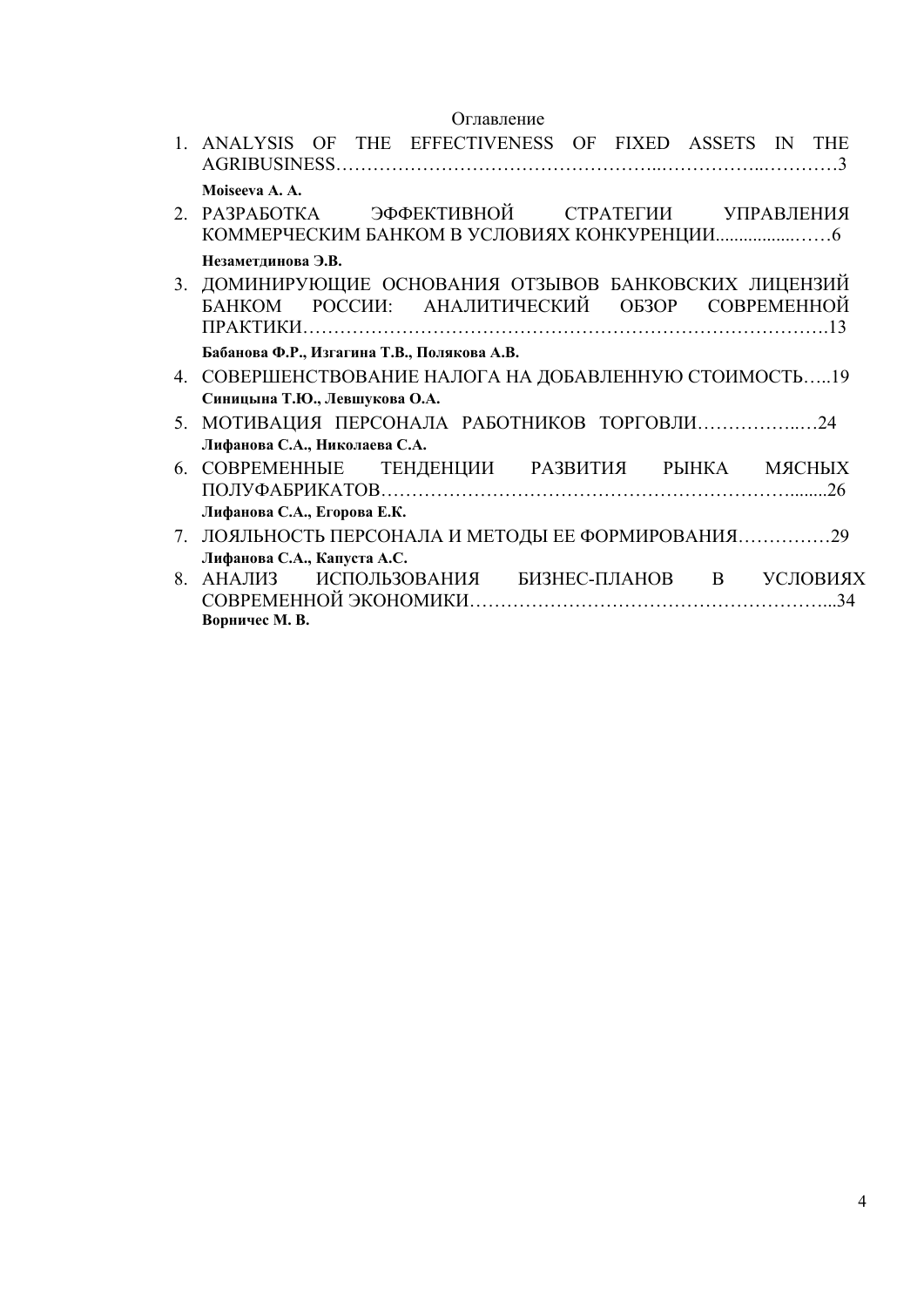# Оглавление

|    | 1. ANALYSIS OF THE EFFECTIVENESS OF FIXED ASSETS IN THE                                                 |
|----|---------------------------------------------------------------------------------------------------------|
|    | Moiseeva A. A.                                                                                          |
|    | 2. РАЗРАБОТКА — ЭФФЕКТИВНОЙ — СТРАТЕГИИ — УПРАВЛЕНИЯ                                                    |
|    | Незаметдинова Э.В.                                                                                      |
|    | 3. ДОМИНИРУЮЩИЕ ОСНОВАНИЯ ОТЗЫВОВ БАНКОВСКИХ ЛИЦЕНЗИЙ<br>БАНКОМ РОССИИ: АНАЛИТИЧЕСКИЙ ОБЗОР СОВРЕМЕННОЙ |
|    | Бабанова Ф.Р., Изгагина Т.В., Полякова А.В.                                                             |
| 4  | СОВЕРШЕНСТВОВАНИЕ НАЛОГА НА ДОБАВЛЕННУЮ СТОИМОСТЬ19                                                     |
|    | Синицына Т.Ю., Левшукова О.А.                                                                           |
| 5. | МОТИВАЦИЯ ПЕРСОНАЛА РАБОТНИКОВ ТОРГОВЛИ24                                                               |
|    | Лифанова С.А., Николаева С.А.                                                                           |
| 6. | СОВРЕМЕННЫЕ ТЕНДЕНЦИИ РАЗВИТИЯ РЫНКА МЯСНЫХ                                                             |
|    | Лифанова С.А., Егорова Е.К.                                                                             |
| 7. |                                                                                                         |
|    | Лифанова С.А., Капуста А.С.                                                                             |
| 8. | АНАЛИЗ ИСПОЛЬЗОВАНИЯ БИЗНЕС-ПЛАНОВ В УСЛОВИЯХ                                                           |
|    | Ворничес М. В.                                                                                          |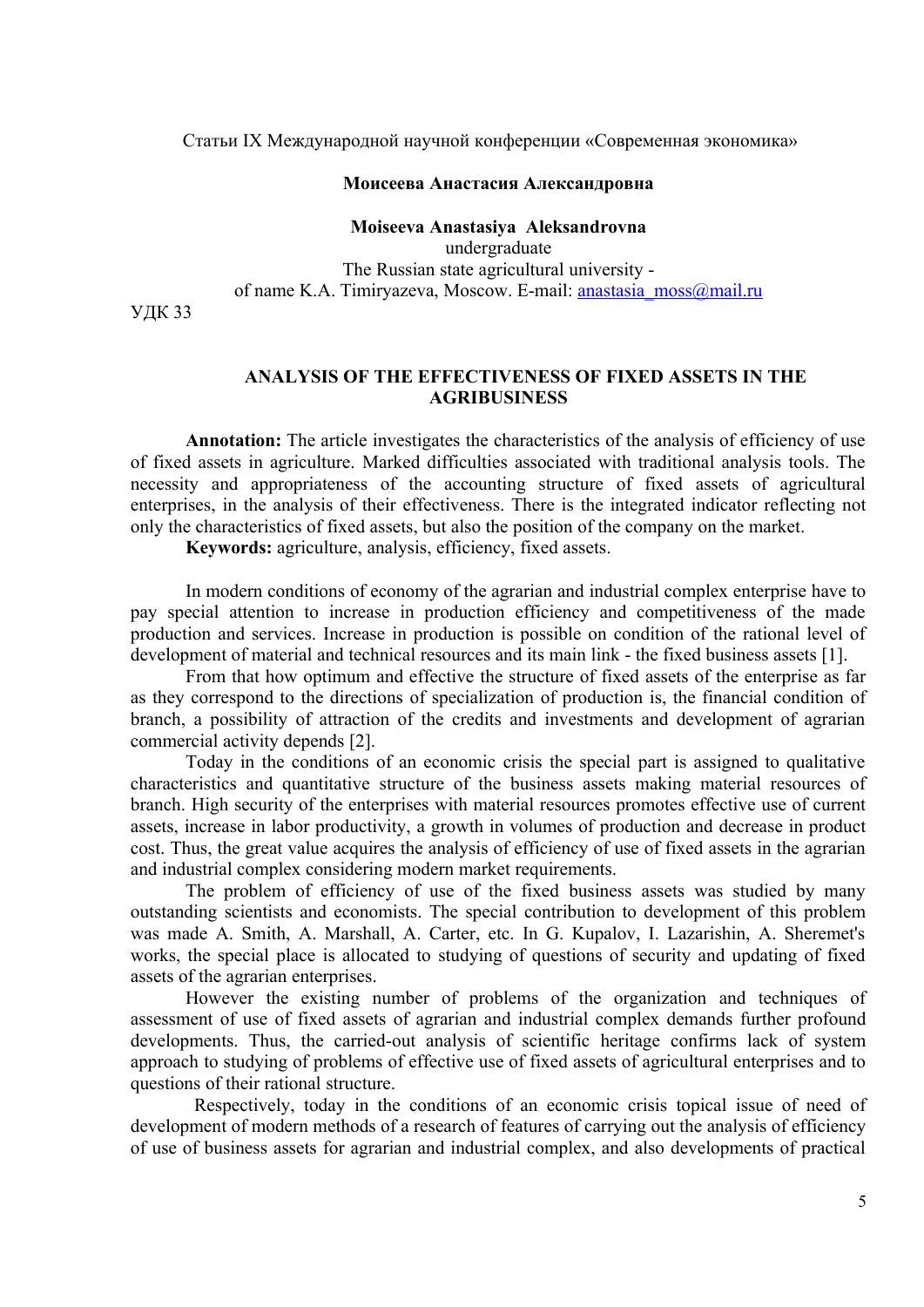Статьи IX Международной научной конференции «Современная экономика»

#### **Моисеева Анастасия Александровна**

**Moiseeva Anastasiya Aleksandrovna**  undergraduate The Russian state agricultural university of name K.A. Timiryazeva, Moscow. E-mail: [anastasia\\_moss@mail.ru](mailto:anastasia_moss@mail.ru)

УДК 33

#### **ANALYSIS OF THE EFFECTIVENESS OF FIXED ASSETS IN THE AGRIBUSINESS**

**Annotation:** The article investigates the characteristics of the analysis of efficiency of use of fixed assets in agriculture. Marked difficulties associated with traditional analysis tools. The necessity and appropriateness of the accounting structure of fixed assets of agricultural enterprises, in the analysis of their effectiveness. There is the integrated indicator reflecting not only the characteristics of fixed assets, but also the position of the company on the market.

**Keywords:** agriculture, analysis, efficiency, fixed assets.

In modern conditions of economy of the agrarian and industrial complex enterprise have to pay special attention to increase in production efficiency and competitiveness of the made production and services. Increase in production is possible on condition of the rational level of development of material and technical resources and its main link - the fixed business assets [1].

From that how optimum and effective the structure of fixed assets of the enterprise as far as they correspond to the directions of specialization of production is, the financial condition of branch, a possibility of attraction of the credits and investments and development of agrarian commercial activity depends [2].

Today in the conditions of an economic crisis the special part is assigned to qualitative characteristics and quantitative structure of the business assets making material resources of branch. High security of the enterprises with material resources promotes effective use of current assets, increase in labor productivity, a growth in volumes of production and decrease in product cost. Thus, the great value acquires the analysis of efficiency of use of fixed assets in the agrarian and industrial complex considering modern market requirements.

The problem of efficiency of use of the fixed business assets was studied by many outstanding scientists and economists. The special contribution to development of this problem was made A. Smith, A. Marshall, A. Carter, etc. In G. Kupalov, I. Lazarishin, A. Sheremet's works, the special place is allocated to studying of questions of security and updating of fixed assets of the agrarian enterprises.

However the existing number of problems of the organization and techniques of assessment of use of fixed assets of agrarian and industrial complex demands further profound developments. Thus, the carried-out analysis of scientific heritage confirms lack of system approach to studying of problems of effective use of fixed assets of agricultural enterprises and to questions of their rational structure.

 Respectively, today in the conditions of an economic crisis topical issue of need of development of modern methods of a research of features of carrying out the analysis of efficiency of use of business assets for agrarian and industrial complex, and also developments of practical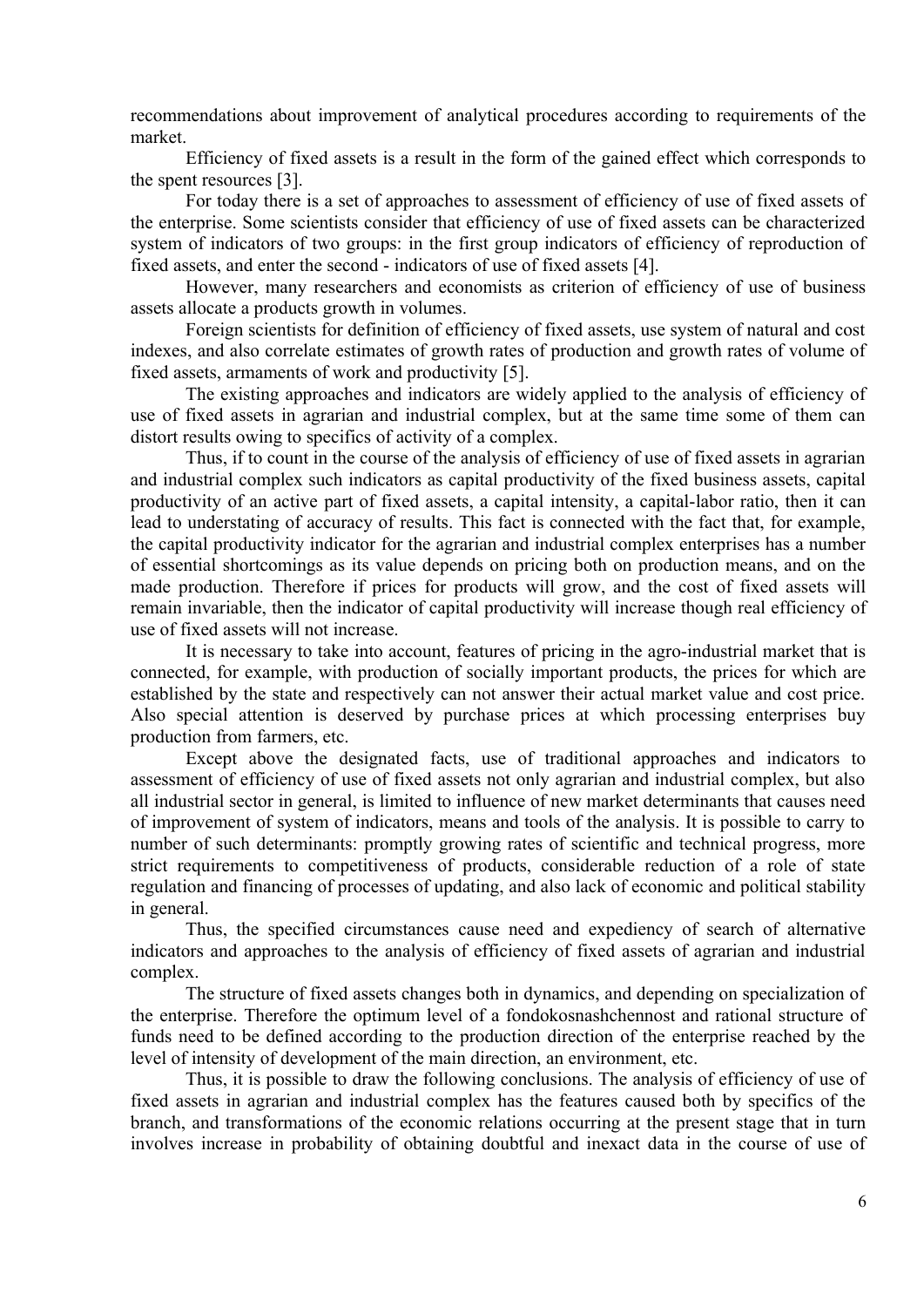recommendations about improvement of analytical procedures according to requirements of the market.

Efficiency of fixed assets is a result in the form of the gained effect which corresponds to the spent resources [3].

For today there is a set of approaches to assessment of efficiency of use of fixed assets of the enterprise. Some scientists consider that efficiency of use of fixed assets can be characterized system of indicators of two groups: in the first group indicators of efficiency of reproduction of fixed assets, and enter the second - indicators of use of fixed assets [4].

However, many researchers and economists as criterion of efficiency of use of business assets allocate a products growth in volumes.

Foreign scientists for definition of efficiency of fixed assets, use system of natural and cost indexes, and also correlate estimates of growth rates of production and growth rates of volume of fixed assets, armaments of work and productivity [5].

The existing approaches and indicators are widely applied to the analysis of efficiency of use of fixed assets in agrarian and industrial complex, but at the same time some of them can distort results owing to specifics of activity of a complex.

Thus, if to count in the course of the analysis of efficiency of use of fixed assets in agrarian and industrial complex such indicators as capital productivity of the fixed business assets, capital productivity of an active part of fixed assets, a capital intensity, a capital-labor ratio, then it can lead to understating of accuracy of results. This fact is connected with the fact that, for example, the capital productivity indicator for the agrarian and industrial complex enterprises has a number of essential shortcomings as its value depends on pricing both on production means, and on the made production. Therefore if prices for products will grow, and the cost of fixed assets will remain invariable, then the indicator of capital productivity will increase though real efficiency of use of fixed assets will not increase.

It is necessary to take into account, features of pricing in the agro-industrial market that is connected, for example, with production of socially important products, the prices for which are established by the state and respectively can not answer their actual market value and cost price. Also special attention is deserved by purchase prices at which processing enterprises buy production from farmers, etc.

Except above the designated facts, use of traditional approaches and indicators to assessment of efficiency of use of fixed assets not only agrarian and industrial complex, but also all industrial sector in general, is limited to influence of new market determinants that causes need of improvement of system of indicators, means and tools of the analysis. It is possible to carry to number of such determinants: promptly growing rates of scientific and technical progress, more strict requirements to competitiveness of products, considerable reduction of a role of state regulation and financing of processes of updating, and also lack of economic and political stability in general.

Thus, the specified circumstances cause need and expediency of search of alternative indicators and approaches to the analysis of efficiency of fixed assets of agrarian and industrial complex.

The structure of fixed assets changes both in dynamics, and depending on specialization of the enterprise. Therefore the optimum level of a fondokosnashchennost and rational structure of funds need to be defined according to the production direction of the enterprise reached by the level of intensity of development of the main direction, an environment, etc.

Thus, it is possible to draw the following conclusions. The analysis of efficiency of use of fixed assets in agrarian and industrial complex has the features caused both by specifics of the branch, and transformations of the economic relations occurring at the present stage that in turn involves increase in probability of obtaining doubtful and inexact data in the course of use of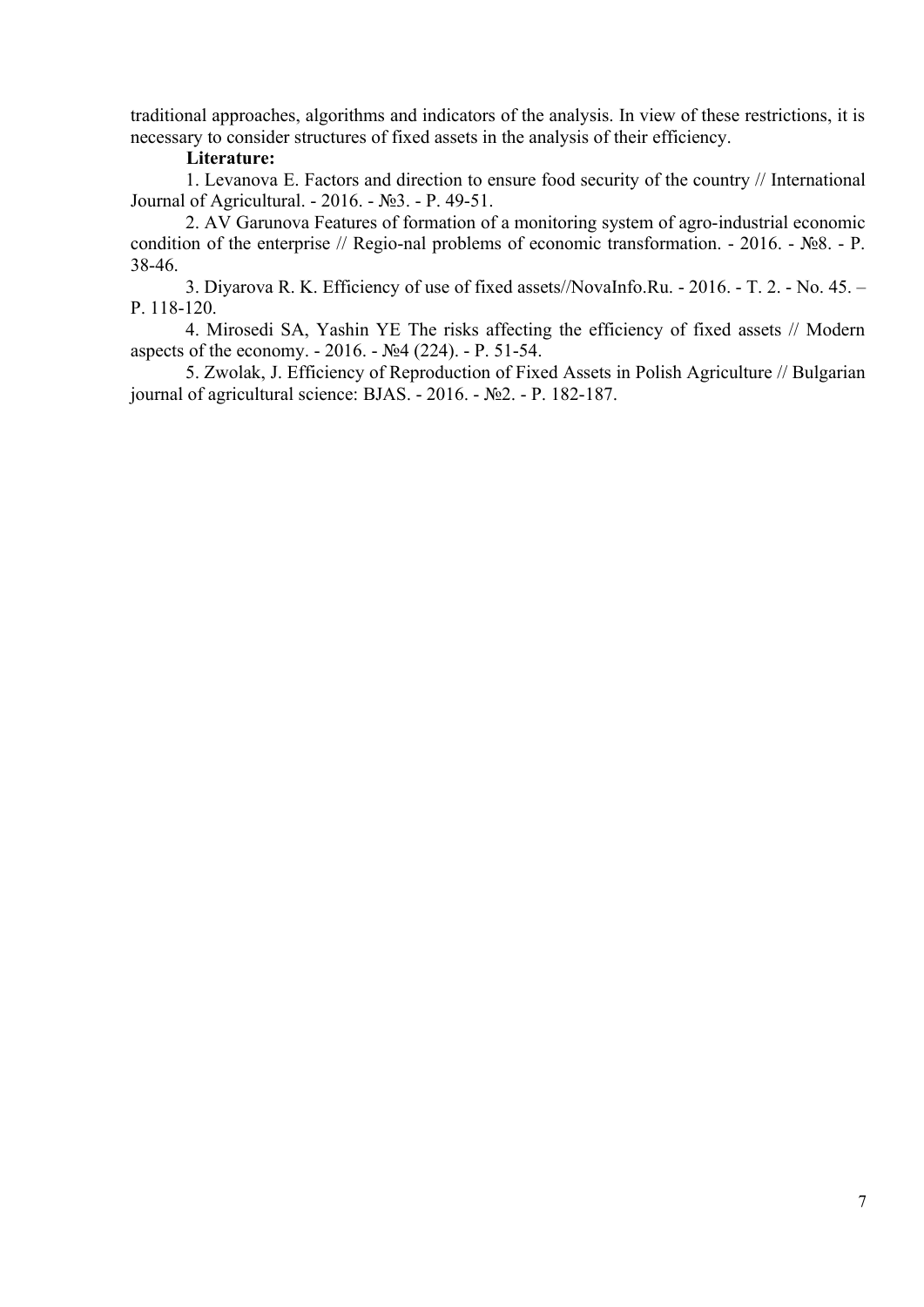traditional approaches, algorithms and indicators of the analysis. In view of these restrictions, it is necessary to consider structures of fixed assets in the analysis of their efficiency.

### **Literature:**

1. Levanova E. Factors and direction to ensure food security of the country // International Journal of Agricultural. - 2016. - №3. - Р. 49-51.

2. AV Garunova Features of formation of a monitoring system of agro-industrial economic condition of the enterprise // Regio-nal problems of economic transformation. - 2016. - №8. - Р. 38-46.

3. Diyarova R. K. Efficiency of use of fixed assets//NovaInfo.Ru. - 2016. - T. 2. - No. 45. – Р. 118-120.

4. Mirosedi SA, Yashin YE The risks affecting the efficiency of fixed assets // Modern aspects of the economy. - 2016. - №4 (224). - Р. 51-54.

5. Zwolak, J. Efficiency of Reproduction of Fixed Assets in Polish Agriculture // Bulgarian journal of agricultural science: BJAS. - 2016. - №2. - P. 182-187.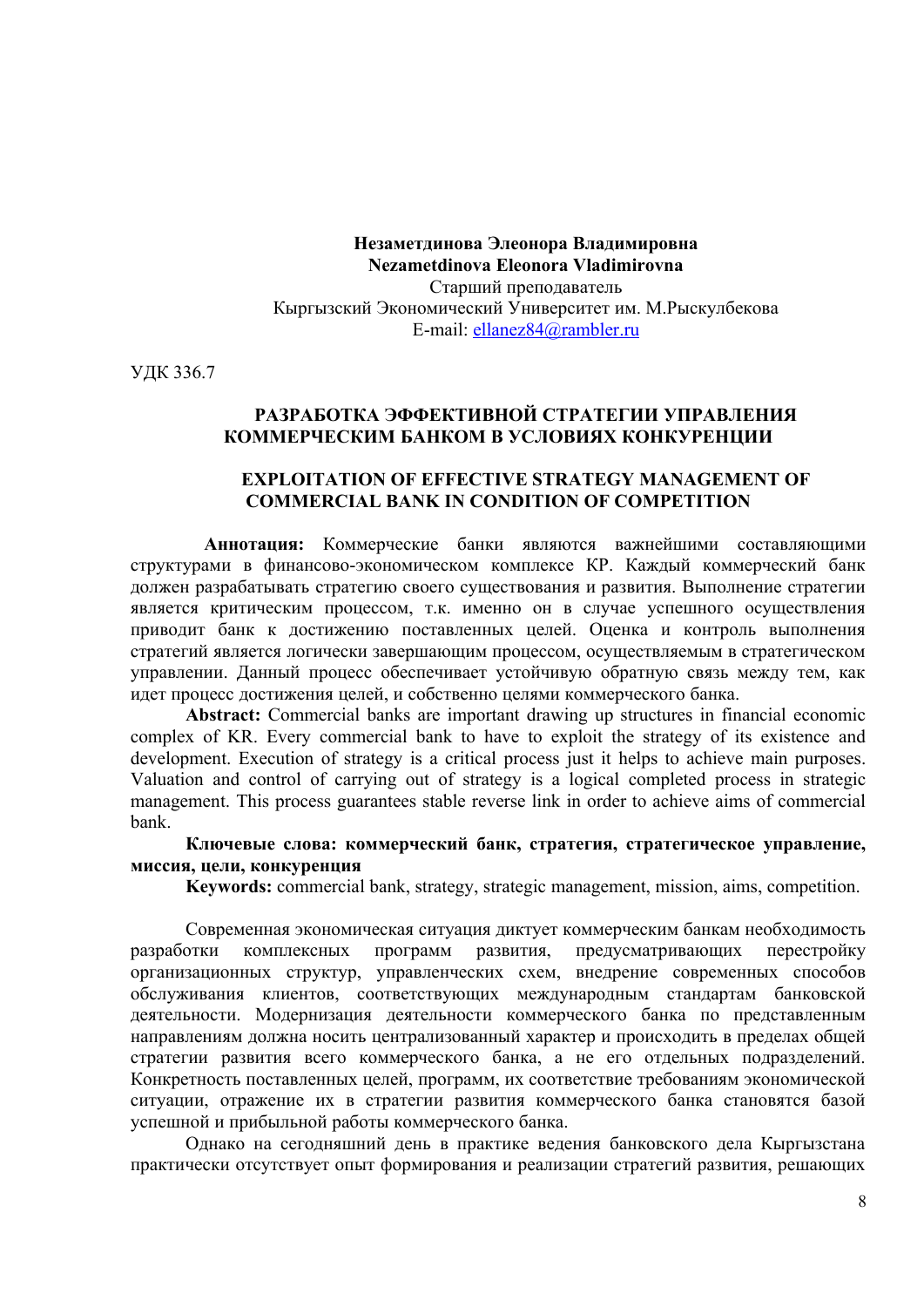**Незаметдинова Элеонора Владимировна Nezametdinova Eleonora Vladimirovna** Старший преподаватель Кыргызский Экономический Университет им. М.Рыскулбекова E-mail: ellanez84@rambler.ru

УДК 336.7

# **РАЗРАБОТКА ЭФФЕКТИВНОЙ СТРАТЕГИИ УПРАВЛЕНИЯ КОММЕРЧЕСКИМ БАНКОМ В УСЛОВИЯХ КОНКУРЕНЦИИ**

#### **EXPLOITATION OF EFFECTIVE STRATEGY MANAGEMENT OF COMMERCIAL BANK IN CONDITION OF COMPETITION**

**Аннотация:** Коммерческие банки являются важнейшими составляющими структурами в финансово-экономическом комплексе КР. Каждый коммерческий банк должен разрабатывать стратегию своего существования и развития. Выполнение стратегии является критическим процессом, т.к. именно он в случае успешного осуществления приводит банк к достижению поставленных целей. Оценка и контроль выполнения стратегий является логически завершающим процессом, осуществляемым в стратегическом управлении. Данный процесс обеспечивает устойчивую обратную связь между тем, как идет процесс достижения целей, и собственно целями коммерческого банка.

**Abstract:** Commercial banks are important drawing up structures in financial economic complex of KR. Every commercial bank to have to exploit the strategy of its existence and development. Execution of strategy is a critical process just it helps to achieve main purposes. Valuation and control of carrying out of strategy is a logical completed process in strategic management. This process guarantees stable reverse link in order to achieve aims of commercial bank.

**Ключевые слова: коммерческий банк, стратегия, стратегическое управление, миссия, цели, конкуренция**

**Keywords:** commercial bank, strategy, strategic management, mission, aims, competition.

Современная экономическая ситуация диктует коммерческим банкам необходимость разработки комплексных программ развития, предусматривающих перестройку организационных структур, управленческих схем, внедрение современных способов обслуживания клиентов, соответствующих международным стандартам банковской деятельности. Модернизация деятельности коммерческого банка по представленным направлениям должна носить централизованный характер и происходить в пределах общей стратегии развития всего коммерческого банка, а не его отдельных подразделений. Конкретность поставленных целей, программ, их соответствие требованиям экономической ситуации, отражение их в стратегии развития коммерческого банка становятся базой успешной и прибыльной работы коммерческого банка.

Однако на сегодняшний день в практике ведения банковского дела Кыргызстана практически отсутствует опыт формирования и реализации стратегий развития, решающих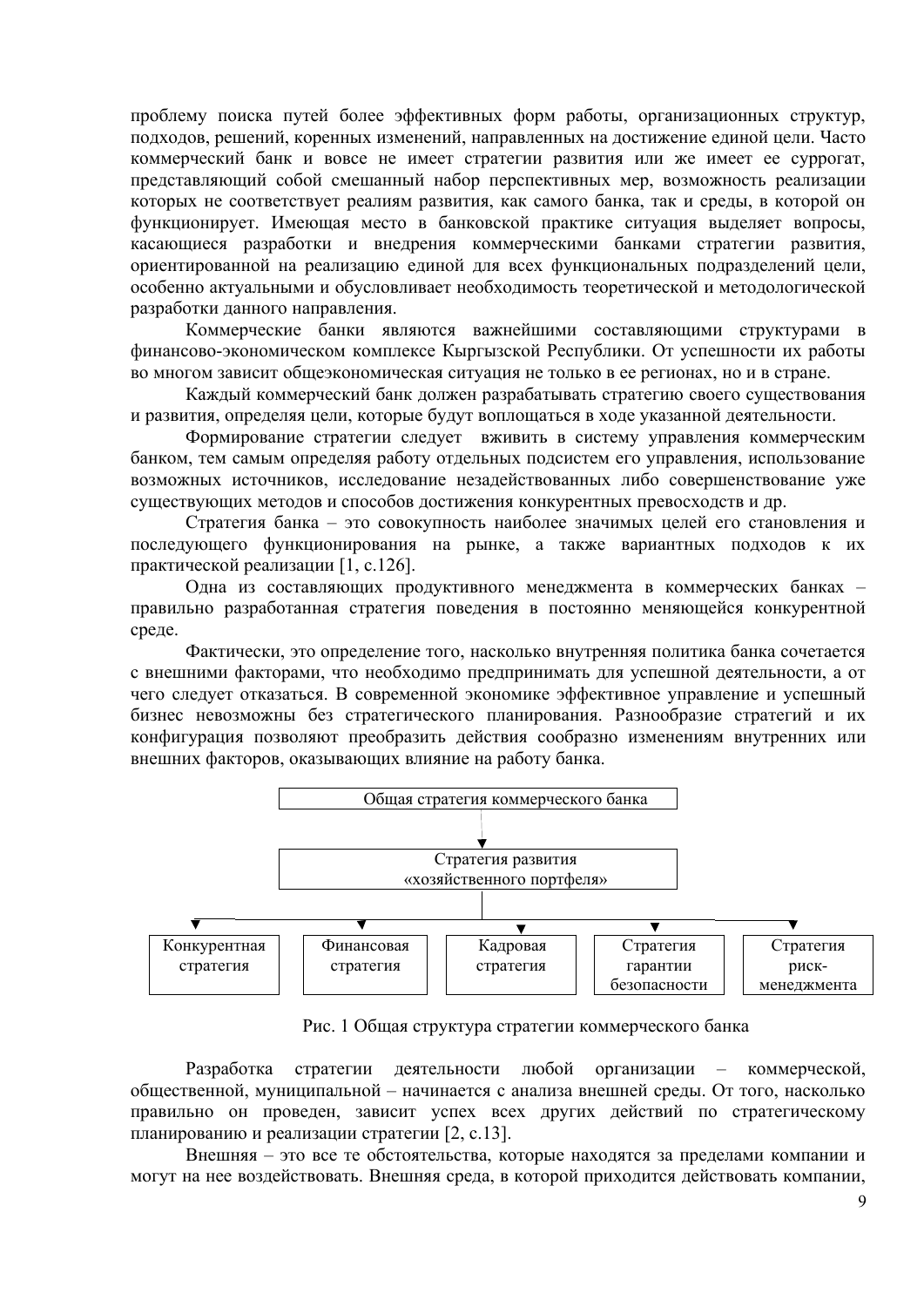проблему поиска путей более эффективных форм работы, организационных структур, подходов, решений, коренных изменений, направленных на достижение единой цели. Часто коммерческий банк и вовсе не имеет стратегии развития или же имеет ее суррогат, представляющий собой смешанный набор перспективных мер, возможность реализации которых не соответствует реалиям развития, как самого банка, так и среды, в которой он функционирует. Имеющая место в банковской практике ситуация выделяет вопросы, касающиеся разработки и внедрения коммерческими банками стратегии развития, ориентированной на реализацию единой для всех функциональных подразделений цели, особенно актуальными и обусловливает необходимость теоретической и методологической разработки данного направления.

Коммерческие банки являются важнейшими составляющими структурами в финансово-экономическом комплексе Кыргызской Республики. От успешности их работы во многом зависит общеэкономическая ситуация не только в ее регионах, но и в стране.

Каждый коммерческий банк должен разрабатывать стратегию своего существования и развития, определяя цели, которые будут воплощаться в ходе указанной деятельности.

Формирование стратегии следует вживить в систему управления коммерческим банком, тем самым определяя работу отдельных подсистем его управления, использование возможных источников, исследование незадействованных либо совершенствование уже существующих методов и способов достижения конкурентных превосходств и др.

Стратегия банка - это совокупность наиболее значимых целей его становления и последующего функционирования на рынке, а также вариантных подходов к их практической реализации [1, с.126].

Одна из составляющих продуктивного менеджмента в коммерческих банках правильно разработанная стратегия поведения в постоянно меняющейся конкурентной среде.

Фактически, это определение того, насколько внутренняя политика банка сочетается с внешними факторами, что необходимо предпринимать для успешной деятельности, а от чего следует отказаться. В современной экономике эффективное управление и успешный бизнес невозможны без стратегического планирования. Разнообразие стратегий и их конфигурация позволяют преобразить действия сообразно изменениям внутренних или внешних факторов, оказывающих влияние на работу банка.



Рис. 1 Общая структура стратегии коммерческого банка

Разработка стратегии деятельности любой организации - коммерческой, общественной, муниципальной - начинается с анализа внешней среды. От того, насколько правильно он проведен, зависит успех всех других действий по стратегическому планированию и реализации стратегии [2, с.13].

Внешняя - это все те обстоятельства, которые находятся за пределами компании и могут на нее воздействовать. Внешняя среда, в которой приходится действовать компании,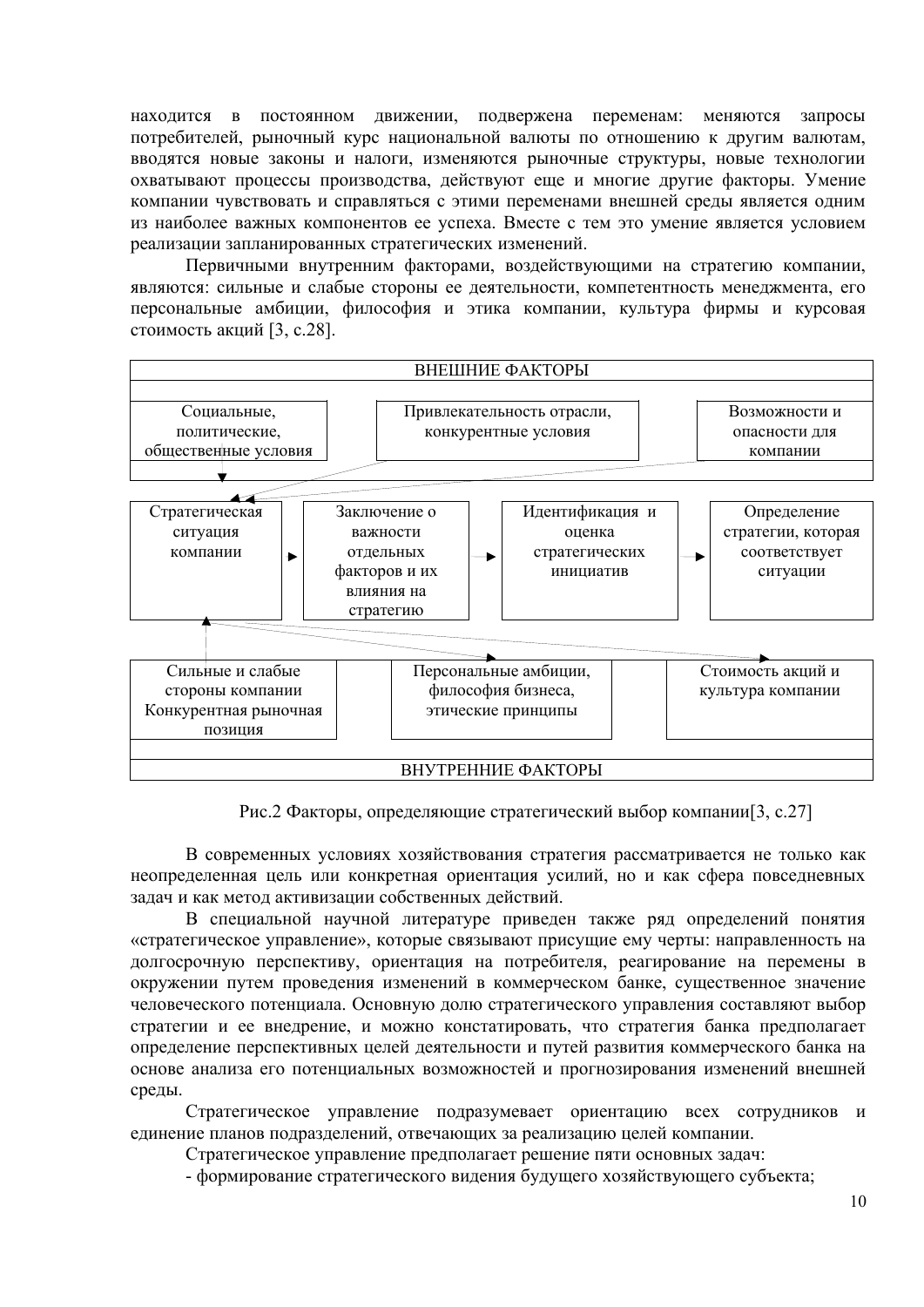находится в постоянном движении. полвержена переменам: меняются запросы потребителей, рыночный курс национальной валюты по отношению к другим валютам, вводятся новые законы и налоги, изменяются рыночные структуры, новые технологии охватывают процессы производства, действуют еще и многие другие факторы. Умение компании чувствовать и справляться с этими переменами внешней среды является одним из наиболее важных компонентов ее успеха. Вместе с тем это умение является условием реализации запланированных стратегических изменений.

Первичными внутренним факторами, воздействующими на стратегию компании, являются: сильные и слабые стороны ее деятельности, компетентность менеджмента, его персональные амбиции, философия и этика компании, культура фирмы и курсовая стоимость акций [3, с.28].



Рис.2 Факторы, определяющие стратегический выбор компании[3, с.27]

В современных условиях хозяйствования стратегия рассматривается не только как неопределенная цель или конкретная ориентация усилий, но и как сфера повседневных задач и как метод активизации собственных действий.

В специальной научной литературе приведен также ряд определений понятия «стратегическое управление», которые связывают присущие ему черты: направленность на долгосрочную перспективу, ориентация на потребителя, реагирование на перемены в окружении путем проведения изменений в коммерческом банке, существенное значение человеческого потенциала. Основную долю стратегического управления составляют выбор стратегии и ее внедрение, и можно констатировать, что стратегия банка предполагает определение перспективных целей деятельности и путей развития коммерческого банка на основе анализа его потенциальных возможностей и прогнозирования изменений внешней среды.

Стратегическое управление подразумевает ориентацию всех сотрудников и единение планов подразделений, отвечающих за реализацию целей компании.

Стратегическое управление предполагает решение пяти основных задач:

- формирование стратегического видения будущего хозяйствующего субъекта;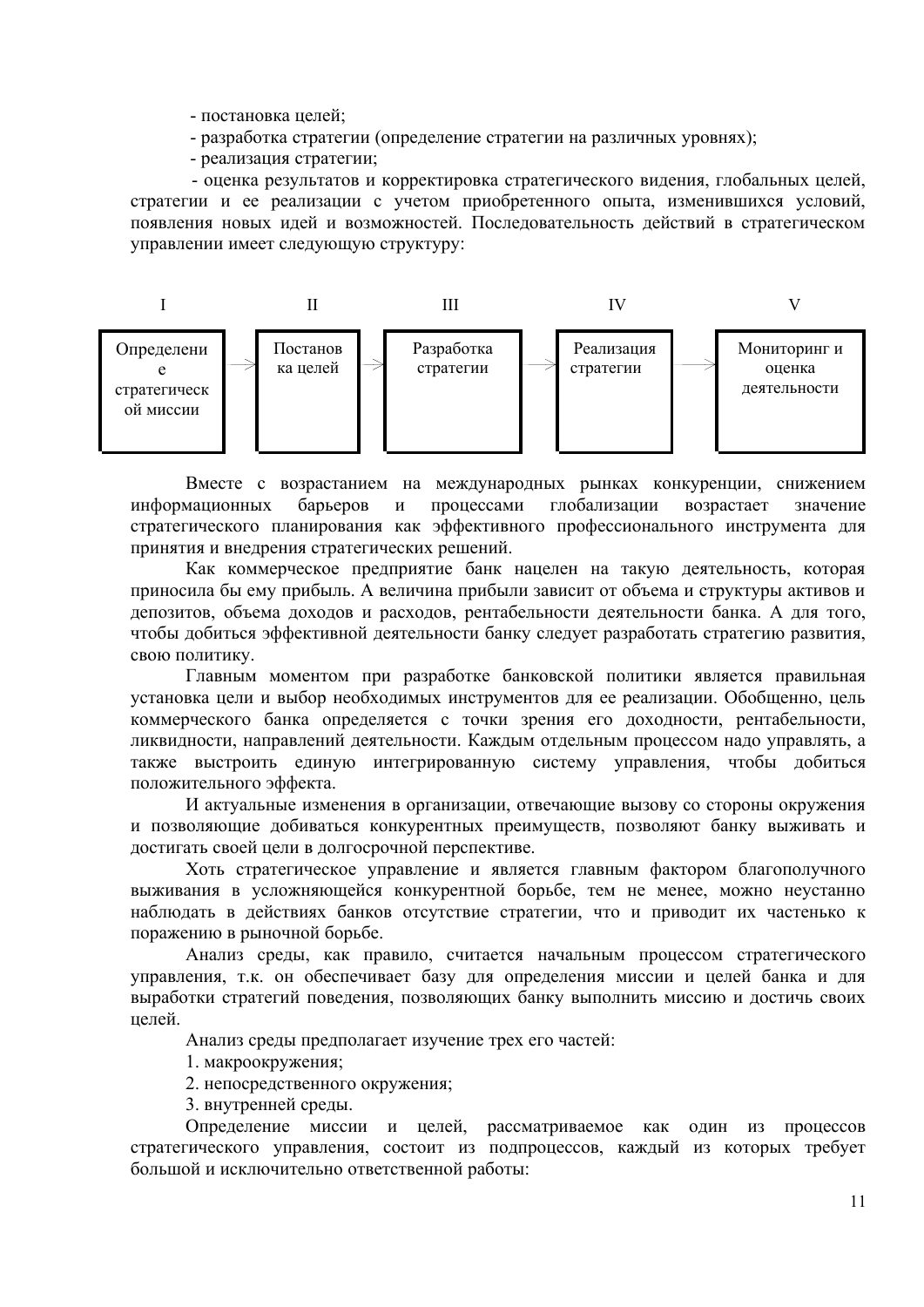- постановка целей;

- разработка стратегии (определение стратегии на различных уровнях);
- реализация стратегии;

 - оценка результатов и корректировка стратегического видения, глобальных целей, стратегии и ее реализации с учетом приобретенного опыта, изменившихся условий, появления новых идей и возможностей. Последовательность действий в стратегическом управлении имеет следующую структуру:



Вместе с возрастанием на международных рынках конкуренции, снижением информационных барьеров и процессами глобализации возрастает значение стратегического планирования как эффективного профессионального инструмента для принятия и внедрения стратегических решений.

Как коммерческое предприятие банк нацелен на такую деятельность, которая приносила бы ему прибыль. А величина прибыли зависит от объема и структуры активов и депозитов, объема доходов и расходов, рентабельности деятельности банка. А для того, чтобы добиться эффективной деятельности банку следует разработать стратегию развития, свою политику.

Главным моментом при разработке банковской политики является правильная установка цели и выбор необходимых инструментов для ее реализации. Обобщенно, цель коммерческого банка определяется с точки зрения его доходности, рентабельности, ликвидности, направлений деятельности. Каждым отдельным процессом надо управлять, а также выстроить единую интегрированную систему управления, чтобы добиться положительного эффекта.

И актуальные изменения в организации, отвечающие вызову со стороны окружения и позволяющие добиваться конкурентных преимуществ, позволяют банку выживать и достигать своей цели в долгосрочной перспективе.

Хоть стратегическое управление и является главным фактором благополучного выживания в усложняющейся конкурентной борьбе, тем не менее, можно неустанно наблюдать в действиях банков отсутствие стратегии, что и приводит их частенько к поражению в рыночной борьбе.

Анализ среды, как правило, считается начальным процессом стратегического управления, т.к. он обеспечивает базу для определения миссии и целей банка и для выработки стратегий поведения, позволяющих банку выполнить миссию и достичь своих целей.

Анализ среды предполагает изучение трех его частей:

- 1. макроокружения;
- 2. непосредственного окружения;
- 3. внутренней среды.

Определение миссии и целей, рассматриваемое как один из процессов стратегического управления, состоит из подпроцессов, каждый из которых требует большой и исключительно ответственной работы: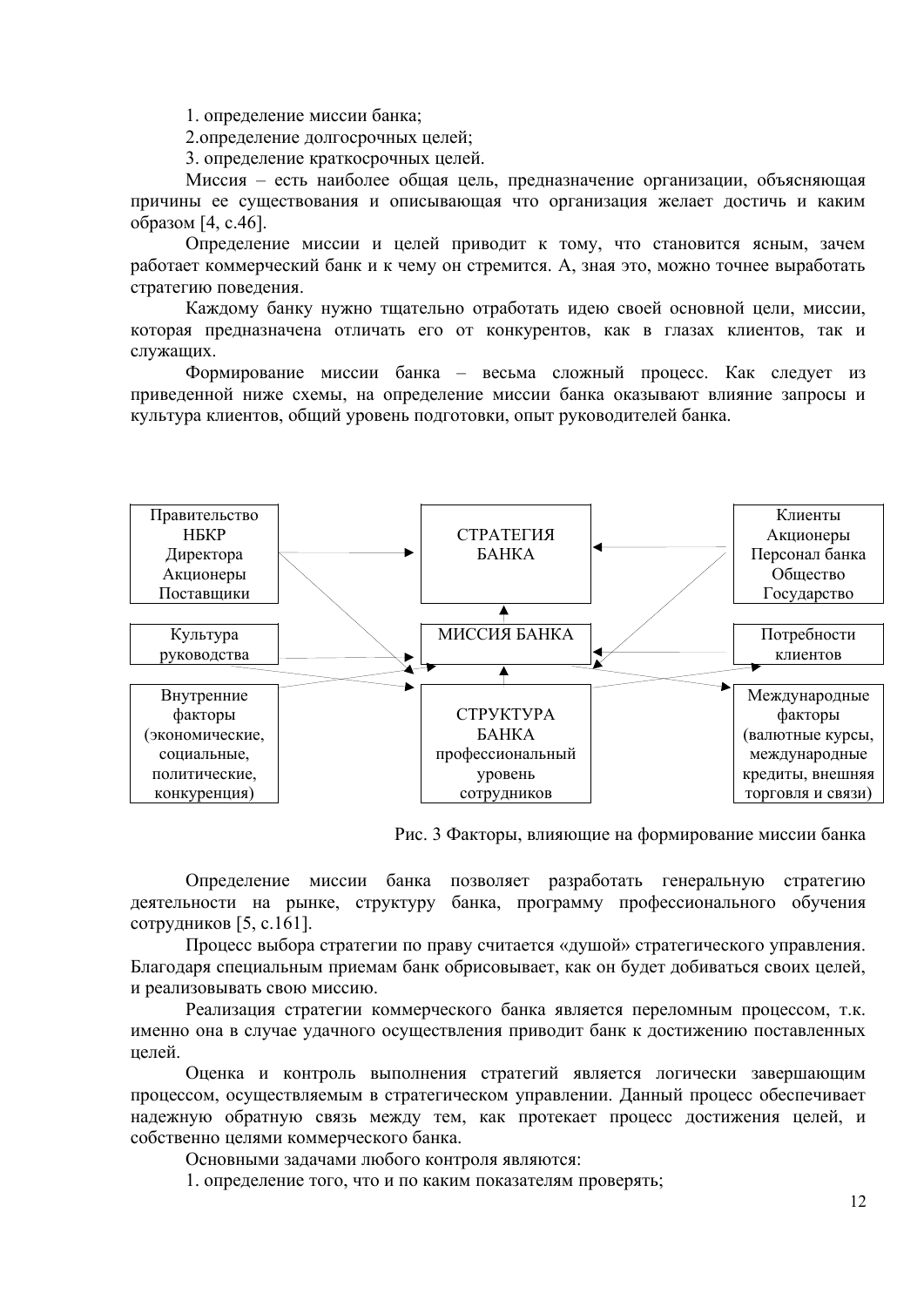1. определение миссии банка;

2.определение долгосрочных целей;

3. определение краткосрочных целей.

Миссия – есть наиболее общая цель, предназначение организации, объясняющая причины ее существования и описывающая что организация желает достичь и каким образом [4, с.46].

Определение миссии и целей приводит к тому, что становится ясным, зачем работает коммерческий банк и к чему он стремится. А, зная это, можно точнее выработать стратегию поведения.

Каждому банку нужно тщательно отработать идею своей основной цели, миссии, которая предназначена отличать его от конкурентов, как в глазах клиентов, так и служащих.

Формирование миссии банка – весьма сложный процесс. Как следует из приведенной ниже схемы, на определение миссии банка оказывают влияние запросы и культура клиентов, общий уровень подготовки, опыт руководителей банка.



Рис. 3 Факторы, влияющие на формирование миссии банка

Определение миссии банка позволяет разработать генеральную стратегию деятельности на рынке, структуру банка, программу профессионального обучения сотрудников [5, с.161].

Процесс выбора стратегии по праву считается «душой» стратегического управления. Благодаря специальным приемам банк обрисовывает, как он будет добиваться своих целей, и реализовывать свою миссию.

Реализация стратегии коммерческого банка является переломным процессом, т.к. именно она в случае удачного осуществления приводит банк к достижению поставленных целей.

Оценка и контроль выполнения стратегий является логически завершающим процессом, осуществляемым в стратегическом управлении. Данный процесс обеспечивает надежную обратную связь между тем, как протекает процесс достижения целей, и собственно целями коммерческого банка.

Основными задачами любого контроля являются:

1. определение того, что и по каким показателям проверять;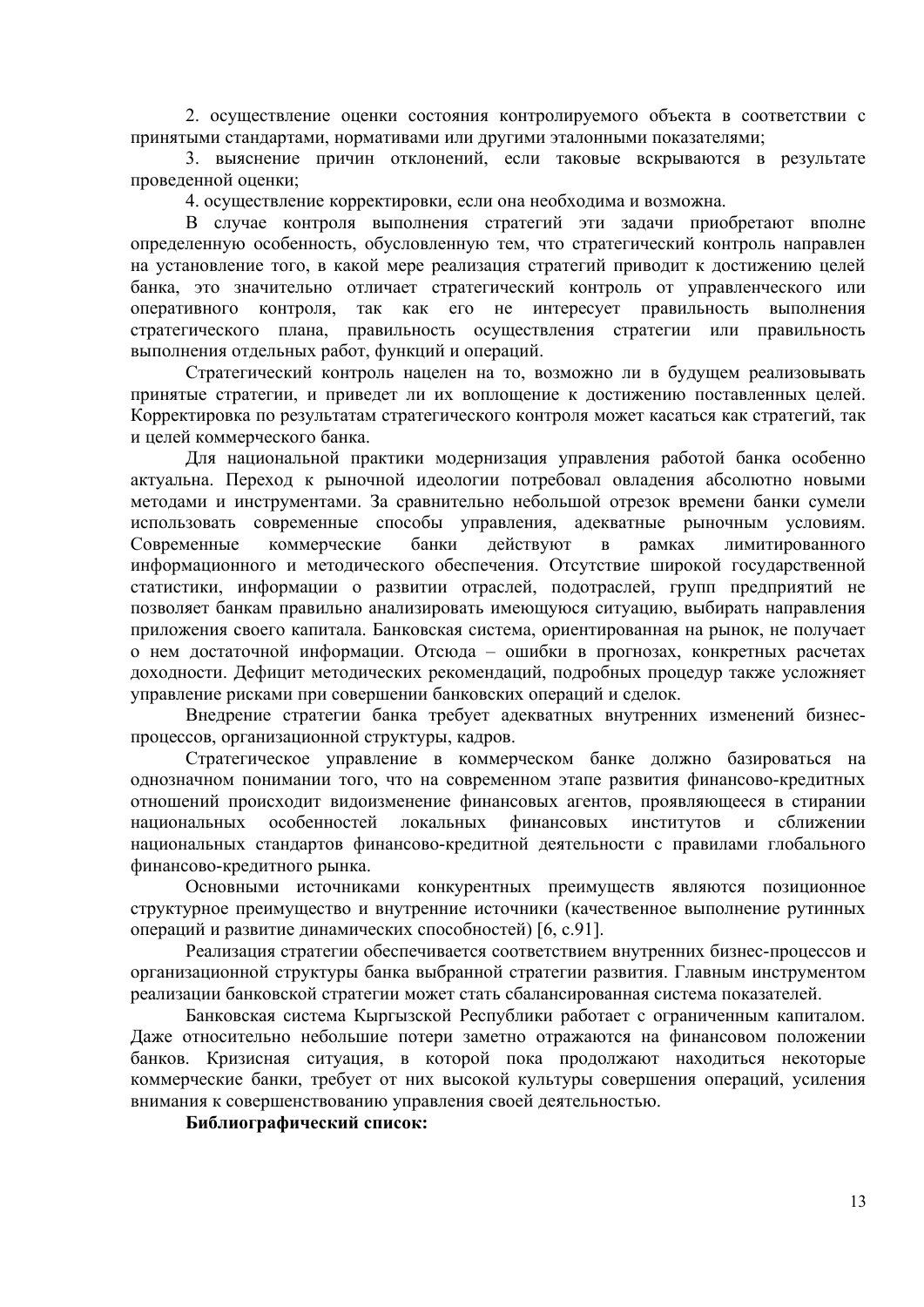2. осуществление оценки состояния контролируемого объекта в соответствии с принятыми стандартами, нормативами или другими эталонными показателями;

3. выяснение причин отклонений, если таковые вскрываются в результате проведенной оценки;

4. осуществление корректировки, если она необходима и возможна.

В случае контроля выполнения стратегий эти задачи приобретают вполне определенную особенность, обусловленную тем, что стратегический контроль направлен на установление того, в какой мере реализация стратегий приводит к достижению целей банка, это значительно отличает стратегический контроль от управленческого или оперативного контроля, так как его не интересует правильность выполнения стратегического плана, правильность осуществления стратегии или правильность выполнения отдельных работ, функций и операций.

Стратегический контроль нацелен на то, возможно ли в будущем реализовывать принятые стратегии, и приведет ли их воплощение к достижению поставленных целей. Корректировка по результатам стратегического контроля может касаться как стратегий, так и целей коммерческого банка.

Для национальной практики модернизация управления работой банка особенно актуальна. Переход к рыночной идеологии потребовал овладения абсолютно новыми методами и инструментами. За сравнительно небольшой отрезок времени банки сумели использовать современные способы управления, адекватные рыночным условиям. Современные коммерческие банки действуют в рамках лимитированного информационного и методического обеспечения. Отсутствие широкой государственной статистики, информации о развитии отраслей, подотраслей, групп предприятий не позволяет банкам правильно анализировать имеющуюся ситуацию, выбирать направления приложения своего капитала. Банковская система, ориентированная на рынок, не получает о нем достаточной информации. Отсюда – ошибки в прогнозах, конкретных расчетах доходности. Дефицит методических рекомендаций, подробных процедур также усложняет управление рисками при совершении банковских операций и сделок.

Внедрение стратегии банка требует адекватных внутренних изменений бизнеспроцессов, организационной структуры, кадров.

Стратегическое управление в коммерческом банке должно базироваться на однозначном понимании того, что на современном этапе развития финансово-кредитных отношений происходит видоизменение финансовых агентов, проявляющееся в стирании национальных особенностей локальных финансовых институтов и сближении национальных стандартов финансово-кредитной деятельности с правилами глобального финансово-кредитного рынка.

Основными источниками конкурентных преимуществ являются позиционное структурное преимущество и внутренние источники (качественное выполнение рутинных операций и развитие динамических способностей) [6, с.91].

Реализация стратегии обеспечивается соответствием внутренних бизнес-процессов и организационной структуры банка выбранной стратегии развития. Главным инструментом реализации банковской стратегии может стать сбалансированная система показателей.

Банковская система Кыргызской Республики работает с ограниченным капиталом. Даже относительно небольшие потери заметно отражаются на финансовом положении банков. Кризисная ситуация, в которой пока продолжают находиться некоторые коммерческие банки, требует от них высокой культуры совершения операций, усиления внимания к совершенствованию управления своей деятельностью.

**Библиографический список:**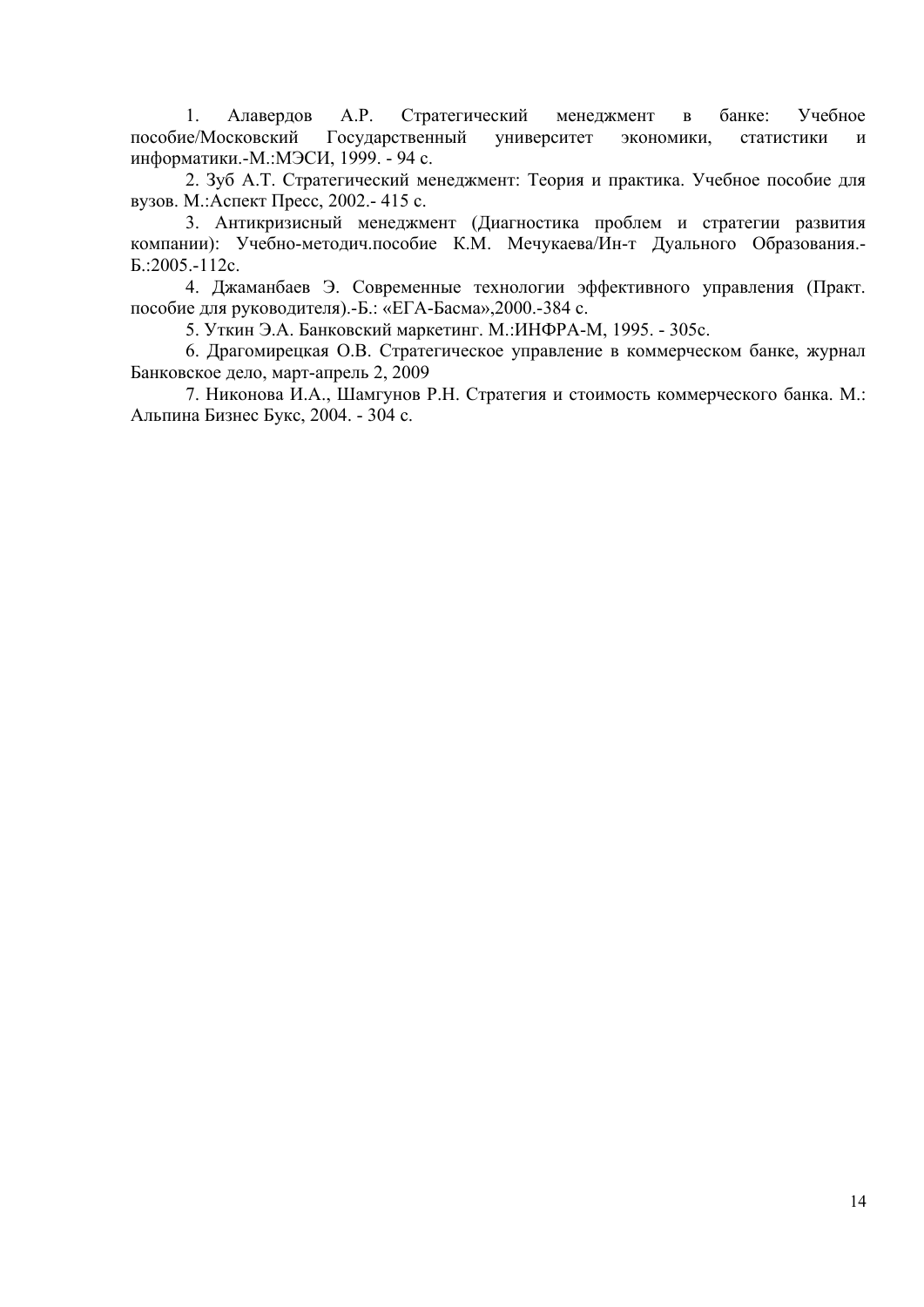1. Алавердов А.Р. Стратегический менеджмент в банке: Учебное пособие/Московский Государственный университет экономики, статистики и информатики.-М.:МЭСИ, 1999. - 94 с.

2. Зуб А.Т. Стратегический менеджмент: Теория и практика. Учебное пособие для вузов. М.:Аспект Пресс, 2002.- 415 с.

3. Антикризисный менеджмент (Диагностика проблем и стратегии развития компании): Учебно-методич.пособие К.М. Мечукаева/Ин-т Дуального Образования.- Б.:2005.-112с.

4. Джаманбаев Э. Современные технологии эффективного управления (Практ. пособие для руководителя).-Б.: «ЕГА-Басма»,2000.-384 с.

5. Уткин Э.А. Банковский маркетинг. М.:ИНФРА-М, 1995. - 305с.

6. Драгомирецкая О.В. Стратегическое управление в коммерческом банке, журнал Банковское дело, март-апрель 2, 2009

7. Никонова И.А., Шамгунов Р.Н. Стратегия и стоимость коммерческого банка. М.: Альпина Бизнес Букс, 2004. - 304 с.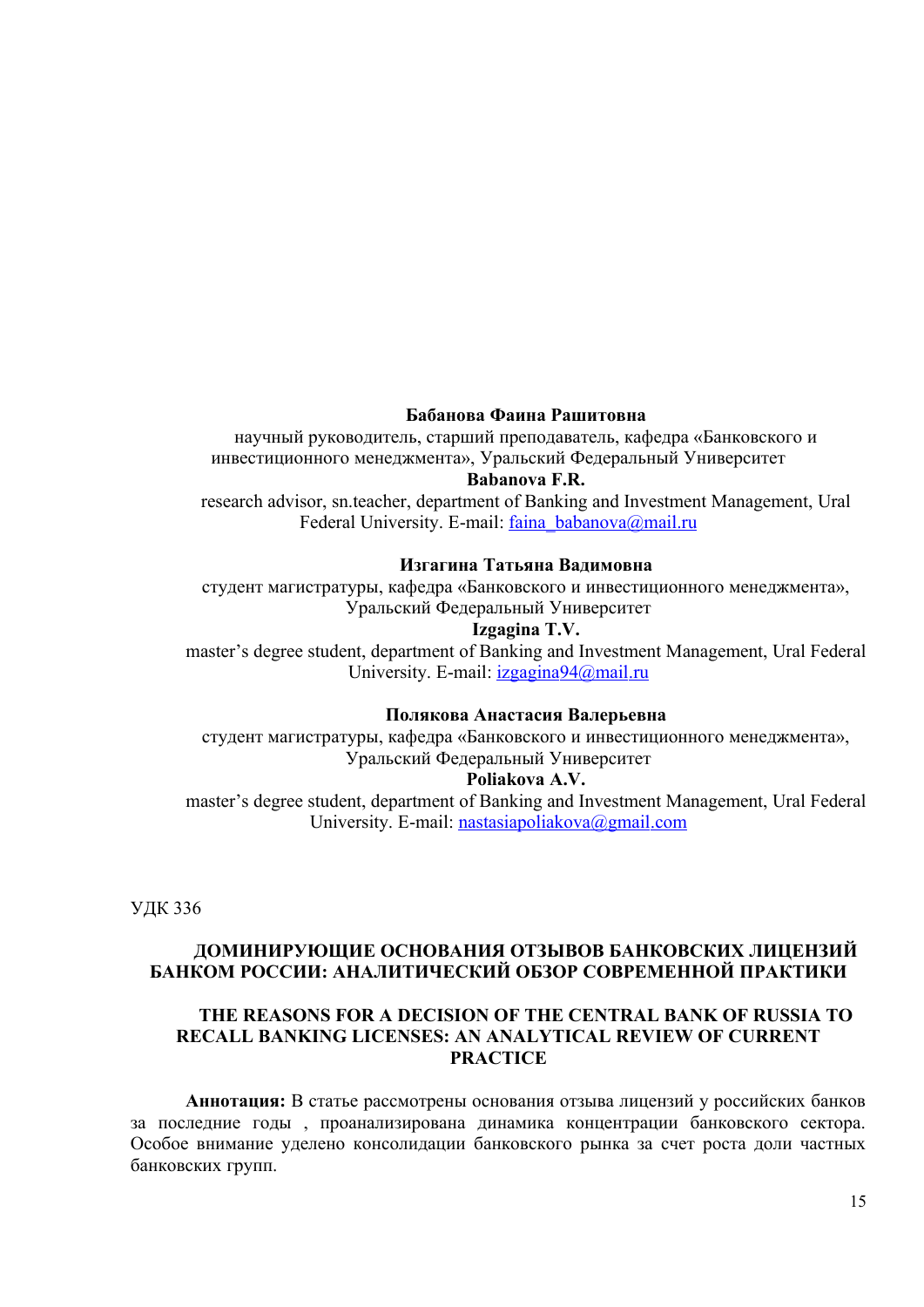## **Бабанова Фаина Рашитовна**

научный руководитель, старший преподаватель, кафедра «Банковского и инвестиционного менеджмента», Уральский Федеральный Университет **Babanova F.R.**

research advisor, sn.teacher, department of Banking and Investment Management, Ural Federal University. E-mail: faina  $babanova@mail.nu$ 

#### **Изгагина Татьяна Вадимовна**

студент магистратуры, кафедра «Банковского и инвестиционного менеджмента», Уральский Федеральный Университет

#### **Izgagina T.V.**

master's degree student, department of Banking and Investment Management, Ural Federal University. E-mail: *izgagina* 94@ mail.ru

#### **Полякова Анастасия Валерьевна**

студент магистратуры, кафедра «Банковского и инвестиционного менеджмента», Уральский Федеральный Университет

#### **Poliakova A.V.**

master's degree student, department of Banking and Investment Management, Ural Federal University. E-mail: nastasiapoliakova@gmail.com

УДК 336

# **ДОМИНИРУЮЩИЕ ОСНОВАНИЯ ОТЗЫВОВ БАНКОВСКИХ ЛИЦЕНЗИЙ БАНКОМ РОССИИ: АНАЛИТИЧЕСКИЙ ОБЗОР СОВРЕМЕННОЙ ПРАКТИКИ**

### **THE REASONS FOR A DECISION OF THE CENTRAL BANK OF RUSSIA TO RECALL BANKING LICENSES: AN ANALYTICAL REVIEW OF CURRENT PRACTICE**

**Аннотация:** В статье рассмотрены основания отзыва лицензий у российских банков за последние годы , проанализирована динамика концентрации банковского сектора. Особое внимание уделено консолидации банковского рынка за счет роста доли частных банковских групп.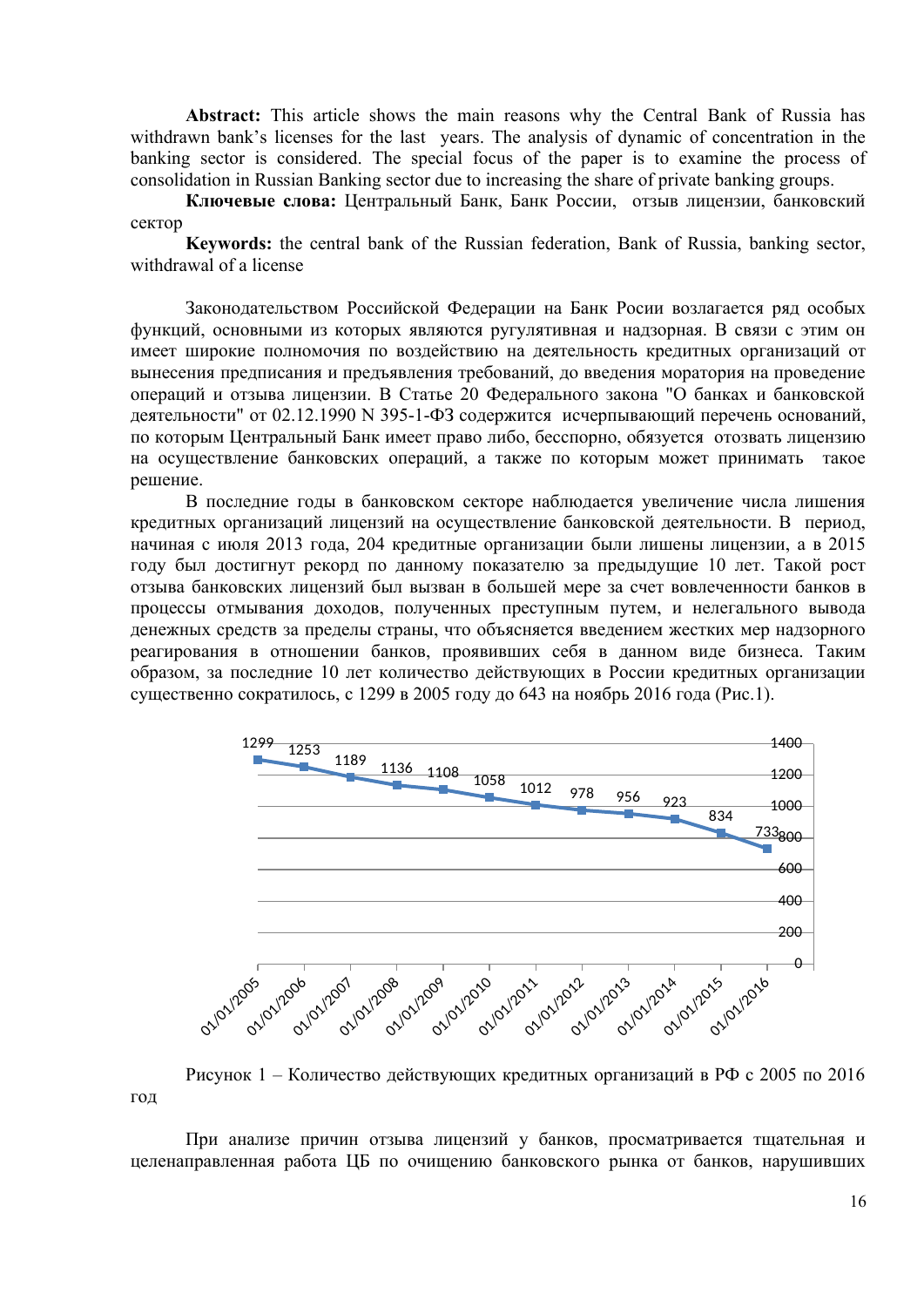**Abstract:** This article shows the main reasons why the Central Bank of Russia has withdrawn bank's licenses for the last years. The analysis of dynamic of concentration in the banking sector is considered. The special focus of the paper is to examine the process of consolidation in Russian Banking sector due to increasing the share of private banking groups.

**Ключевые слова:** Центральный Банк, Банк России, отзыв лицензии, банковский сектор

**Keywords:** the central bank of the Russian federation, Bank of Russia, banking sector, withdrawal of a license

Законодательством Российской Федерации на Банк Росии возлагается ряд особых функций, основными из которых являются ругулятивная и надзорная. В связи с этим он имеет широкие полномочия по воздействию на деятельность кредитных организаций от вынесения предписания и предъявления требований, до введения моратория на проведение операций и отзыва лицензии. В Статье 20 Федерального закона "О банках и банковской деятельности" от 02.12.1990 N 395-1-ФЗ содержится исчерпывающий перечень оснований, по которым Центральный Банк имеет право либо, бесспорно, обязуется отозвать лицензию на осуществление банковских операций, а также по которым может принимать такое решение.

В последние годы в банковском секторе наблюдается увеличение числа лишения кредитных организаций лицензий на осуществление банковской деятельности. В период, начиная с июля 2013 года, 204 кредитные организации были лишены лицензии, а в 2015 году был достигнут рекорд по данному показателю за предыдущие 10 лет. Такой рост отзыва банковских лицензий был вызван в большей мере за счет вовлеченности банков в процессы отмывания доходов, полученных преступным путем, и нелегального вывода денежных средств за пределы страны, что объясняется введением жестких мер надзорного реагирования в отношении банков, проявивших себя в данном виде бизнеса. Таким образом, за последние 10 лет количество действующих в России кредитных организации существенно сократилось, с 1299 в 2005 году до 643 на ноябрь 2016 года (Рис.1).



Рисунок 1 – Количество действующих кредитных организаций в РФ с 2005 по 2016 год

При анализе причин отзыва лицензий у банков, просматривается тщательная и целенаправленная работа ЦБ по очищению банковского рынка от банков, нарушивших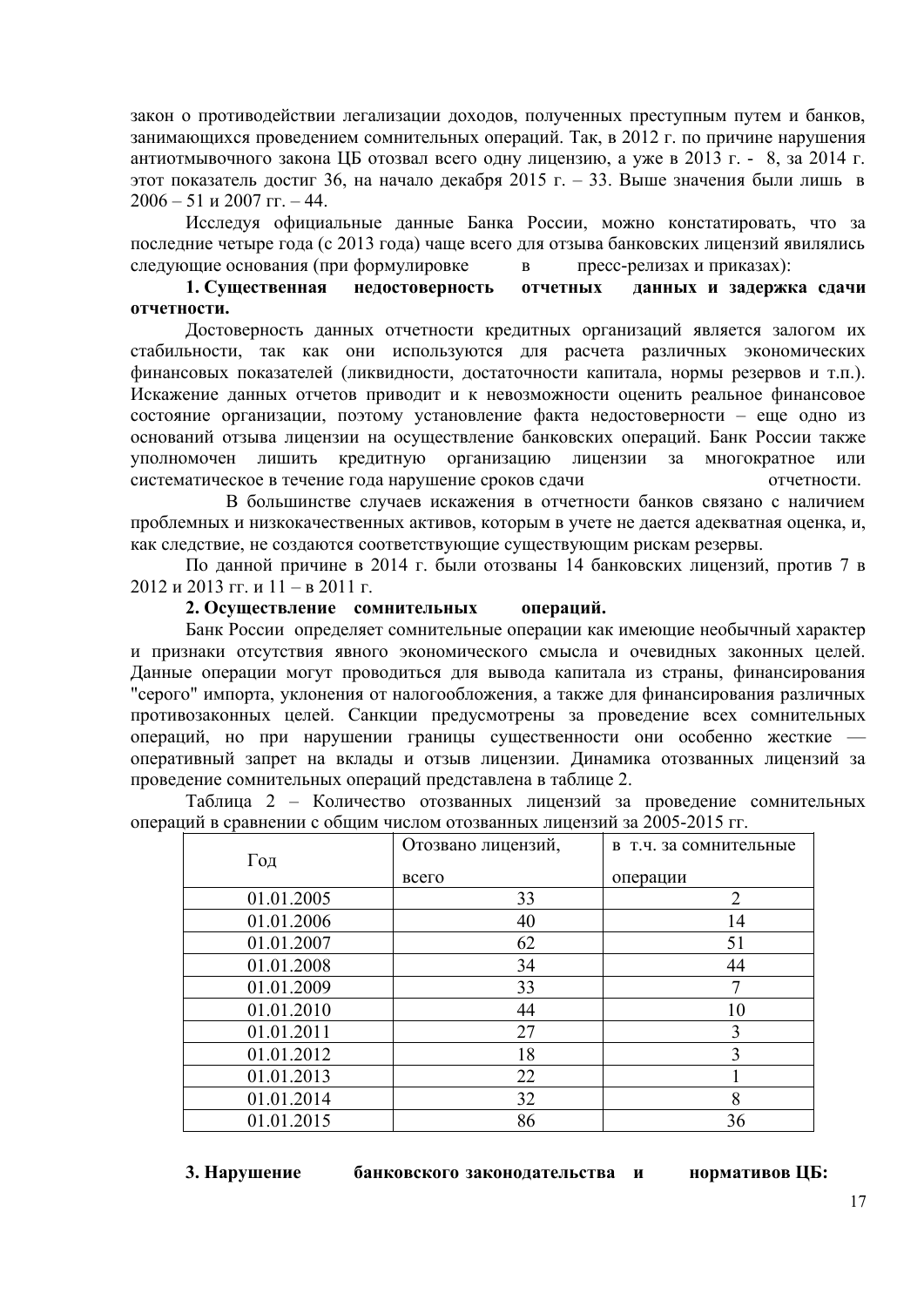закон о противодействии легализации доходов, полученных преступным путем и банков, занимающихся проведением сомнительных операций. Так, в 2012 г. по причине нарушения антиотмывочного закона ЦБ отозвал всего одну лицензию, а уже в 2013 г. - 8, за 2014 г. этот показатель достиг 36, на начало декабря 2015 г. – 33. Выше значения были лишь в 2006 – 51 и 2007 гг. – 44.

Исследуя официальные данные Банка России, можно констатировать, что за последние четыре года (с 2013 года) чаще всего для отзыва банковских лицензий явилялись следующие основания (при формулировке в пресс-релизах и приказах):

## **1. Существенная недостоверность отчетных данных и задержка сдачи отчетности.**

Достоверность данных отчетности кредитных организаций является залогом их стабильности, так как они используются для расчета различных экономических финансовых показателей (ликвидности, достаточности капитала, нормы резервов и т.п.). Искажение данных отчетов приводит и к невозможности оценить реальное финансовое состояние организации, поэтому установление факта недостоверности – еще одно из оснований отзыва лицензии на осуществление банковских операций. Банк России также уполномочен лишить кредитную организацию лицензии за многократное или систематическое в течение года нарушение сроков сдачи отчетности.

 В большинстве случаев искажения в отчетности банков связано с наличием проблемных и низкокачественных активов, которым в учете не дается адекватная оценка, и, как следствие, не создаются соответствующие существующим рискам резервы.

По данной причине в 2014 г. были отозваны 14 банковских лицензий, против 7 в 2012 и 2013 гг. и 11 – в 2011 г.

### **2. Осуществление сомнительных операций.**

Банк России определяет сомнительные операции как имеющие необычный характер и признаки отсутствия явного экономического смысла и очевидных законных целей. Данные операции могут проводиться для вывода капитала из страны, финансирования "серого" импорта, уклонения от налогообложения, а также для финансирования различных противозаконных целей. Санкции предусмотрены за проведение всех сомнительных операций, но при нарушении границы существенности они особенно жесткие оперативный запрет на вклады и отзыв лицензии. Динамика отозванных лицензий за проведение сомнительных операций представлена в таблице 2.

Таблица 2 – Количество отозванных лицензий за проведение сомнительных операций в сравнении с общим числом отозванных лицензий за 2005-2015 гг.

|            | Отозвано лицензий, | в т.ч. за сомнительные |
|------------|--------------------|------------------------|
| Год        | всего              | операции               |
| 01.01.2005 | 33                 | $\overline{2}$         |
| 01.01.2006 | 40                 | 14                     |
| 01.01.2007 | 62                 | 51                     |
| 01.01.2008 | 34                 | 44                     |
| 01.01.2009 | 33                 | 7                      |
| 01.01.2010 | 44                 | 10                     |
| 01.01.2011 | 27                 | 3                      |
| 01.01.2012 | 18                 | 3                      |
| 01.01.2013 | 22                 |                        |
| 01.01.2014 | 32                 | 8                      |
| 01.01.2015 | 86                 | 36                     |

**3. Нарушение банковского законодательства и нормативов ЦБ:**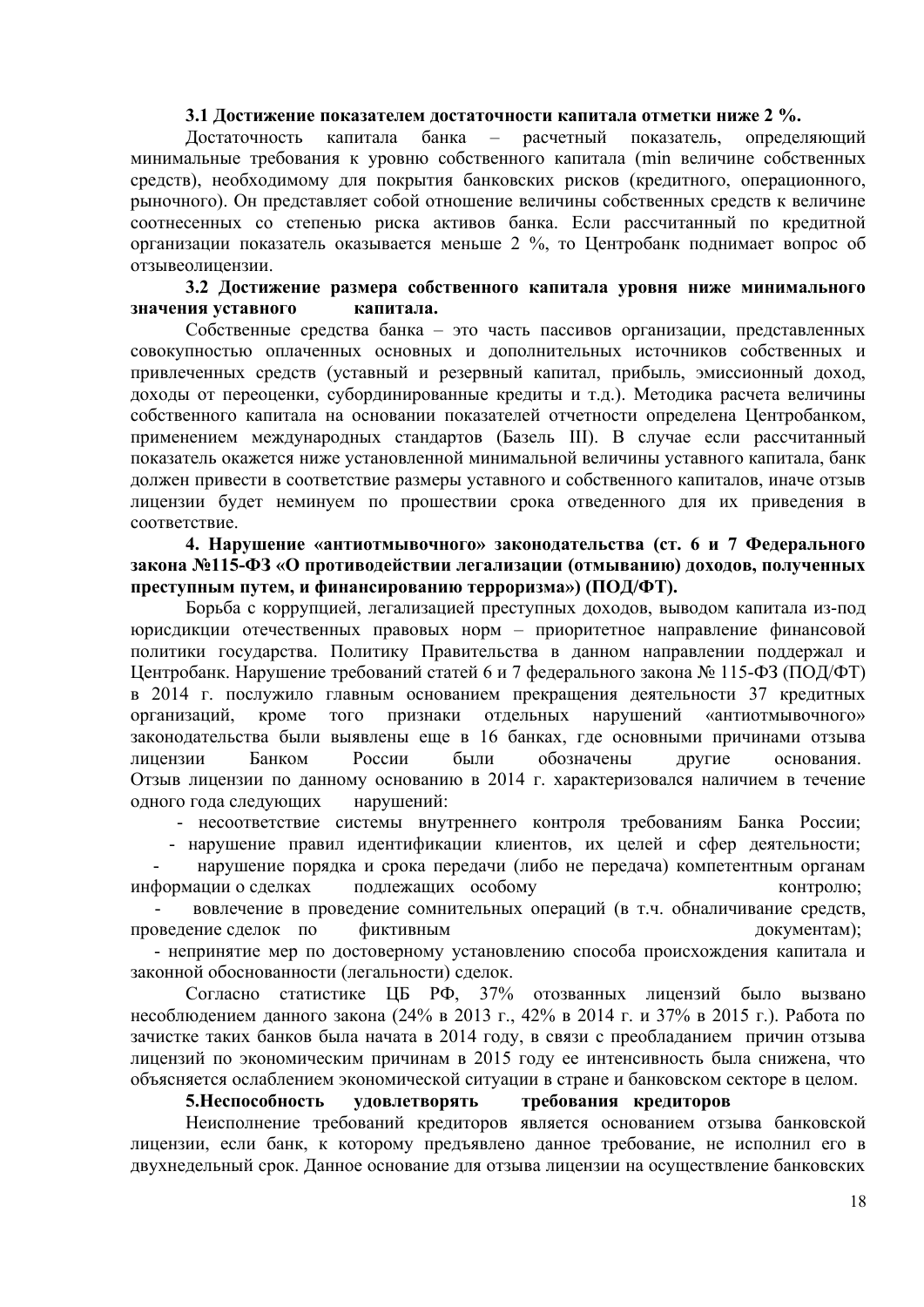#### **3.1 Достижение показателем достаточности капитала отметки ниже 2 %.**

Достаточность капитала банка – расчетный показатель, определяющий минимальные требования к уровню собственного капитала (min величине собственных средств), необходимому для покрытия банковских рисков (кредитного, операционного, рыночного). Он представляет собой отношение величины собственных средств к величине соотнесенных со степенью риска активов банка. Если рассчитанный по кредитной организации показатель оказывается меньше 2 %, то Центробанк поднимает вопрос об отзывеолицензии.

#### **3.2 Достижение размера собственного капитала уровня ниже минимального значения уставного капитала.**

Собственные средства банка – это часть пассивов организации, представленных совокупностью оплаченных основных и дополнительных источников собственных и привлеченных средств (уставный и резервный капитал, прибыль, эмиссионный доход, доходы от переоценки, субординированные кредиты и т.д.). Методика расчета величины собственного капитала на основании показателей отчетности определена Центробанком, применением международных стандартов (Базель III). В случае если рассчитанный показатель окажется ниже установленной минимальной величины уставного капитала, банк должен привести в соответствие размеры уставного и собственного капиталов, иначе отзыв лицензии будет неминуем по прошествии срока отведенного для их приведения в соответствие.

**4. Нарушение «антиотмывочного» законодательства (ст. 6 и 7 Федерального закона №115-ФЗ «О противодействии легализации (отмыванию) доходов, полученных преступным путем, и финансированию терроризма») (ПОД/ФТ).**

Борьба с коррупцией, легализацией преступных доходов, выводом капитала из-под юрисдикции отечественных правовых норм – приоритетное направление финансовой политики государства. Политику Правительства в данном направлении поддержал и Центробанк. Нарушение требований статей 6 и 7 федерального закона № 115-ФЗ (ПОД/ФТ) в 2014 г. послужило главным основанием прекращения деятельности 37 кредитных организаций, кроме того признаки отдельных нарушений «антиотмывочного» законодательства были выявлены еще в 16 банках, где основными причинами отзыва лицензии Банком России были обозначены другие основания. Отзыв лицензии по данному основанию в 2014 г. характеризовался наличием в течение одного года следующих нарушений:

- несоответствие системы внутреннего контроля требованиям Банка России;

- нарушение правил идентификации клиентов, их целей и сфер деятельности;

 - нарушение порядка и срока передачи (либо не передача) компетентным органам информации о сделках подлежащих особому контролю;

 - вовлечение в проведение сомнительных операций (в т.ч. обналичивание средств, проведение сделок по фиктивным документам);

 - непринятие мер по достоверному установлению способа происхождения капитала и законной обоснованности (легальности) сделок.

Согласно статистике ЦБ РФ, 37% отозванных лицензий было вызвано несоблюдением данного закона (24% в 2013 г., 42% в 2014 г. и 37% в 2015 г.). Работа по зачистке таких банков была начата в 2014 году, в связи с преобладанием причин отзыва лицензий по экономическим причинам в 2015 году ее интенсивность была снижена, что объясняется ослаблением экономической ситуации в стране и банковском секторе в целом.

#### **5.Неспособность удовлетворять требования кредиторов**

Неисполнение требований кредиторов является основанием отзыва банковской лицензии, если банк, к которому предъявлено данное требование, не исполнил его в двухнедельный срок. Данное основание для отзыва лицензии на осуществление банковских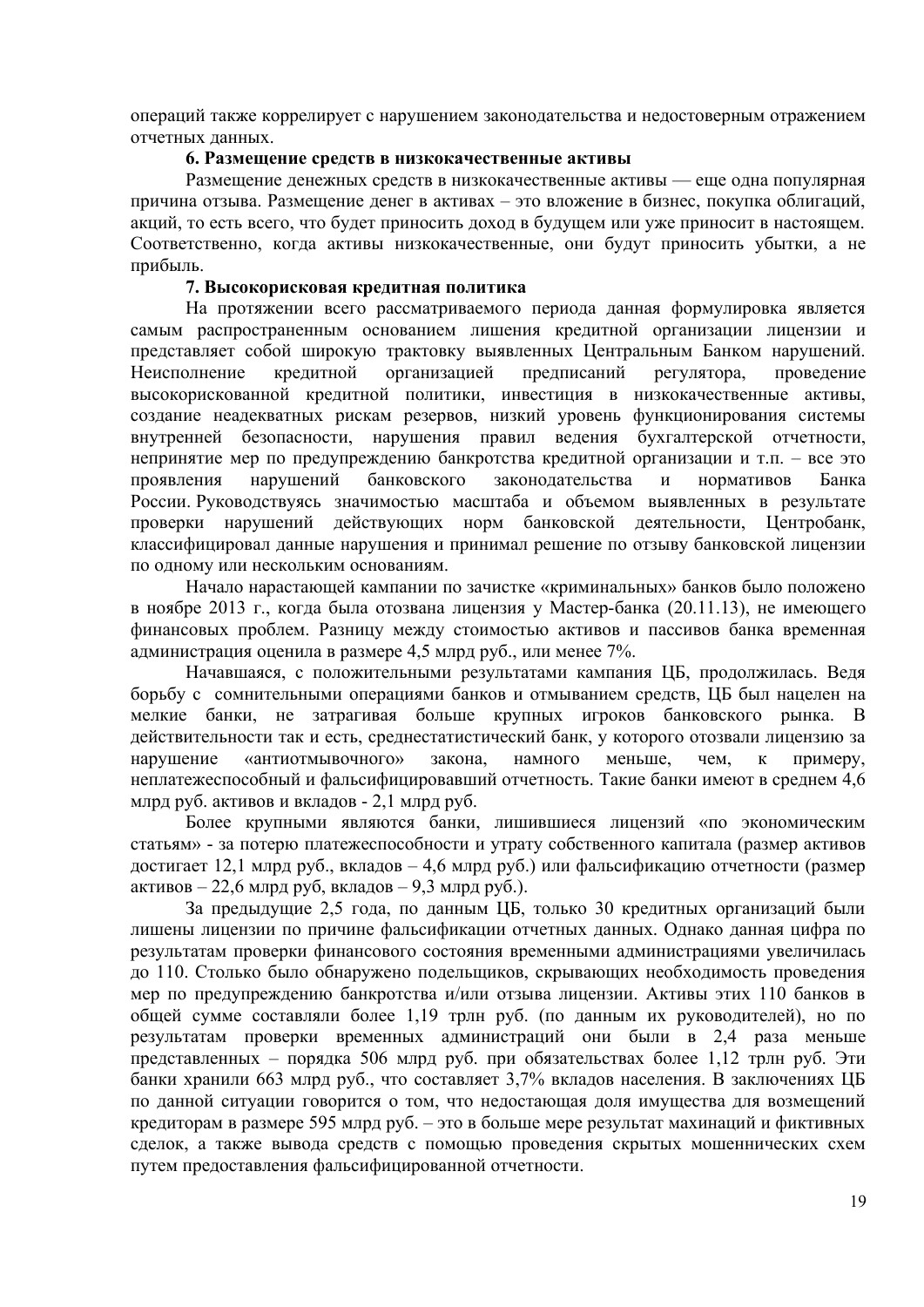операций также коррелирует с нарушением законодательства и недостоверным отражением отчетных данных.

#### **6. Размещение средств в низкокачественные активы**

Размещение денежных средств в низкокачественные активы — еще одна популярная причина отзыва. Размещение денег в активах – это вложение в бизнес, покупка облигаций, акций, то есть всего, что будет приносить доход в будущем или уже приносит в настоящем. Соответственно, когда активы низкокачественные, они будут приносить убытки, а не прибыль.

### **7. Высокорисковая кредитная политика**

На протяжении всего рассматриваемого периода данная формулировка является самым распространенным основанием лишения кредитной организации лицензии и представляет собой широкую трактовку выявленных Центральным Банком нарушений. Неисполнение кредитной организацией предписаний регулятора, проведение высокорискованной кредитной политики, инвестиция в низкокачественные активы, создание неадекватных рискам резервов, низкий уровень функционирования системы внутренней безопасности, нарушения правил ведения бухгалтерской отчетности, непринятие мер по предупреждению банкротства кредитной организации и т.п. – все это проявления нарушений банковского законодательства и нормативов Банка России. Руководствуясь значимостью масштаба и объемом выявленных в результате проверки нарушений действующих норм банковской деятельности, Центробанк, классифицировал данные нарушения и принимал решение по отзыву банковской лицензии по одному или нескольким основаниям.

Начало нарастающей кампании по зачистке «криминальных» банков было положено в ноябре 2013 г., когда была отозвана лицензия у Мастер-банка (20.11.13), не имеющего финансовых проблем. Разницу между стоимостью активов и пассивов банка временная администрация оценила в размере 4,5 млрд руб., или менее 7%.

Начавшаяся, с положительными результатами кампания ЦБ, продолжилась. Ведя борьбу с сомнительными операциями банков и отмыванием средств, ЦБ был нацелен на мелкие банки, не затрагивая больше крупных игроков банковского рынка. В действительности так и есть, среднестатистический банк, у которого отозвали лицензию за нарушение «антиотмывочного» закона, намного меньше, чем, к примеру, неплатежеспособный и фальсифицировавший отчетность. Такие банки имеют в среднем 4,6 млрд руб. активов и вкладов - 2,1 млрд руб.

Более крупными являются банки, лишившиеся лицензий «по экономическим статьям» - за потерю платежеспособности и утрату собственного капитала (размер активов достигает 12,1 млрд руб., вкладов – 4,6 млрд руб.) или фальсификацию отчетности (размер активов – 22,6 млрд руб, вкладов – 9,3 млрд руб.).

За предыдущие 2,5 года, по данным ЦБ, только 30 кредитных организаций были лишены лицензии по причине фальсификации отчетных данных. Однако данная цифра по результатам проверки финансового состояния временными администрациями увеличилась до 110. Столько было обнаружено подельщиков, скрывающих необходимость проведения мер по предупреждению банкротства и/или отзыва лицензии. Активы этих 110 банков в общей сумме составляли более 1,19 трлн руб. (по данным их руководителей), но по результатам проверки временных администраций они были в 2,4 раза меньше представленных – порядка 506 млрд руб. при обязательствах более 1,12 трлн руб. Эти банки хранили 663 млрд руб., что составляет 3,7% вкладов населения. В заключениях ЦБ по данной ситуации говорится о том, что недостающая доля имущества для возмещений кредиторам в размере 595 млрд руб. – это в больше мере результат махинаций и фиктивных сделок, а также вывода средств с помощью проведения скрытых мошеннических схем путем предоставления фальсифицированной отчетности.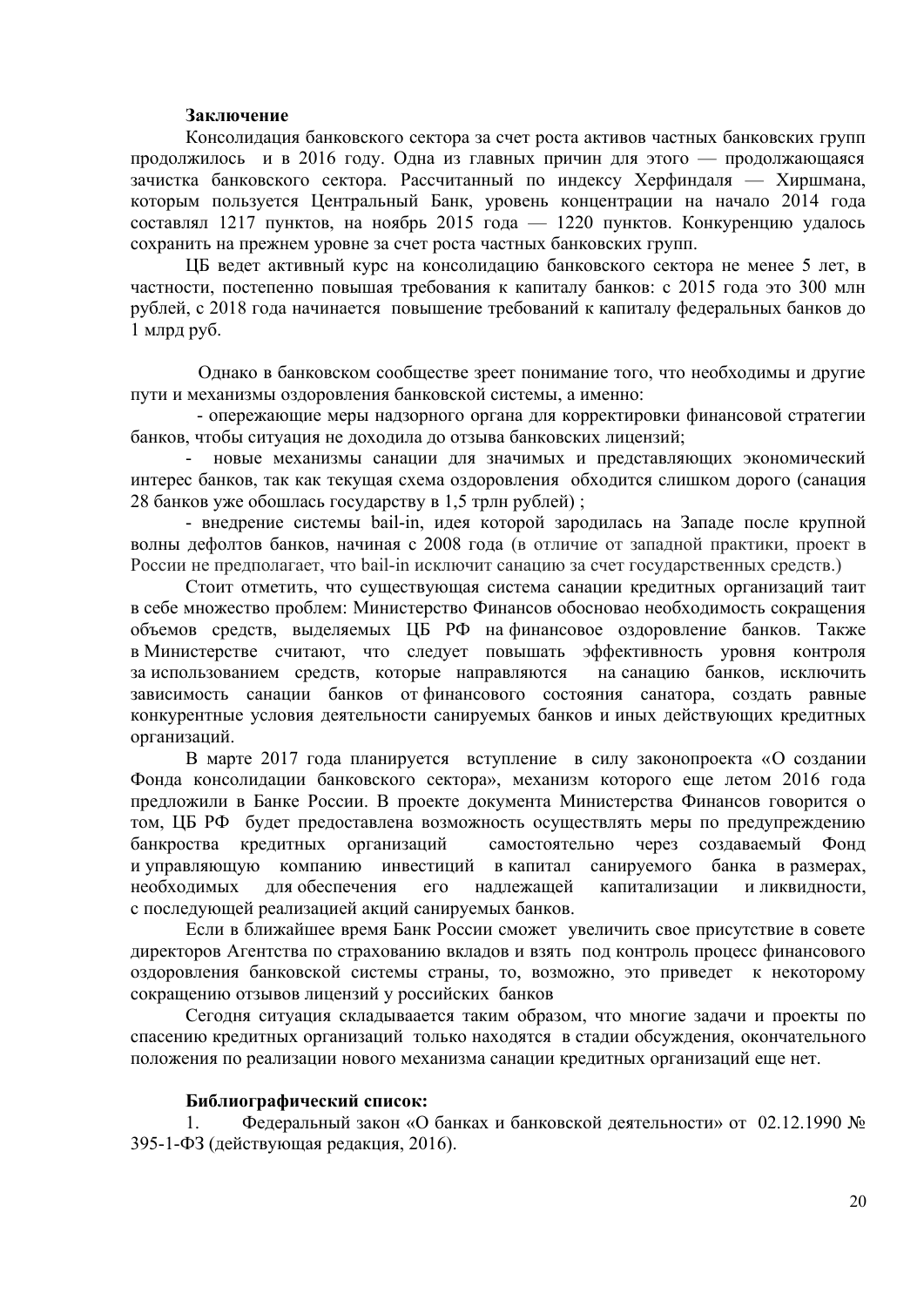### **Заключение**

Консолидация банковского сектора за счет роста активов частных банковских групп продолжилось и в 2016 году. Одна из главных причин для этого — продолжающаяся зачистка банковского сектора. Рассчитанный по индексу Херфиндаля — Хиршмана, которым пользуется Центральный Банк, уровень концентрации на начало 2014 года составлял 1217 пунктов, на ноябрь 2015 года — 1220 пунктов. Конкуренцию удалось сохранить на прежнем уровне за счет роста частных банковских групп.

ЦБ ведет активный курс на консолидацию банковского сектора не менее 5 лет, в частности, постепенно повышая требования к капиталу банков: с 2015 года это 300 млн рублей, с 2018 года начинается повышение требований к капиталу федеральных банков до 1 млрд руб.

 Однако в банковском сообществе зреет понимание того, что необходимы и другие пути и механизмы оздоровления банковской системы, а именно:

 - опережающие меры надзорного органа для корректировки финансовой стратегии банков, чтобы ситуация не доходила до отзыва банковских лицензий;

- новые механизмы санации для значимых и представляющих экономический интерес банков, так как текущая схема оздоровления обходится слишком дорого (санация 28 банков уже обошлась государству в 1,5 трлн рублей) ;

- внедрение системы bail-in, идея которой зародилась на Западе после крупной волны дефолтов банков, начиная с 2008 года (в отличие от западной практики, проект в России не предполагает, что bail-in исключит санацию за счет государственных средств.)

Стоит отметить, что существующая система санации кредитных организаций таит в себе множество проблем: Министерство Финансов обосновао необходимость сокращения объемов средств, выделяемых ЦБ РФ на финансовое оздоровление банков. Также в Министерстве считают, что следует повышать эффективность уровня контроля за использованием средств, которые направляются на санацию банков, исключить зависимость санации банков от финансового состояния санатора, создать равные конкурентные условия деятельности санируемых банков и иных действующих кредитных организаций.

В марте 2017 года планируется вступление в силу законопроекта «О создании Фонда консолидации банковского сектора», механизм которого еще летом 2016 года предложили в Банке России. В проекте документа Министерства Финансов говорится о том, ЦБ РФ будет предоставлена возможность осуществлять меры по предупреждению банкроства кредитных организаций самостоятельно через создаваемый Фонд и управляющую компанию инвестиций в капитал санируемого банка в размерах, необходимых для обеспечения его надлежащей капитализации и ликвидности, с последующей реализацией акций санируемых банков.

Если в ближайшее время Банк России сможет увеличить свое присутствие в совете директоров Агентства по страхованию вкладов и взять под контроль процесс финансового оздоровления банковской системы страны, то, возможно, это приведет к некоторому сокращению отзывов лицензий у российских банков

Сегодня ситуация cкладываается таким образом, что многие задачи и проекты по спасению кредитных организаций только находятся в стадии обсуждения, окончательного положения по реализации нового механизма санации кредитных организаций еще нет.

#### **Библиографический список:**

1. Федеральный закон «О банках и банковской деятельности» от 02.12.1990 № 395-1-ФЗ (действующая редакция, 2016).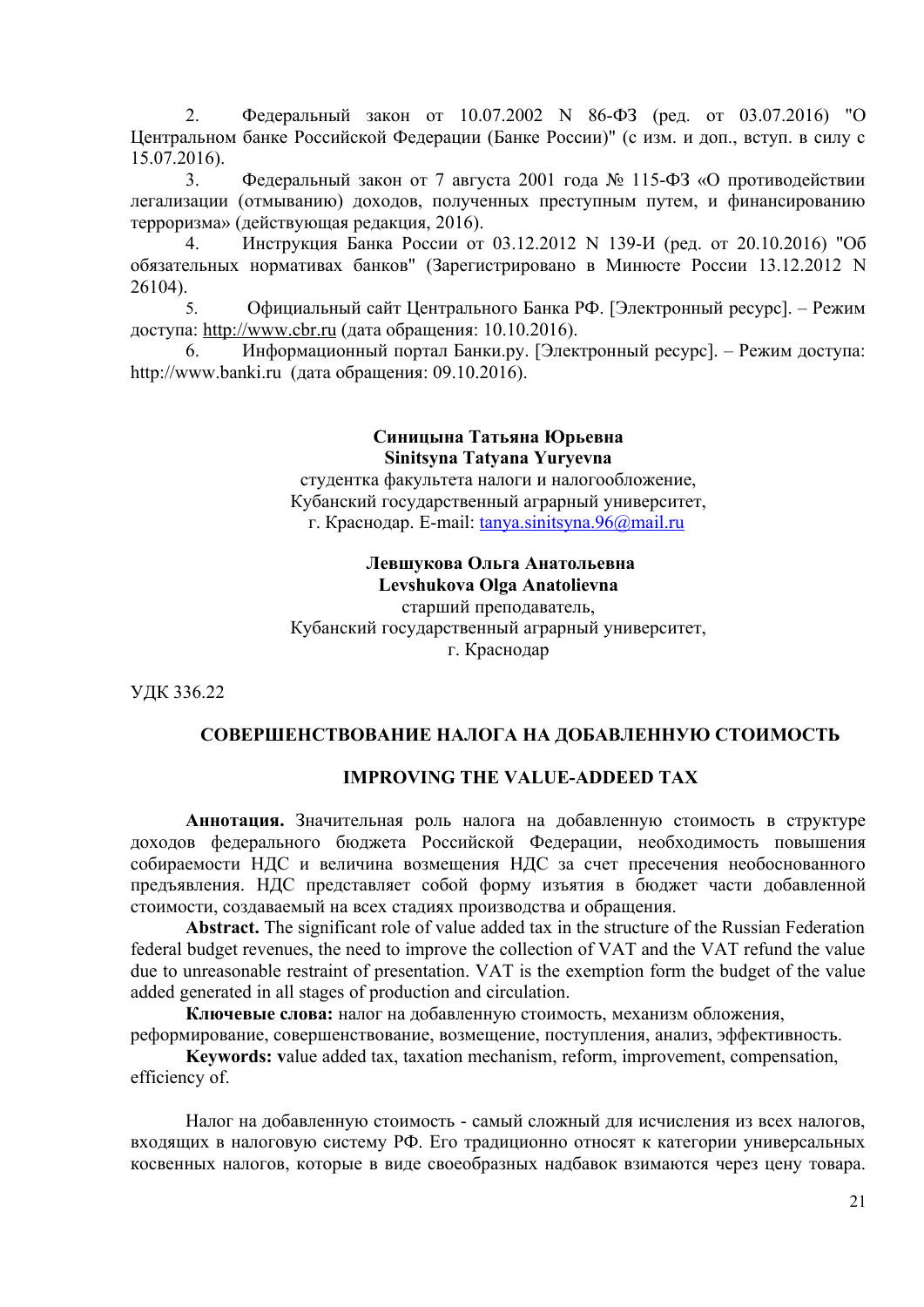2. Федеральный закон от 10.07.2002 N 86-ФЗ (ред. от 03.07.2016) "О Центральном банке Российской Федерации (Банке России)" (с изм. и доп., вступ. в силу с 15.07.2016).

3. Федеральный закон от 7 августа 2001 года № 115-ФЗ «О противодействии легализации (отмыванию) доходов, полученных преступным путем, и финансированию терроризма» (действующая редакция, 2016).

4. Инструкция Банка России от 03.12.2012 N 139-И (ред. от 20.10.2016) "Об обязательных нормативах банков" (Зарегистрировано в Минюсте России 13.12.2012 N 26104).

5. Официальный сайт Центрального Банка РФ. [Электронный ресурс]. – Режим доступа: [http :// www. cbr. ru](http://www.cbr.ru/) (дата обращения: 10.10.2016).

6. Информационный портал Банки.ру. [Электронный ресурс]. – Режим доступа: http://www.banki.ru (дата обращения: 09.10.2016).

#### **Синицына Татьяна Юрьевна Sinitsyna Tatyana Yuryevna**

студентка факультета налоги и налогообложение, Кубанский государственный аграрный университет, г. Краснодар. E-mail: [tanya.sinitsyna.96@mail.ru](mailto:tanya.sinitsyna.96@mail.ru)

# **Левшукова Ольга Анатольевна Levshukova Olga Anatolievna**

старший преподаватель, Кубанский государственный аграрный университет, г. Краснодар

УДК 336.22

# **СОВЕРШЕНСТВОВАНИЕ НАЛОГА НА ДОБАВЛЕННУЮ СТОИМОСТЬ**

# **IMPROVING THE VALUE-ADDEED TAX**

**Аннотация.** Значительная роль налога на добавленную стоимость в структуре доходов федерального бюджета Российской Федерации, необходимость повышения собираемости НДС и величина возмещения НДС за счет пресечения необоснованного предъявления. НДС представляет собой форму изъятия в бюджет части добавленной стоимости, создаваемый на всех стадиях производства и обращения.

**Abstract.** The significant role of value added tax in the structure of the Russian Federation federal budget revenues, the need to improve the collection of VAT and the VAT refund the value due to unreasonable restraint of presentation. VAT is the exemption form the budget of the value added generated in all stages of production and circulation.

**Ключевые слова:** налог на добавленную стоимость, механизм обложения, реформирование, совершенствование, возмещение, поступления, анализ, эффективность.

**Keywords: v**alue added tax, taxation mechanism, reform, improvement, compensation, efficiency of.

Налог на добавленную стоимость - самый сложный для исчисления из всех налогов, входящих в налоговую систему РФ. Его традиционно относят к категории универсальных косвенных налогов, которые в виде своеобразных надбавок взимаются через цену товара.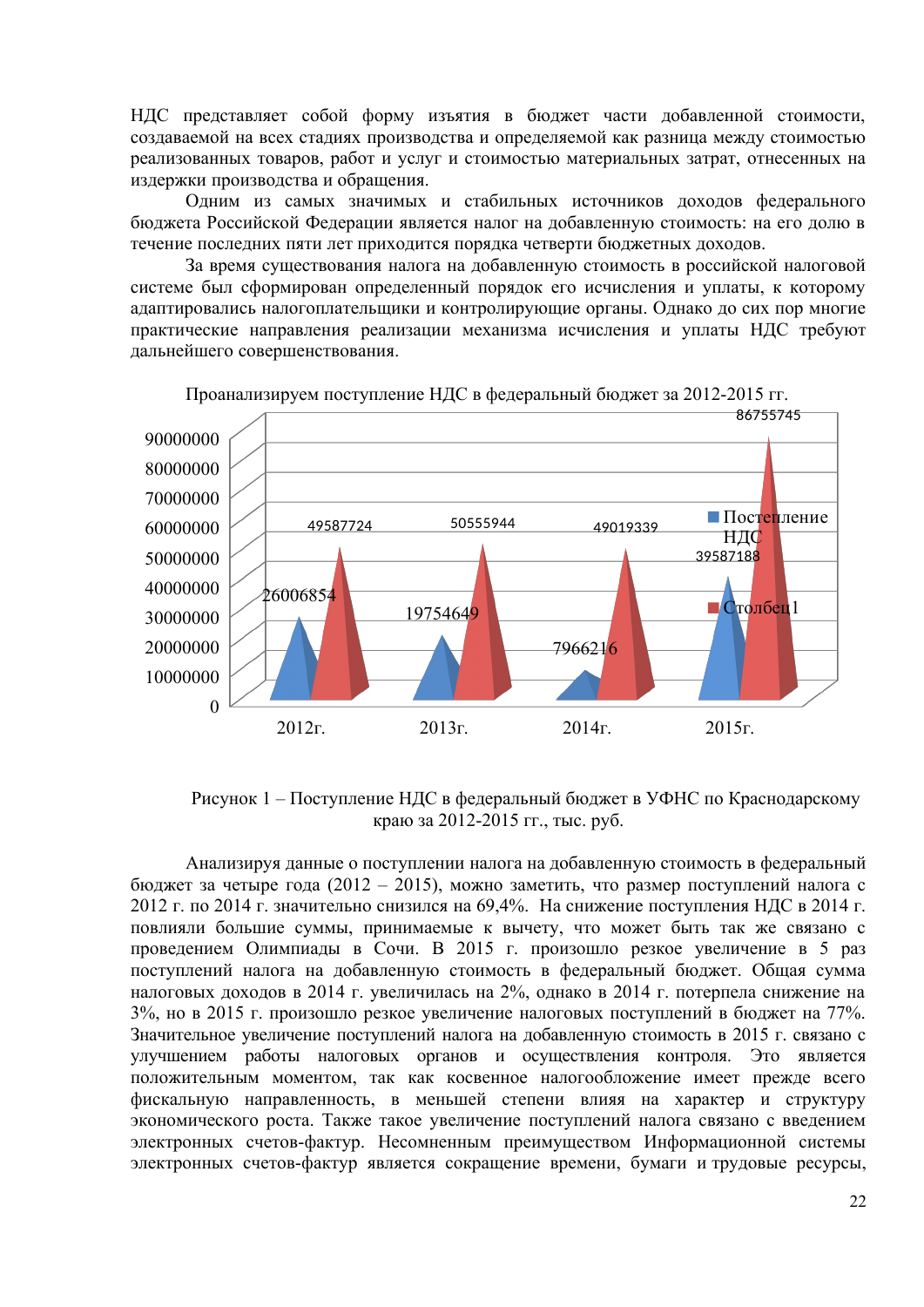НДС представляет собой форму изъятия в бюджет части добавленной стоимости, создаваемой на всех стадиях производства и определяемой как разница между стоимостью реализованных товаров, работ и услуг и стоимостью материальных затрат, отнесенных на издержки производства и обращения.

Одним из самых значимых и стабильных источников доходов федерального бюджета Российской Федерации является налог на добавленную стоимость: на его долю в течение последних пяти лет приходится порядка четверти бюджетных доходов.

За время существования налога на добавленную стоимость в российской налоговой системе был сформирован определенный порядок его исчисления и уплаты, к которому адаптировались налогоплательщики и контролирующие органы. Однако до сих пор многие практические направления реализации механизма исчисления и уплаты НДС требуют дальнейшего совершенствования.



Проанализируем поступление НДС в федеральный бюджет за 2012-2015 гг.

Рисунок 1 – Поступление НДС в федеральный бюджет в УФНС по Краснодарскому краю за 2012-2015 гг., тыс. руб.

Анализируя данные о поступлении налога на добавленную стоимость в федеральный бюджет за четыре года (2012 – 2015), можно заметить, что размер поступлений налога с 2012 г. по 2014 г. значительно снизился на 69,4%. На снижение поступления НДС в 2014 г. повлияли большие суммы, принимаемые к вычету, что может быть так же связано с проведением Олимпиады в Сочи. В 2015 г. произошло резкое увеличение в 5 раз поступлений налога на добавленную стоимость в федеральный бюджет. Общая сумма налоговых доходов в 2014 г. увеличилась на 2%, однако в 2014 г. потерпела снижение на 3%, но в 2015 г. произошло резкое увеличение налоговых поступлений в бюджет на 77%. Значительное увеличение поступлений налога на добавленную стоимость в 2015 г. связано с улучшением работы налоговых органов и осуществления контроля. Это является положительным моментом, так как косвенное налогообложение имеет прежде всего фискальную направленность, в меньшей степени влияя на характер и структуру экономического роста. Также такое увеличение поступлений налога связано с введением электронных счетов-фактур. Несомненным преимуществом Информационной системы электронных счетов-фактур является сокращение времени, бумаги и трудовые ресурсы,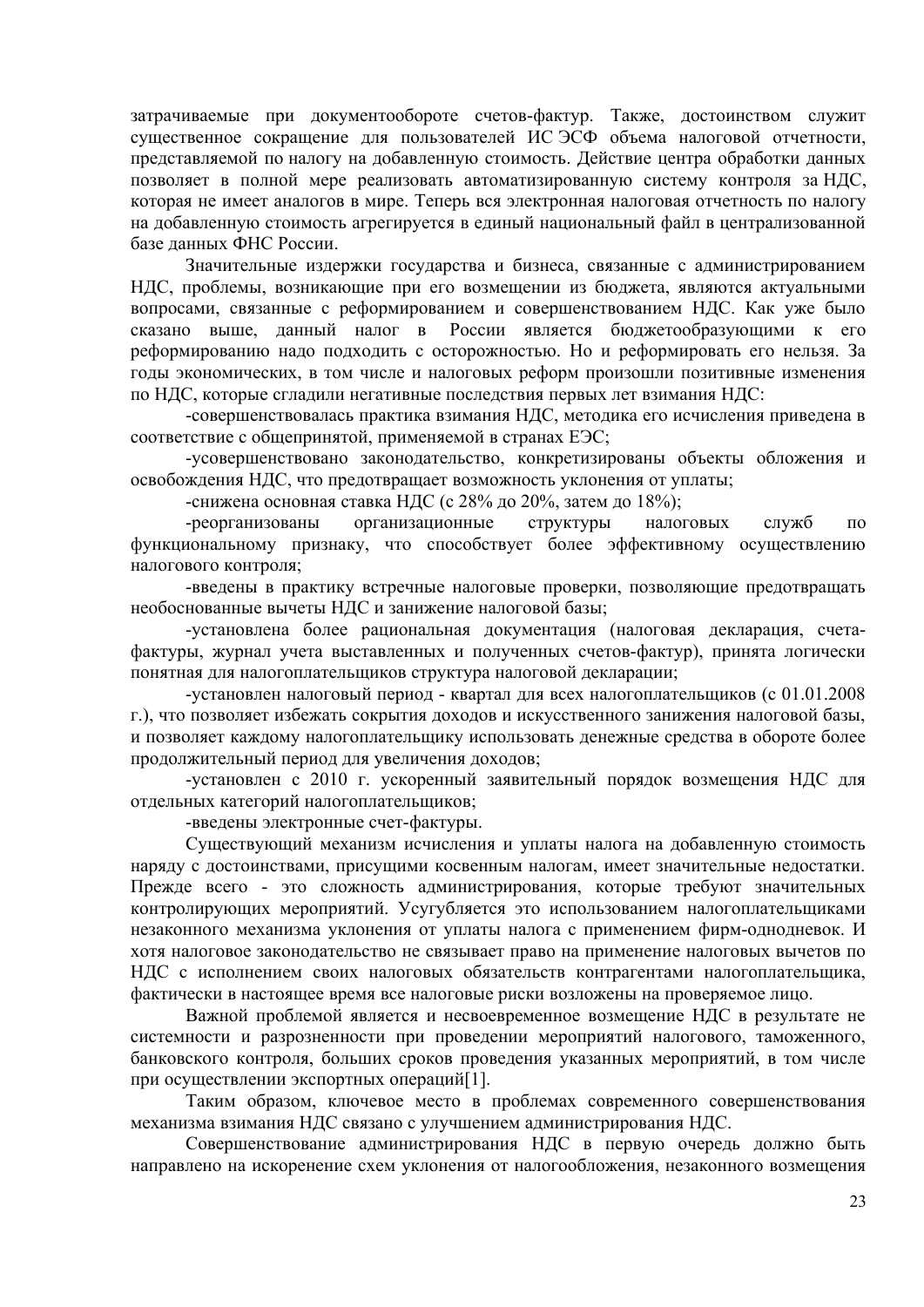затрачиваемые при документообороте счетов-фактур. Также, достоинством служит существенное сокращение для пользователей ИС ЭСФ объема налоговой отчетности, представляемой по налогу на добавленную стоимость. Действие центра обработки данных позволяет в полной мере реализовать автоматизированную систему контроля за НДС, которая не имеет аналогов в мире. Теперь вся электронная налоговая отчетность по налогу на добавленную стоимость агрегируется в единый национальный файл в централизованной базе ланных ФНС России.

Значительные издержки государства и бизнеса, связанные с администрированием НДС, проблемы, возникающие при его возмещении из бюджета, являются актуальными вопросами, связанные с реформированием и совершенствованием НДС. Как уже было сказано выше, данный налог в России является бюджетообразующими к его реформированию надо подходить с осторожностью. Но и реформировать его нельзя. За годы экономических, в том числе и налоговых реформ произошли позитивные изменения по НДС, которые сгладили негативные последствия первых лет взимания НДС:

-совершенствовалась практика взимания НДС, методика его исчисления приведена в соответствие с общепринятой, применяемой в странах ЕЭС;

-усовершенствовано законодательство, конкретизированы объекты обложения и освобождения НДС, что предотвращает возможность уклонения от уплаты;

-снижена основная ставка НДС (с 28% до 20%, затем до 18%);

организационные -реорганизованы структуры налоговых служб  $\overline{10}$ функциональному признаку, что способствует более эффективному осуществлению налогового контроля;

-введены в практику встречные налоговые проверки, позволяющие предотвращать необоснованные вычеты НДС и занижение налоговой базы;

-установлена более рациональная документация (налоговая декларация, счетафактуры, журнал учета выставленных и полученных счетов-фактур), принята логически понятная для налогоплательщиков структура налоговой декларации;

-установлен налоговый период - квартал для всех налогоплательщиков (с 01.01.2008 г.), что позволяет избежать сокрытия доходов и искусственного занижения налоговой базы, и позволяет каждому налогоплательщику использовать денежные средства в обороте более продолжительный период для увеличения доходов;

-установлен с 2010 г. ускоренный заявительный порядок возмещения НДС для отдельных категорий налогоплательщиков;

-введены электронные счет-фактуры.

Существующий механизм исчисления и уплаты налога на добавленную стоимость наряду с достоинствами, присущими косвенным налогам, имеет значительные недостатки. Прежде всего - это сложность администрирования, которые требуют значительных контролирующих мероприятий. Усугубляется это использованием налогоплательщиками незаконного механизма уклонения от уплаты налога с применением фирм-однодневок. И хотя налоговое законодательство не связывает право на применение налоговых вычетов по НДС с исполнением своих налоговых обязательств контрагентами налогоплательщика, фактически в настоящее время все налоговые риски возложены на проверяемое лицо.

Важной проблемой является и несвоевременное возмещение НДС в результате не системности и разрозненности при проведении мероприятий налогового, таможенного, банковского контроля, больших сроков проведения указанных мероприятий, в том числе при осуществлении экспортных операций[1].

Таким образом, ключевое место в проблемах современного совершенствования механизма взимания НДС связано с улучшением администрирования НДС.

Совершенствование администрирования НДС в первую очередь должно быть направлено на искоренение схем уклонения от налогообложения, незаконного возмещения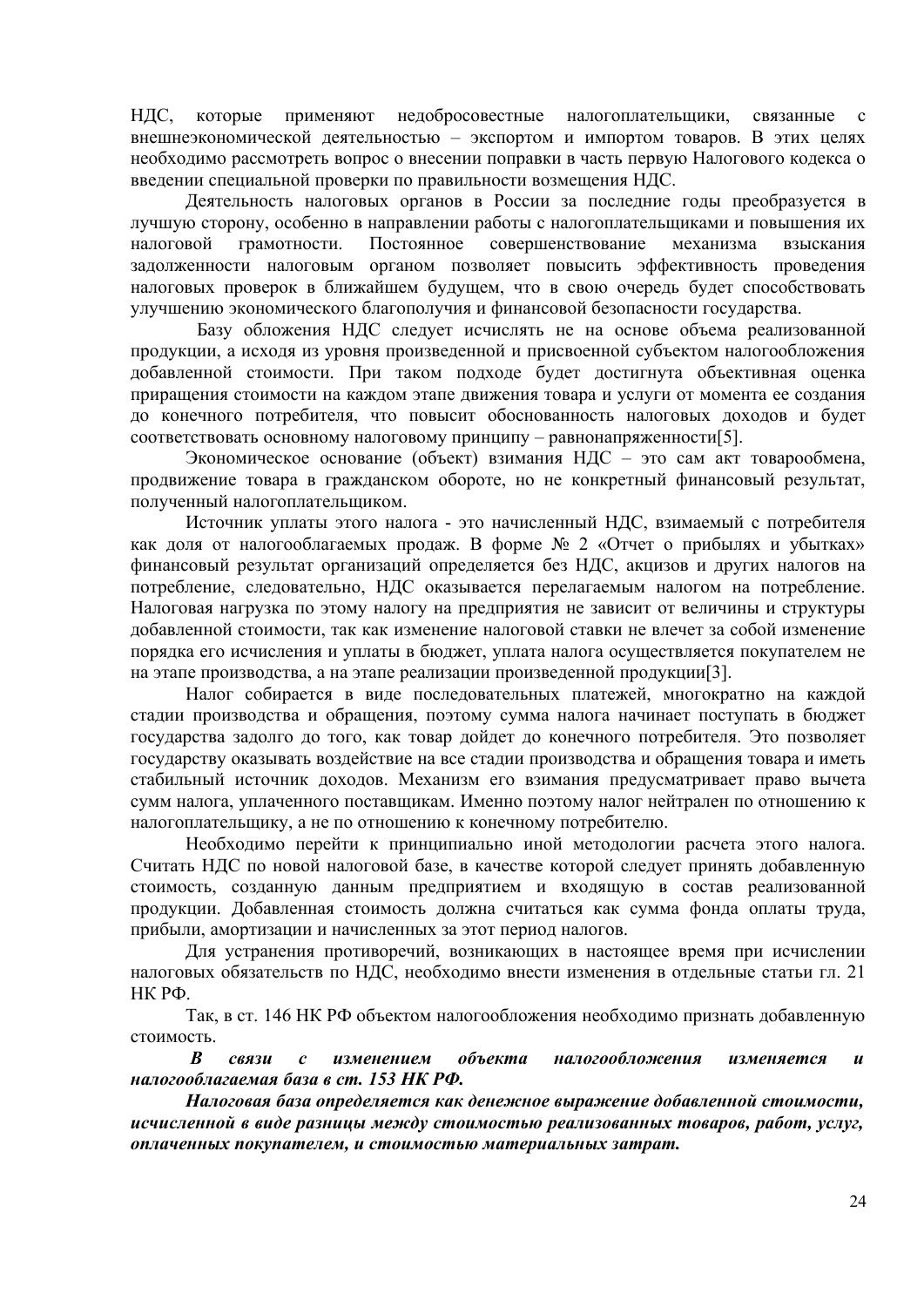НДС. применяют недобросовестные налогоплательшики. которые связанные  $\mathfrak{g}$ внешнеэкономической деятельностью - экспортом и импортом товаров. В этих целях необходимо рассмотреть вопрос о внесении поправки в часть первую Налогового кодекса о введении специальной проверки по правильности возмещения НДС.

Деятельность налоговых органов в России за последние годы преобразуется в лучшую сторону, особенно в направлении работы с налогоплательщиками и повышения их налоговой грамотности. Постоянное совершенствование механизма взыскания задолженности налоговым органом позволяет повысить эффективность проведения налоговых проверок в ближайшем будущем, что в свою очередь будет способствовать улучшению экономического благополучия и финансовой безопасности государства.

Базу обложения НДС следует исчислять не на основе объема реализованной продукции, а исходя из уровня произведенной и присвоенной субъектом налогообложения добавленной стоимости. При таком подходе будет достигнута объективная оценка приращения стоимости на каждом этапе движения товара и услуги от момента ее создания до конечного потребителя, что повысит обоснованность налоговых доходов и будет соответствовать основному налоговому принципу - равнонапряженности[5].

Экономическое основание (объект) взимания НДС - это сам акт товарообмена, продвижение товара в гражданском обороте, но не конкретный финансовый результат, полученный налогоплательщиком.

Источник уплаты этого налога - это начисленный НДС, взимаемый с потребителя как доля от налогооблагаемых продаж. В форме № 2 «Отчет о прибылях и убытках» финансовый результат организаций определяется без НДС, акцизов и других налогов на потребление, следовательно, НДС оказывается перелагаемым налогом на потребление. Налоговая нагрузка по этому налогу на предприятия не зависит от величины и структуры добавленной стоимости, так как изменение налоговой ставки не влечет за собой изменение порядка его исчисления и уплаты в бюджет, уплата налога осуществляется покупателем не на этапе производства, а на этапе реализации произведенной продукции [3].

Налог собирается в виде последовательных платежей, многократно на каждой стадии производства и обращения, поэтому сумма налога начинает поступать в бюджет государства задолго до того, как товар дойдет до конечного потребителя. Это позволяет государству оказывать воздействие на все стадии производства и обращения товара и иметь стабильный источник доходов. Механизм его взимания предусматривает право вычета сумм налога, уплаченного поставщикам. Именно поэтому налог нейтрален по отношению к налогоплательщику, а не по отношению к конечному потребителю.

Необходимо перейти к принципиально иной методологии расчета этого налога. Считать НДС по новой налоговой базе, в качестве которой следует принять добавленную стоимость, созданную данным предприятием и входящую в состав реализованной продукции. Добавленная стоимость должна считаться как сумма фонда оплаты труда, прибыли, амортизации и начисленных за этот период налогов.

Для устранения противоречий, возникающих в настоящее время при исчислении налоговых обязательств по НДС, необходимо внести изменения в отдельные статьи гл. 21 НК РФ.

Так, в ст. 146 НК РФ объектом налогообложения необходимо признать добавленную стоимость.

B связи  $\mathcal{C}_{\mathcal{C}}$ изменением объекта налогообложения изменяется  $\boldsymbol{u}$ налогооблагаемая база в ст. 153 НК РФ.

Налоговая база определяется как денежное выражение добавленной стоимости, исчисленной в виде разницы между стоимостью реализованных товаров, работ, услуг, оплаченных покупателем, и стоимостью материальных затрат.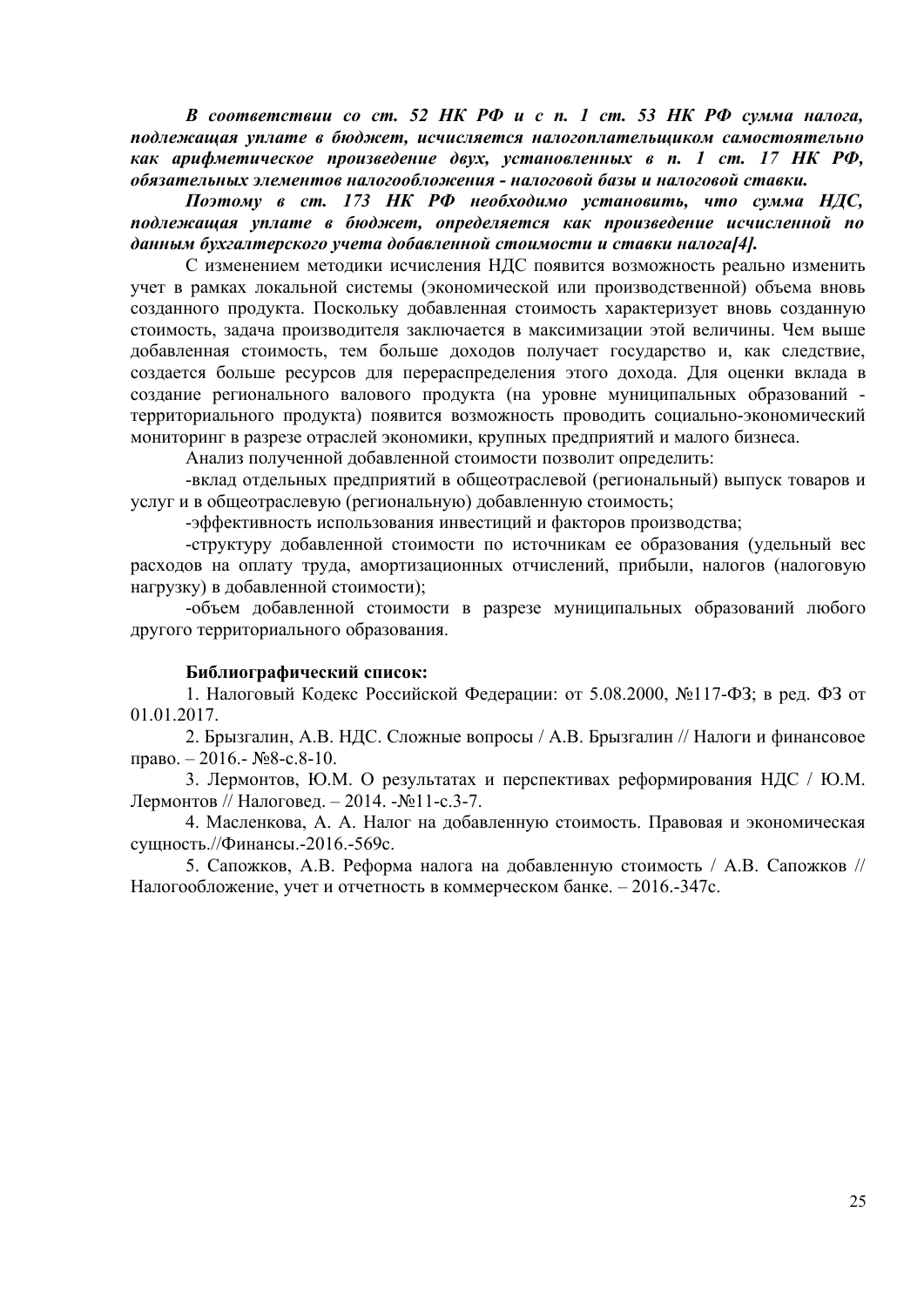*В соответствии со ст. 52 НК РФ и с п. 1 ст. 53 НК РФ сумма налога, подлежащая уплате в бюджет, исчисляется налогоплательщиком самостоятельно как арифметическое произведение двух, установленных в п. 1 ст. 17 НК РФ, обязательных элементов налогообложения - налоговой базы и налоговой ставки.*

*Поэтому в ст. 173 НК РФ необходимо установить, что сумма НДС, подлежащая уплате в бюджет, определяется как произведение исчисленной по данным бухгалтерского учета добавленной стоимости и ставки налога[4].*

С изменением методики исчисления НДС появится возможность реально изменить учет в рамках локальной системы (экономической или производственной) объема вновь созданного продукта. Поскольку добавленная стоимость характеризует вновь созданную стоимость, задача производителя заключается в максимизации этой величины. Чем выше добавленная стоимость, тем больше доходов получает государство и, как следствие, создается больше ресурсов для перераспределения этого дохода. Для оценки вклада в создание регионального валового продукта (на уровне муниципальных образований территориального продукта) появится возможность проводить социально-экономический мониторинг в разрезе отраслей экономики, крупных предприятий и малого бизнеса.

Анализ полученной добавленной стоимости позволит определить:

-вклад отдельных предприятий в общеотраслевой (региональный) выпуск товаров и услуг и в общеотраслевую (региональную) добавленную стоимость;

-эффективность использования инвестиций и факторов производства;

-структуру добавленной стоимости по источникам ее образования (удельный вес расходов на оплату труда, амортизационных отчислений, прибыли, налогов (налоговую нагрузку) в добавленной стоимости);

-объем добавленной стоимости в разрезе муниципальных образований любого другого территориального образования.

### **Библиографический список:**

1. Налоговый Кодекс Российской Федерации: от 5.08.2000, №117-ФЗ; в ред. ФЗ от 01.01.2017.

2. Брызгалин, А.В. НДС. Сложные вопросы / А.В. Брызгалин // Налоги и финансовое право. – 2016.-  $N_28$ -с.8-10.

3. Лермонтов, Ю.М. О результатах и перспективах реформирования НДС / Ю.М. Лермонтов // Налоговед. – 2014. -№11-с.3-7.

4. Масленкова, А. А. Налог на добавленную стоимость. Правовая и экономическая сущность.//Финансы.-2016.-569с.

5. Сапожков, А.В. Реформа налога на добавленную стоимость / А.В. Сапожков // Налогообложение, учет и отчетность в коммерческом банке. – 2016.-347с.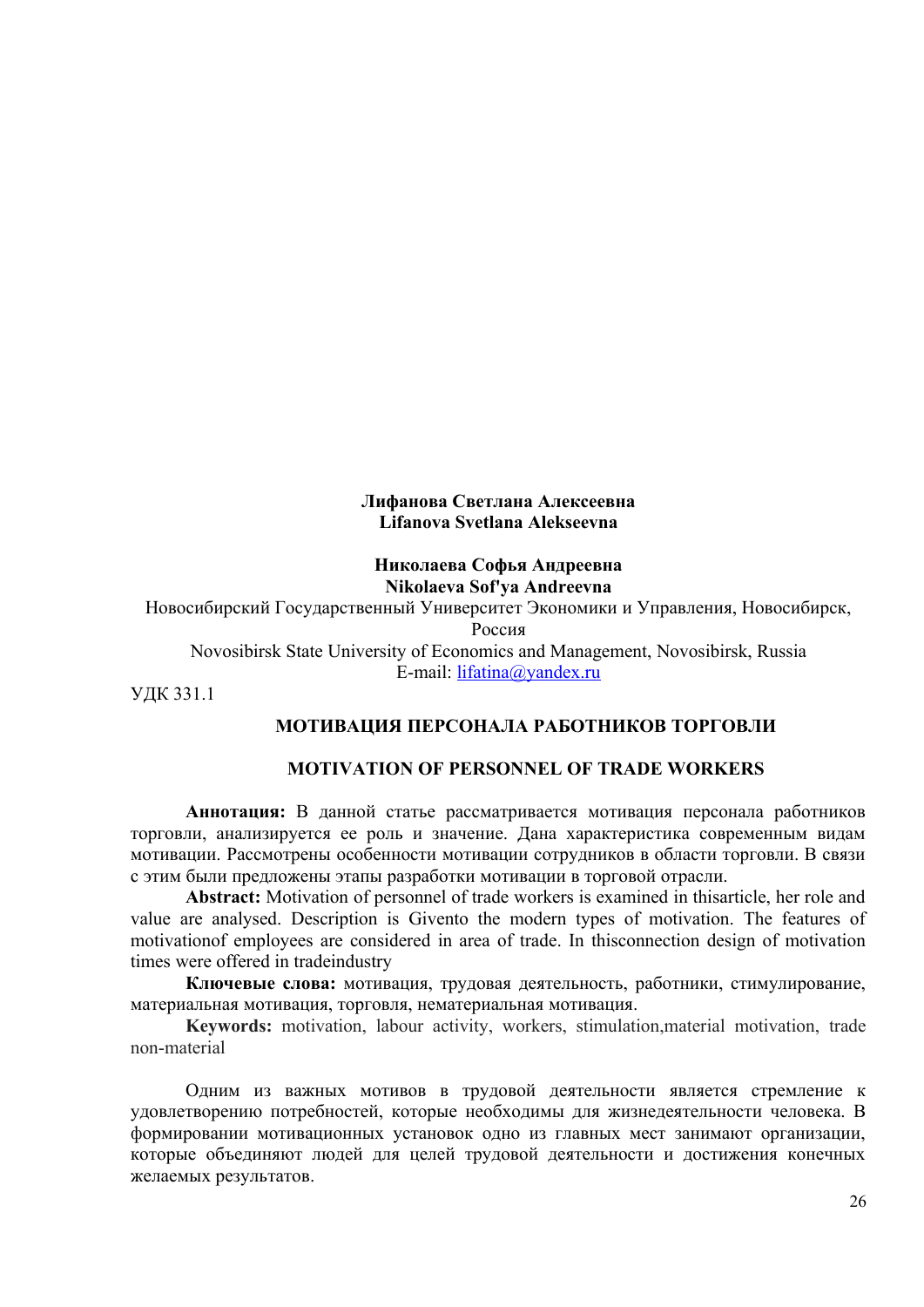#### **Лифанова Светлана Алексеевна Lifanova Svetlana Alekseevna**

### **Николаева Софья Андреевна Nikolaeva Sof'ya Andreevna**

Новосибирский Государственный Университет Экономики и Управления, Новосибирск, Россия

Novosibirsk State University of Economics and Management, Novosibirsk, Russia E-mail: [lifatina@yandex.ru](mailto:lifatina@yandex.ru)

УДК 331.1

## **МОТИВАЦИЯ ПЕРСОНАЛА РАБОТНИКОВ ТОРГОВЛИ**

### **MOTIVATION OF PERSONNEL OF TRADE WORKERS**

**Аннотация:** В данной статье рассматривается мотивация персонала работников торговли, анализируется ее роль и значение. Дана характеристика современным видам мотивации. Рассмотрены особенности мотивации сотрудников в области торговли. В связи с этим были предложены этапы разработки мотивации в торговой отрасли.

**Abstract:** Motivation of personnel of trade workers is examined in thisarticle, her role and value are analysed. Description is Givento the modern types of motivation. The features of motivationof employees are considered in area of trade. In thisconnection design of motivation times were offered in tradeindustry

**Ключевые слова:** мотивация, трудовая деятельность, работники, стимулирование, материальная мотивация, торговля, нематериальная мотивация.

**Keywords:** motivation, labour activity, workers, stimulation,material motivation, trade non-material

Одним из важных мотивов в трудовой деятельности является стремление к удовлетворению потребностей, которые необходимы для жизнедеятельности человека. В формировании мотивационных установок одно из главных мест занимают организации, которые объединяют людей для целей трудовой деятельности и достижения конечных желаемых результатов.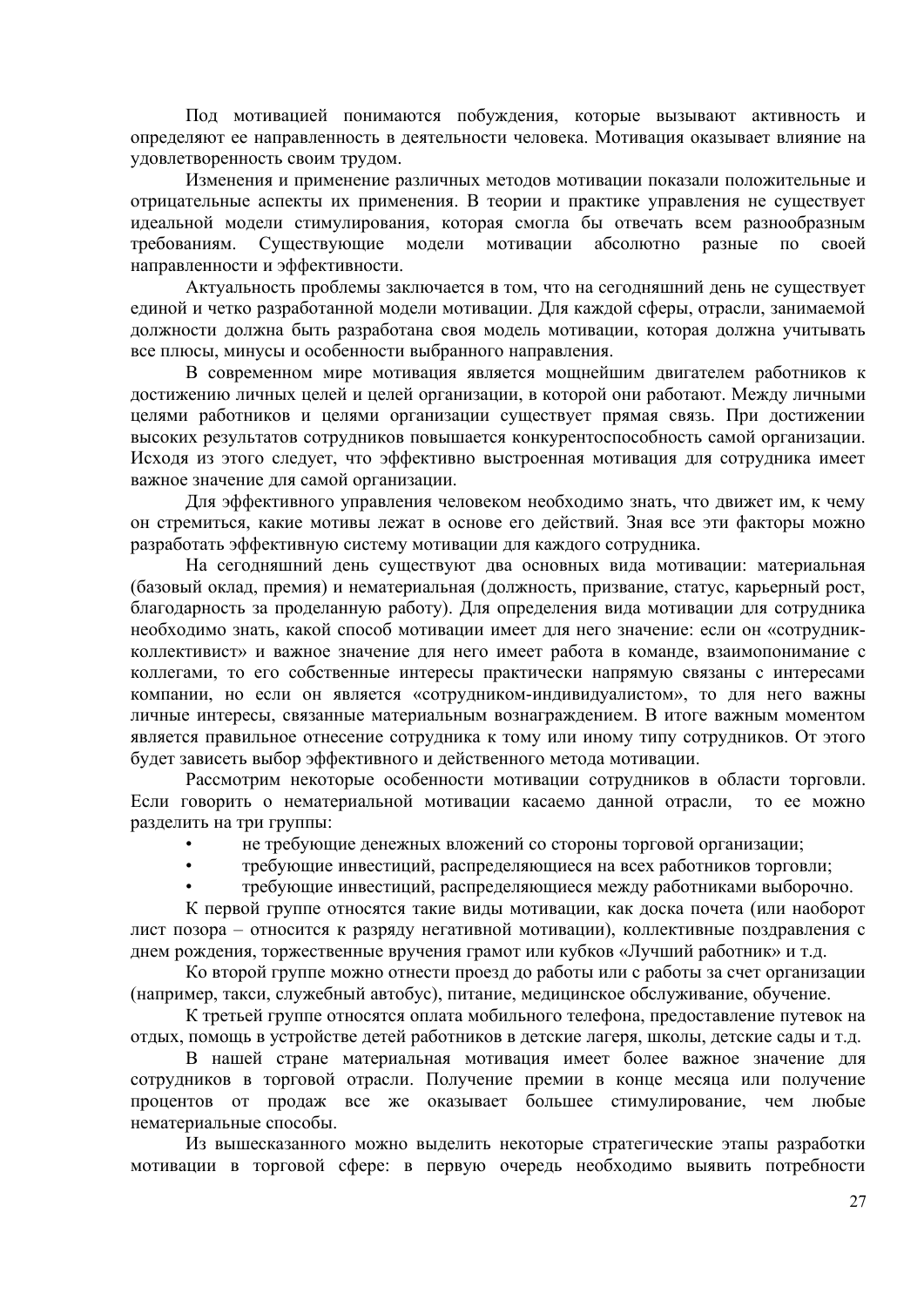Под мотивацией понимаются побуждения, которые вызывают активность и определяют ее направленность в деятельности человека. Мотивация оказывает влияние на удовлетворенность своим трудом.

Изменения и применение различных методов мотивации показали положительные и отрицательные аспекты их применения. В теории и практике управления не существует идеальной модели стимулирования, которая смогла бы отвечать всем разнообразным требованиям. Существующие модели мотивации абсолютно разные по своей направленности и эффективности.

Актуальность проблемы заключается в том, что на сегодняшний день не существует единой и четко разработанной модели мотивации. Для каждой сферы, отрасли, занимаемой должности должна быть разработана своя модель мотивации, которая должна учитывать все плюсы, минусы и особенности выбранного направления.

В современном мире мотивация является мощнейшим двигателем работников к достижению личных целей и целей организации, в которой они работают. Между личными целями работников и целями организации существует прямая связь. При достижении высоких результатов сотрудников повышается конкурентоспособность самой организации. Исходя из этого следует, что эффективно выстроенная мотивация для сотрудника имеет важное значение для самой организации.

Для эффективного управления человеком необходимо знать, что движет им, к чему он стремиться, какие мотивы лежат в основе его действий. Зная все эти факторы можно разработать эффективную систему мотивации для каждого сотрудника.

На сегодняшний день существуют два основных вида мотивации: материальная (базовый оклад, премия) и нематериальная (должность, призвание, статус, карьерный рост, благодарность за проделанную работу). Для определения вида мотивации для сотрудника необходимо знать, какой способ мотивации имеет для него значение: если он «сотрудникколлективист» и важное значение для него имеет работа в команде, взаимопонимание с коллегами, то его собственные интересы практически напрямую связаны с интересами компании, но если он является «сотрудником-индивидуалистом», то для него важны личные интересы, связанные материальным вознаграждением. В итоге важным моментом является правильное отнесение сотрудника к тому или иному типу сотрудников. От этого будет зависеть выбор эффективного и действенного метода мотивации.

Рассмотрим некоторые особенности мотивации сотрудников в области торговли. Если говорить о нематериальной мотивации касаемо данной отрасли, то ее можно разделить на три группы:

- не требующие денежных вложений со стороны торговой организации;
- требующие инвестиций, распределяющиеся на всех работников торговли;
- требующие инвестиций, распределяющиеся между работниками выборочно.

К первой группе относятся такие виды мотивации, как доска почета (или наоборот лист позора – относится к разряду негативной мотивации), коллективные поздравления с днем рождения, торжественные вручения грамот или кубков «Лучший работник» и т.д.

Ко второй группе можно отнести проезд до работы или с работы за счет организации (например, такси, служебный автобус), питание, медицинское обслуживание, обучение.

К третьей группе относятся оплата мобильного телефона, предоставление путевок на отдых, помощь в устройстве детей работников в детские лагеря, школы, детские сады и т.д.

В нашей стране материальная мотивация имеет более важное значение для сотрудников в торговой отрасли. Получение премии в конце месяца или получение процентов от продаж все же оказывает большее стимулирование, чем любые нематериальные способы.

Из вышесказанного можно выделить некоторые стратегические этапы разработки мотивации в торговой сфере: в первую очередь необходимо выявить потребности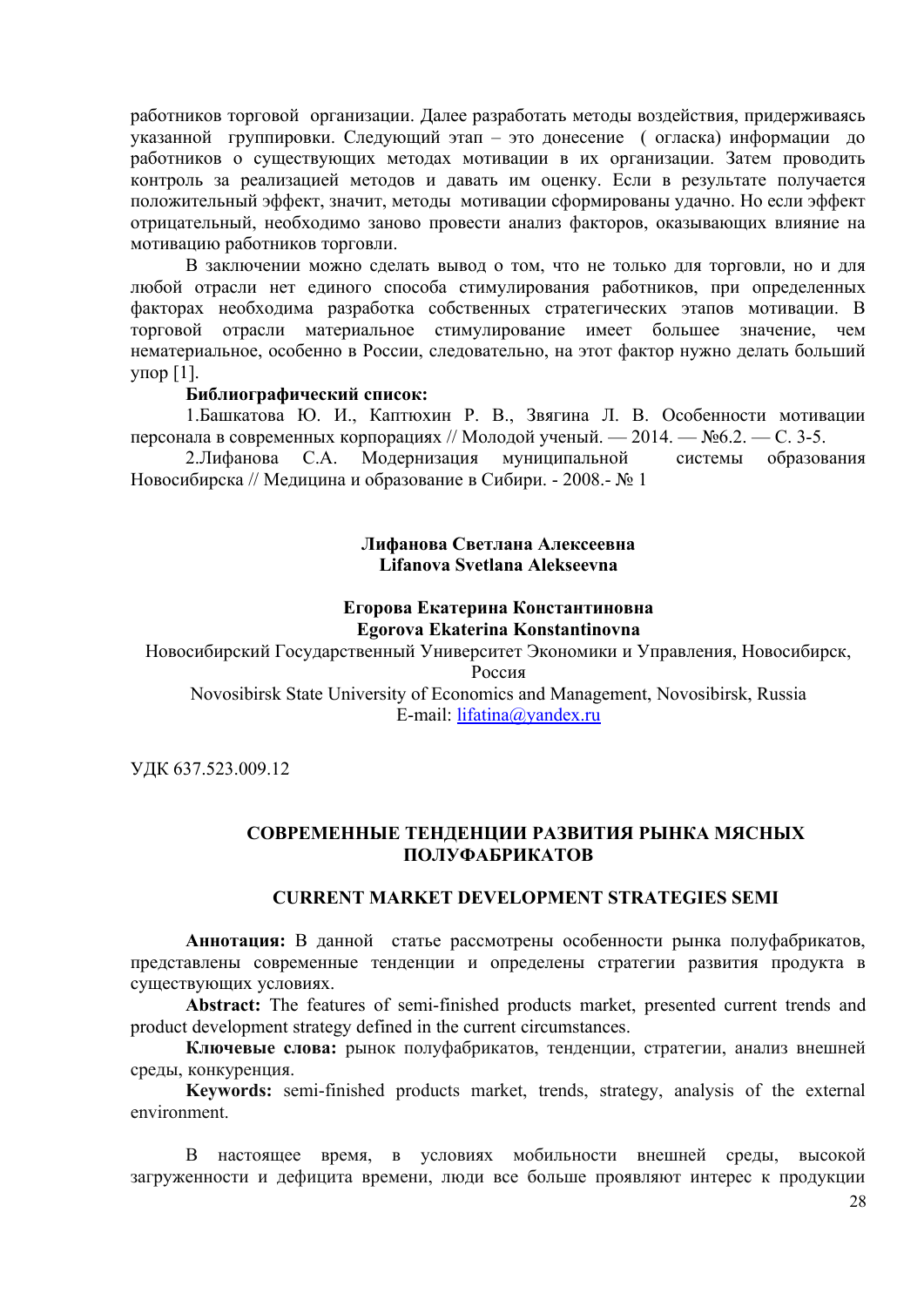работников торговой организации. Далее разработать методы воздействия, придерживаясь указанной группировки. Следующий этап – это донесение ( огласка) информации до работников о существующих методах мотивации в их организации. Затем проводить контроль за реализацией методов и давать им оценку. Если в результате получается положительный эффект, значит, методы мотивации сформированы удачно. Но если эффект отрицательный, необходимо заново провести анализ факторов, оказывающих влияние на мотивацию работников торговли.

В заключении можно сделать вывод о том, что не только для торговли, но и для любой отрасли нет единого способа стимулирования работников, при определенных факторах необходима разработка собственных стратегических этапов мотивации. В торговой отрасли материальное стимулирование имеет большее значение, чем нематериальное, особенно в России, следовательно, на этот фактор нужно делать больший упор [1].

#### **Библиографический список:**

1.Башкатова Ю. И., Каптюхин Р. В., Звягина Л. В. Особенности мотивации персонала в современных корпорациях // Молодой ученый. — 2014. — №6.2. — С. 3-5.

2.Лифанова С.А. Модернизация муниципальной системы образования Новосибирска // Медицина и образование в Сибири. - 2008.- № 1

#### **Лифанова Светлана Алексеевна Lifanova Svetlana Alekseevna**

#### **Егорова Екатерина Константиновна Egorova Ekaterina Konstantinovna**

Новосибирский Государственный Университет Экономики и Управления, Новосибирск, Россия

Novosibirsk State University of Economics and Management, Novosibirsk, Russia E-mail: [lifatina@yandex.ru](mailto:lifatina@yandex.ru)

УДК 637.523.009.12

# **СОВРЕМЕННЫЕ ТЕНДЕНЦИИ РАЗВИТИЯ РЫНКА МЯСНЫХ ПОЛУФАБРИКАТОВ**

#### **CURRENT MARKET DEVELOPMENT STRATEGIES SEMI**

**Аннотация:** В данной статье рассмотрены особенности рынка полуфабрикатов, представлены современные тенденции и определены стратегии развития продукта в существующих условиях.

**Abstract:** The features of semi-finished products market, presented current trends and product development strategy defined in the current circumstances.

**Ключевые слова:** рынок полуфабрикатов, тенденции, стратегии, анализ внешней среды, конкуренция.

**Keywords:** semi-finished products market, trends, strategy, analysis of the external environment.

В настоящее время, в условиях мобильности внешней среды, высокой загруженности и дефицита времени, люди все больше проявляют интерес к продукции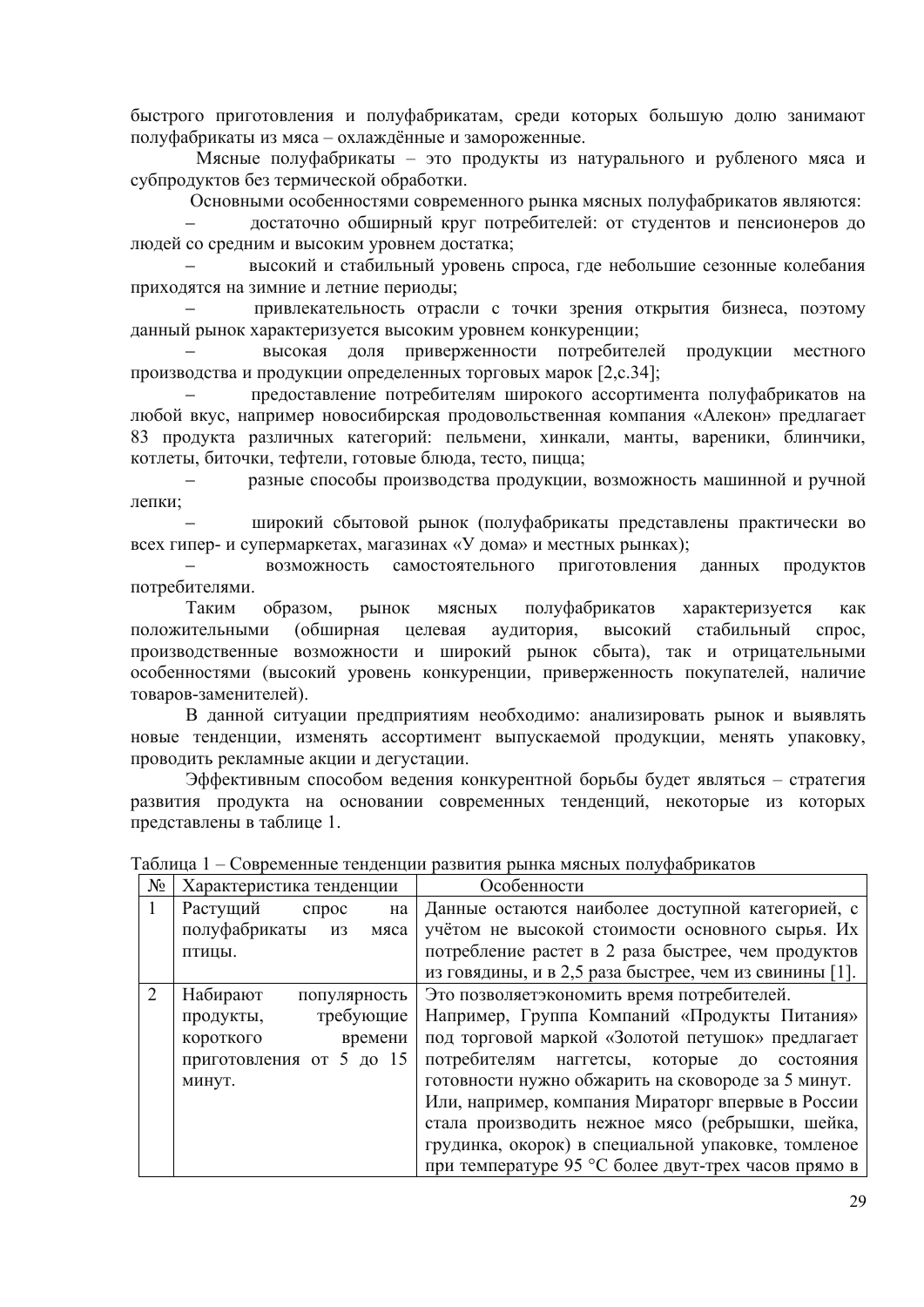быстрого приготовления и полуфабрикатам, среди которых большую долю занимают полуфабрикаты из мяса – охлаждённые и замороженные.

 Мясные полуфабрикаты – это продукты из натурального и рубленого мяса и субпродуктов без термической обработки.

Основными особенностями современного рынка мясных полуфабрикатов являются:

‒ достаточно обширный круг потребителей: от студентов и пенсионеров до людей со средним и высоким уровнем достатка;

‒ высокий и стабильный уровень спроса, где небольшие сезонные колебания приходятся на зимние и летние периоды;

‒ привлекательность отрасли с точки зрения открытия бизнеса, поэтому данный рынок характеризуется высоким уровнем конкуренции;

‒ высокая доля приверженности потребителей продукции местного производства и продукции определенных торговых марок [2,с.34];

‒ предоставление потребителям широкого ассортимента полуфабрикатов на любой вкус, например новосибирская продовольственная компания «Алекон» предлагает 83 продукта различных категорий: пельмени, хинкали, манты, вареники, блинчики, котлеты, биточки, тефтели, готовые блюда, тесто, пицца;

разные способы производства продукции, возможность машинной и ручной лепки;

‒ широкий сбытовой рынок (полуфабрикаты представлены практически во всех гипер- и супермаркетах, магазинах «У дома» и местных рынках);

‒ возможность самостоятельного приготовления данных продуктов потребителями.

Таким образом, рынок мясных полуфабрикатов характеризуется как положительными (обширная целевая аудитория, высокий стабильный спрос, производственные возможности и широкий рынок сбыта), так и отрицательными особенностями (высокий уровень конкуренции, приверженность покупателей, наличие товаров-заменителей).

В данной ситуации предприятиям необходимо: анализировать рынок и выявлять новые тенденции, изменять ассортимент выпускаемой продукции, менять упаковку, проводить рекламные акции и дегустации.

Эффективным способом ведения конкурентной борьбы будет являться – стратегия развития продукта на основании современных тенденций, некоторые из которых представлены в таблице 1.

| $N_2$ | Характеристика тенденции           | Особенности                                             |
|-------|------------------------------------|---------------------------------------------------------|
|       | Растущий<br>спрос<br>на            | Данные остаются наиболее доступной категорией, с        |
|       | полуфабрикаты<br><b>ИЗ</b><br>мяса | учётом не высокой стоимости основного сырья. Их         |
|       | ПТИЦЫ.                             | потребление растет в 2 раза быстрее, чем продуктов      |
|       |                                    | из говядины, и в 2,5 раза быстрее, чем из свинины [1].  |
|       | Набирают<br>популярность           | Это позволяетэкономить время потребителей.              |
|       | требующие<br>продукты,             | Например, Группа Компаний «Продукты Питания»            |
|       | времени<br>короткого               | под торговой маркой «Золотой петушок» предлагает        |
|       | приготовления от 5 до 15           | потребителям<br>наггетсы,<br>которые<br>ДО<br>состояния |
|       | минут.                             | готовности нужно обжарить на сковороде за 5 минут.      |
|       |                                    | Или, например, компания Мираторг впервые в России       |
|       |                                    | стала производить нежное мясо (ребрышки, шейка,         |
|       |                                    | грудинка, окорок) в специальной упаковке, томленое      |
|       |                                    | при температуре 95 °С более двут-трех часов прямо в     |

|  | Таблица 1 – Современные тенденции развития рынка мясных полуфабрикатов |  |  |  |
|--|------------------------------------------------------------------------|--|--|--|
|  |                                                                        |  |  |  |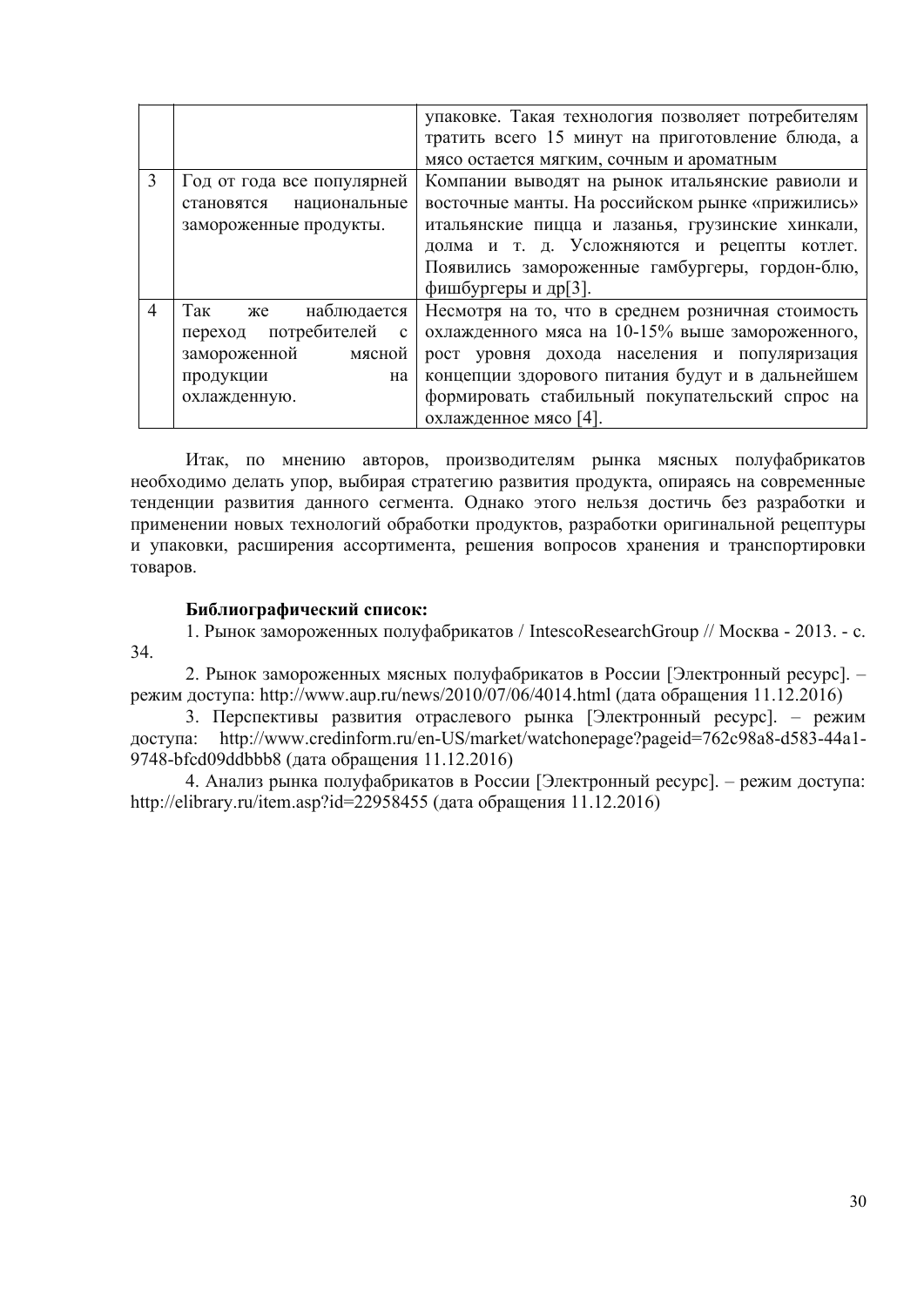|   |                                      | упаковке. Такая технология позволяет потребителям |
|---|--------------------------------------|---------------------------------------------------|
|   |                                      | тратить всего 15 минут на приготовление блюда, а  |
|   |                                      | мясо остается мягким, сочным и ароматным          |
| 3 | Год от года все популярней           | Компании выводят на рынок итальянские равиоли и   |
|   | национальные<br>становятся           | восточные манты. На российском рынке «прижились»  |
|   | замороженные продукты.               | итальянские пицца и лазанья, грузинские хинкали,  |
|   |                                      | долма и т. д. Усложняются и рецепты котлет.       |
|   |                                      | Появились замороженные гамбургеры, гордон-блю,    |
|   |                                      | фишбургеры и др[3].                               |
| 4 | Так же<br>наблюдается                | Несмотря на то, что в среднем розничная стоимость |
|   | переход потребителей<br>$\mathbf{c}$ | охлажденного мяса на 10-15% выше замороженного,   |
|   | замороженной<br>мясной               | рост уровня дохода населения и популяризация      |
|   | продукции<br>на                      | концепции здорового питания будут и в дальнейшем  |
|   | охлажденную.                         | формировать стабильный покупательский спрос на    |
|   |                                      | охлажденное мясо [4].                             |

Итак, по мнению авторов, производителям рынка мясных полуфабрикатов необходимо делать упор, выбирая стратегию развития продукта, опираясь на современные тенденции развития данного сегмента. Однако этого нельзя достичь без разработки и применении новых технологий обработки продуктов, разработки оригинальной рецептуры и упаковки, расширения ассортимента, решения вопросов хранения и транспортировки товаров.

### **Библиографический список:**

1. Рынок замороженных полуфабрикатов / IntescoResearchGroup // Москва - 2013. - с.

34.

2. Рынок замороженных мясных полуфабрикатов в России [Электронный ресурс]. – режим доступа: http://www.aup.ru/news/2010/07/06/4014.html (дата обращения 11.12.2016)

3. Перспективы развития отраслевого рынка [Электронный ресурс]. – режим доступа: http://www.credinform.ru/en-US/market/watchonepage?pageid=762c98a8-d583-44a1- 9748-bfcd09ddbbb8 (дата обращения 11.12.2016)

4. Анализ рынка полуфабрикатов в России [Электронный ресурс]. – режим доступа: http://elibrary.ru/item.asp?id=22958455 (дата обращения 11.12.2016)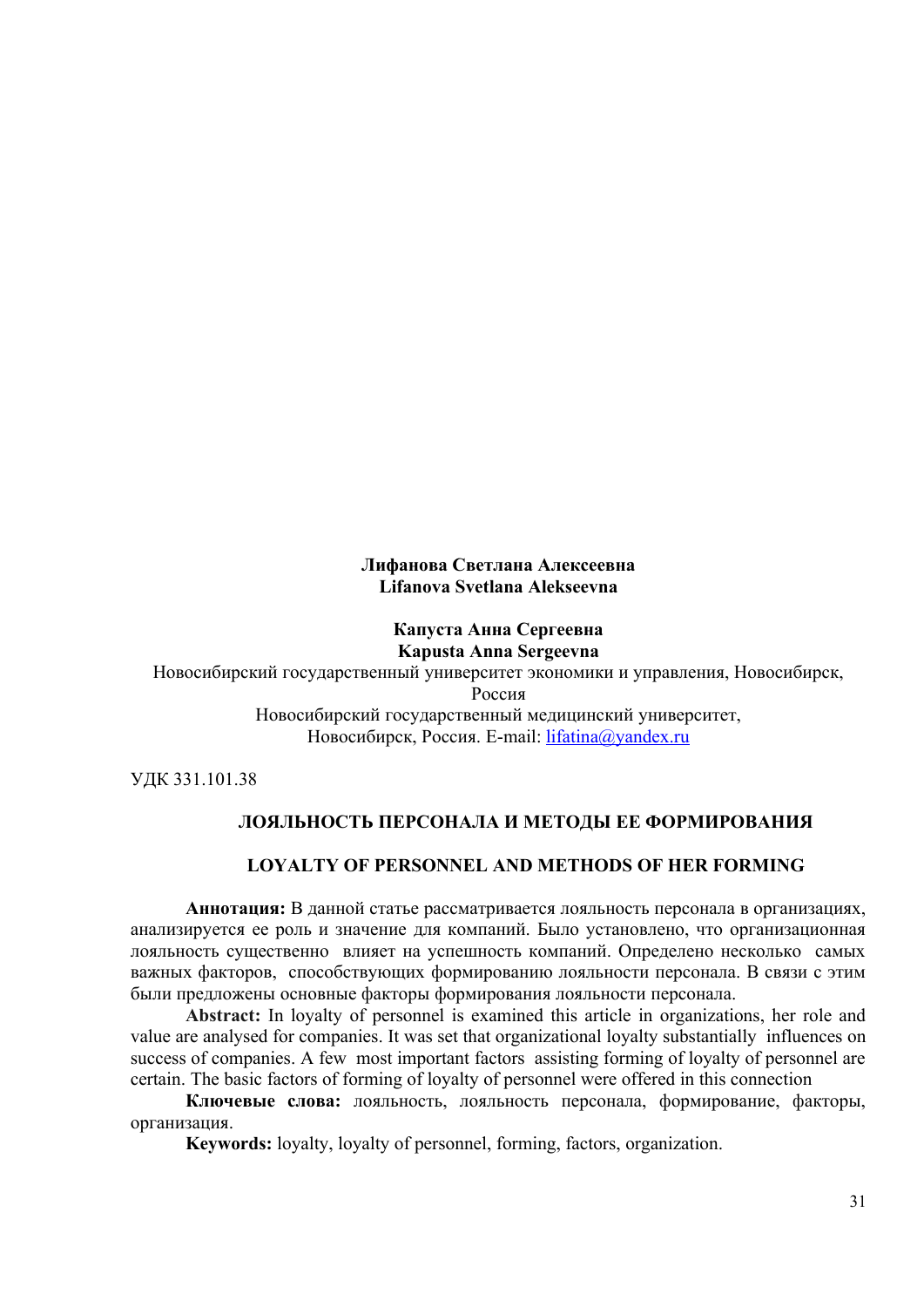### **Лифанова Светлана Алексеевна Lifanova Svetlana Alekseevna**

# **Капуста Анна Сергеевна Kapusta Anna Sergeevna**

Новосибирский государственный университет экономики и управления, Новосибирск,

Россия

Новосибирский государственный медицинский университет, Новосибирск, Россия. E-mail: *[lifatina@yandex.ru](mailto:lifatina@yandex.ru)* 

УДК 331.101.38

# **ЛОЯЛЬНОСТЬ ПЕРСОНАЛА И МЕТОДЫ ЕЕ ФОРМИРОВАНИЯ**

# **LOYALTY OF PERSONNEL AND METHODS OF HER FORMING**

**Аннотация:** В данной статье рассматривается лояльность персонала в организациях, анализируется ее роль и значение для компаний. Было установлено, что организационная лояльность существенно влияет на успешность компаний. Определено несколько самых важных факторов, способствующих формированию лояльности персонала. В связи с этим были предложены основные факторы формирования лояльности персонала.

**Abstract:** In loyalty of personnel is examined this article in organizations, her role and value are analysed for companies. It was set that organizational loyalty substantially influences on success of companies. A few most important factors assisting forming of loyalty of personnel are certain. The basic factors of forming of loyalty of personnel were offered in this connection

**Ключевые слова:** лояльность, лояльность персонала, формирование, факторы, организация.

**Keywords:** loyalty, loyalty of personnel, forming, factors, organization.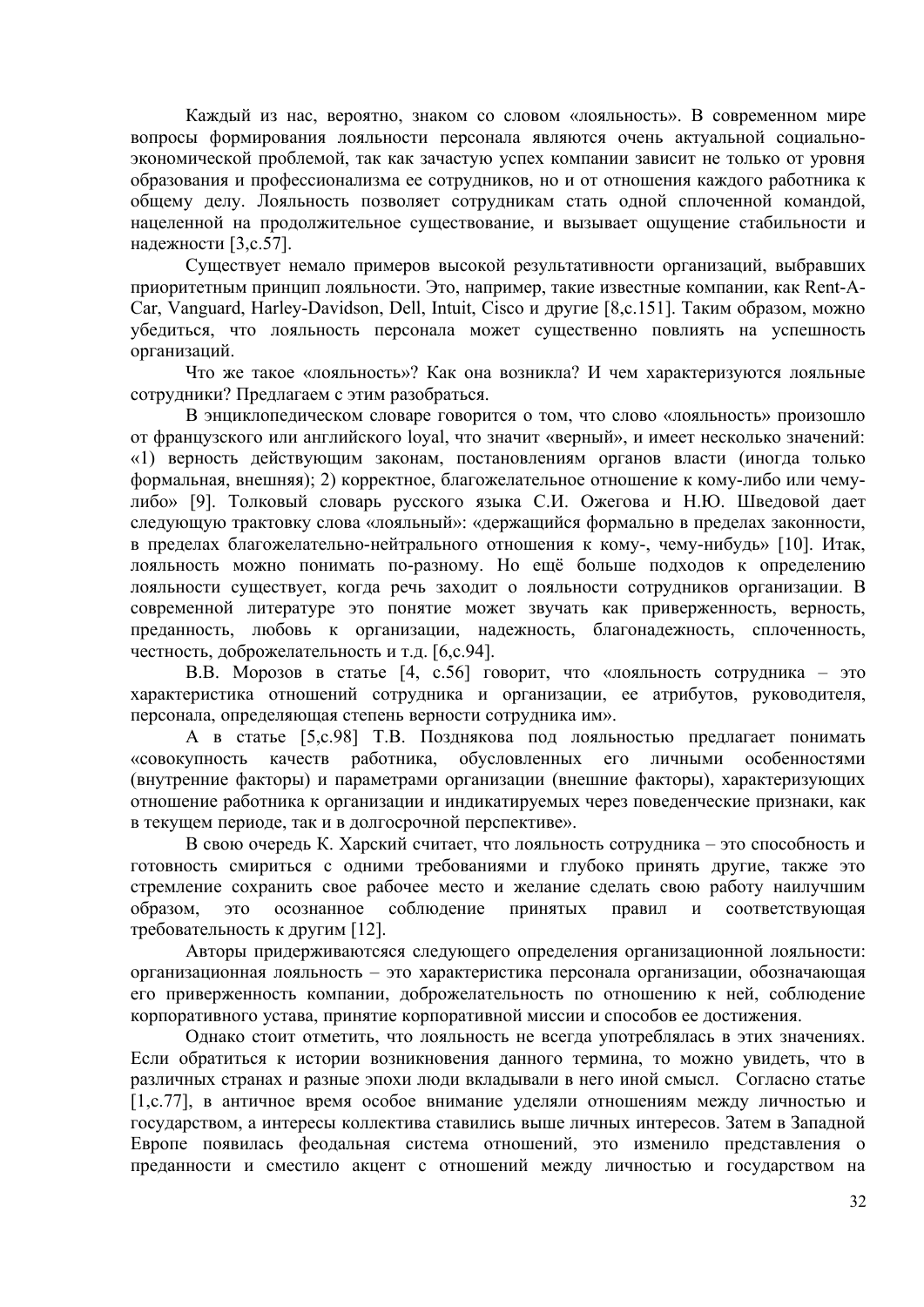Кажлый из нас, вероятно, знаком со словом «лояльность». В современном мире вопросы формирования лояльности персонала являются очень актуальной социальноэкономической проблемой, так как зачастую успех компании зависит не только от уровня образования и профессионализма ее сотрудников, но и от отношения каждого работника к общему делу. Лояльность позволяет сотрудникам стать одной сплоченной командой, нацеленной на продолжительное существование, и вызывает ощущение стабильности и надежности [3, с. 57].

Существует немало примеров высокой результативности организаций, выбравших приоритетным принцип лояльности. Это, например, такие известные компании, как Rent-A-Car, Vanguard, Harley-Davidson, Dell, Intuit, Cisco и другие [8, с. 151]. Таким образом, можно убедиться, что лояльность персонала может существенно повлиять на успешность организаций.

Что же такое «лояльность»? Как она возникла? И чем характеризуются лояльные сотрудники? Предлагаем с этим разобраться.

В энциклопедическом словаре говорится о том, что слово «лояльность» произошло от французского или английского loyal, что значит «верный», и имеет несколько значений: «1) верность действующим законам, постановлениям органов власти (иногда только формальная, внешняя); 2) корректное, благожелательное отношение к кому-либо или чемулибо» [9]. Толковый словарь русского языка С.И. Ожегова и Н.Ю. Шведовой дает следующую трактовку слова «лояльный»: «держащийся формально в пределах законности, в пределах благожелательно-нейтрального отношения к кому-, чему-нибудь» [10]. Итак, лояльность можно понимать по-разному. Но ещё больше подходов к определению лояльности существует, когда речь заходит о лояльности сотрудников организации. В современной литературе это понятие может звучать как приверженность, верность, преданность, любовь к организации, надежность, благонадежность, сплоченность, честность, доброжелательность и т.д. [6,с.94].

В.В. Морозов в статье [4, с.56] говорит, что «лояльность сотрудника - это характеристика отношений сотрудника и организации, ее атрибутов, руководителя, персонала, определяющая степень верности сотрудника им».

А в статье [5,с.98] Т.В. Позднякова под лояльностью предлагает понимать обусловленных его «совокупность качеств работника. личными особенностями (внутренние факторы) и параметрами организации (внешние факторы), характеризующих отношение работника к организации и индикатируемых через поведенческие признаки, как в текущем периоде, так и в долгосрочной перспективе».

В свою очередь К. Харский считает, что лояльность сотрудника - это способность и готовность смириться с одними требованиями и глубоко принять другие, также это стремление сохранить свое рабочее место и желание сделать свою работу наилучшим образом, это осознанное соблюдение принятых правил  $\boldsymbol{\mathrm{M}}$ соответствующая требовательность к другим [12].

Авторы придерживаютсяся следующего определения организационной лояльности: организационная лояльность - это характеристика персонала организации, обозначающая его приверженность компании, доброжелательность по отношению к ней, соблюдение корпоративного устава, принятие корпоративной миссии и способов ее достижения.

Однако стоит отметить, что лояльность не всегда употреблялась в этих значениях. Если обратиться к истории возникновения данного термина, то можно увидеть, что в различных странах и разные эпохи люди вкладывали в него иной смысл. Согласно статье [1, с. 77], в античное время особое внимание уделяли отношениям между личностью и государством, а интересы коллектива ставились выше личных интересов. Затем в Западной Европе появилась феодальная система отношений, это изменило представления о преданности и сместило акцент с отношений между личностью и государством на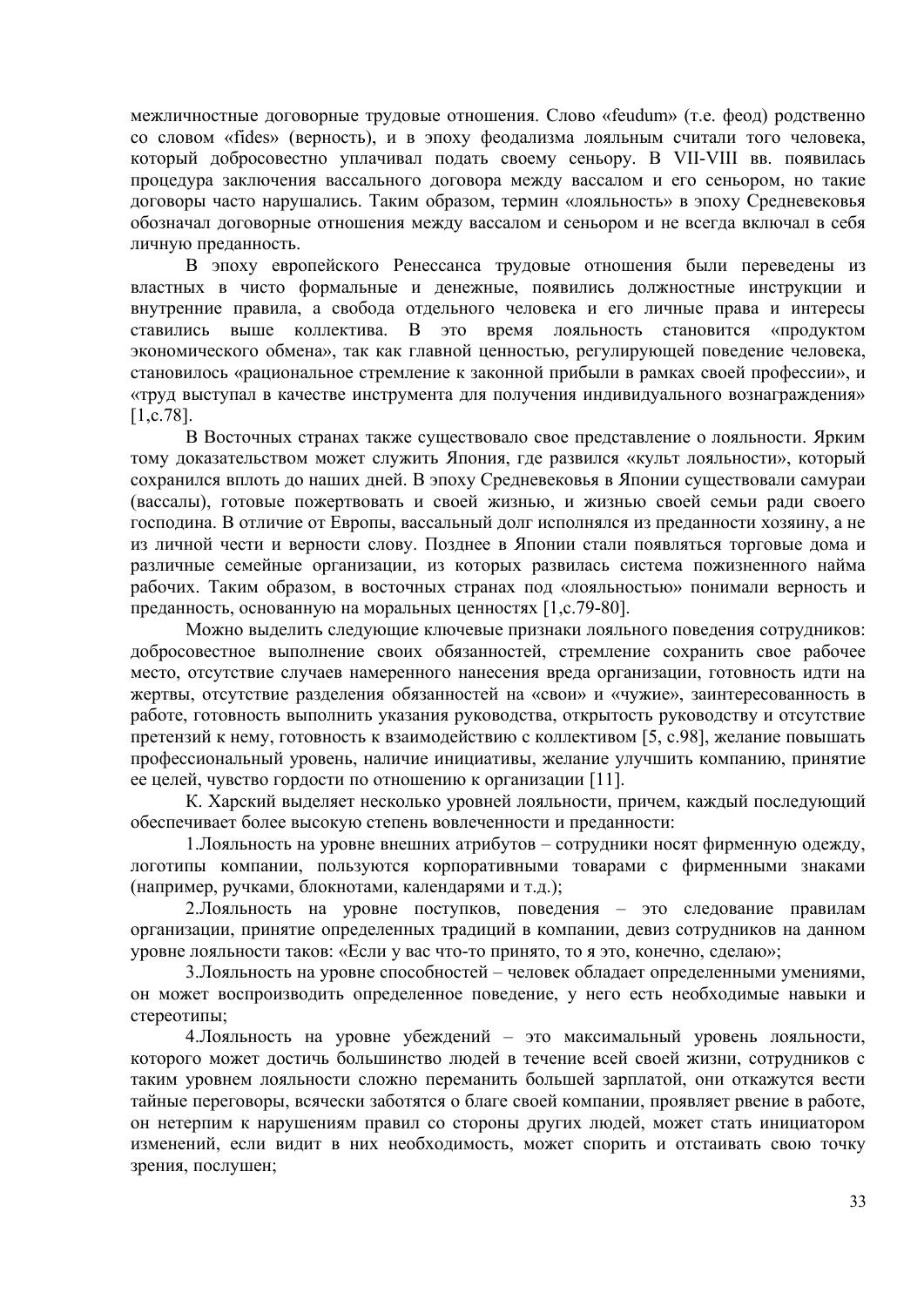межличностные договорные трудовые отношения. Слово «feudum» (т.е. феод) родственно со словом «fides» (верность), и в эпоху феодализма лояльным считали того человека, который добросовестно уплачивал подать своему сеньору. В VII-VIII вв. появилась процедура заключения вассального договора между вассалом и его сеньором, но такие договоры часто нарушались. Таким образом, термин «лояльность» в эпоху Средневековья обозначал договорные отношения между вассалом и сеньором и не всегда включал в себя личную преданность.

В эпоху европейского Ренессанса трудовые отношения были переведены из властных в чисто формальные и денежные, появились должностные инструкции и внутренние правила, а свобода отдельного человека и его личные права и интересы ставились выше коллектива. В это время лояльность становится «продуктом экономического обмена», так как главной ценностью, регулирующей поведение человека, становилось «рациональное стремление к законной прибыли в рамках своей профессии», и «труд выступал в качестве инструмента для получения индивидуального вознаграждения» [1,с.78].

В Восточных странах также существовало свое представление о лояльности. Ярким тому доказательством может служить Япония, где развился «культ лояльности», который сохранился вплоть до наших дней. В эпоху Средневековья в Японии существовали самураи (вассалы), готовые пожертвовать и своей жизнью, и жизнью своей семьи ради своего господина. В отличие от Европы, вассальный долг исполнялся из преданности хозяину, а не из личной чести и верности слову. Позднее в Японии стали появляться торговые дома и различные семейные организации, из которых развилась система пожизненного найма рабочих. Таким образом, в восточных странах под «лояльностью» понимали верность и преданность, основанную на моральных ценностях [1,с.79-80].

Можно выделить следующие ключевые признаки лояльного поведения сотрудников: добросовестное выполнение своих обязанностей, стремление сохранить свое рабочее место, отсутствие случаев намеренного нанесения вреда организации, готовность идти на жертвы, отсутствие разделения обязанностей на «свои» и «чужие», заинтересованность в работе, готовность выполнить указания руководства, открытость руководству и отсутствие претензий к нему, готовность к взаимодействию с коллективом [5, с.98], желание повышать профессиональный уровень, наличие инициативы, желание улучшить компанию, принятие ее целей, чувство гордости по отношению к организации [11].

К. Харский выделяет несколько уровней лояльности, причем, каждый последующий обеспечивает более высокую степень вовлеченности и преданности:

1.Лояльность на уровне внешних атрибутов – сотрудники носят фирменную одежду, логотипы компании, пользуются корпоративными товарами с фирменными знаками (например, ручками, блокнотами, календарями и т.д.);

2.Лояльность на уровне поступков, поведения – это следование правилам организации, принятие определенных традиций в компании, девиз сотрудников на данном уровне лояльности таков: «Если у вас что-то принято, то я это, конечно, сделаю»;

3.Лояльность на уровне способностей – человек обладает определенными умениями, он может воспроизводить определенное поведение, у него есть необходимые навыки и стереотипы;

4.Лояльность на уровне убеждений – это максимальный уровень лояльности, которого может достичь большинство людей в течение всей своей жизни, сотрудников с таким уровнем лояльности сложно переманить большей зарплатой, они откажутся вести тайные переговоры, всячески заботятся о благе своей компании, проявляет рвение в работе, он нетерпим к нарушениям правил со стороны других людей, может стать инициатором изменений, если видит в них необходимость, может спорить и отстаивать свою точку зрения, послушен;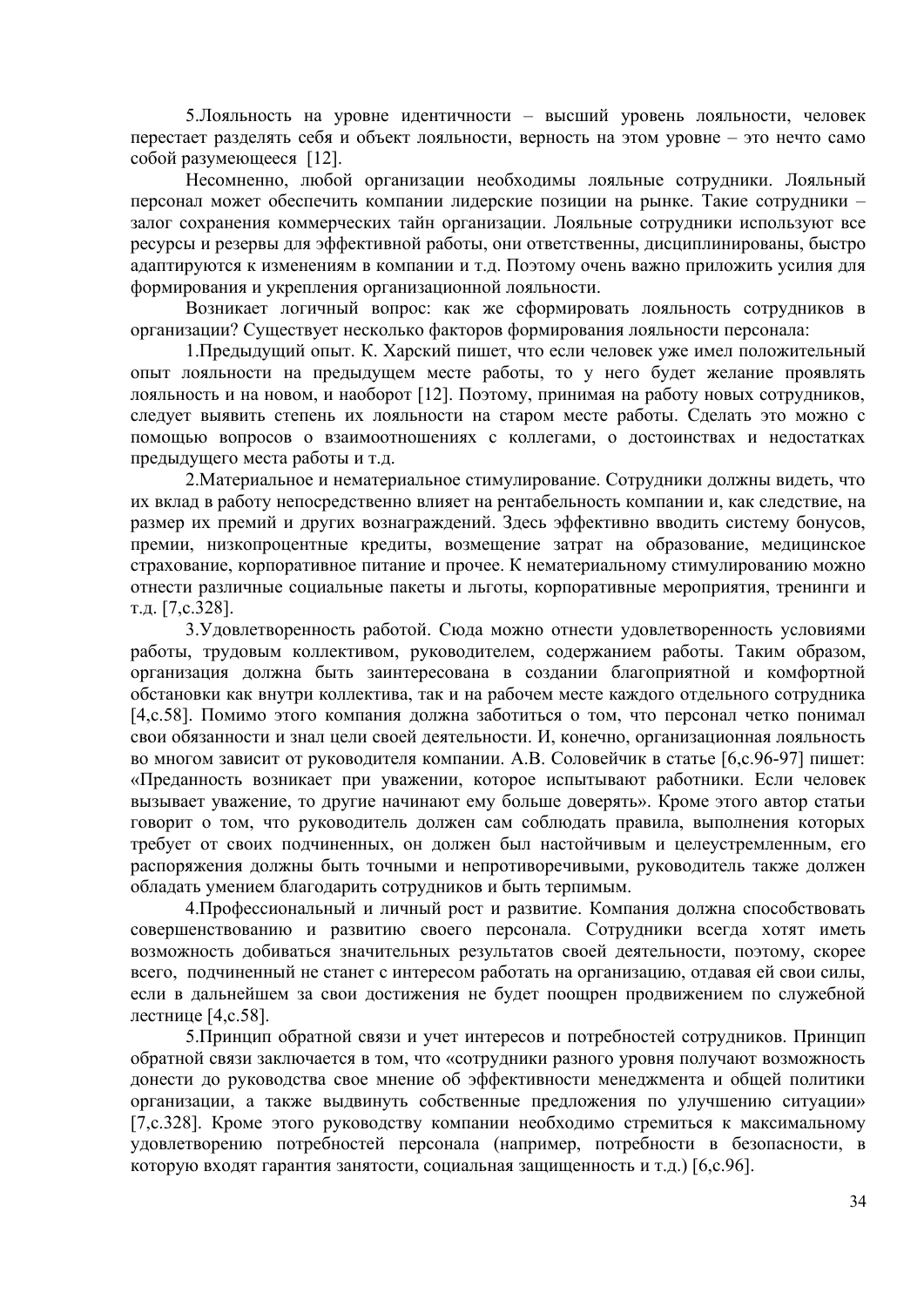5.Лояльность на уровне идентичности – высший уровень лояльности, человек перестает разделять себя и объект лояльности, верность на этом уровне – это нечто само собой разумеющееся [12].

Несомненно, любой организации необходимы лояльные сотрудники. Лояльный персонал может обеспечить компании лидерские позиции на рынке. Такие сотрудники – залог сохранения коммерческих тайн организации. Лояльные сотрудники используют все ресурсы и резервы для эффективной работы, они ответственны, дисциплинированы, быстро адаптируются к изменениям в компании и т.д. Поэтому очень важно приложить усилия для формирования и укрепления организационной лояльности.

Возникает логичный вопрос: как же сформировать лояльность сотрудников в организации? Существует несколько факторов формирования лояльности персонала:

1.Предыдущий опыт. К. Харский пишет, что если человек уже имел положительный опыт лояльности на предыдущем месте работы, то у него будет желание проявлять лояльность и на новом, и наоборот [12]. Поэтому, принимая на работу новых сотрудников, следует выявить степень их лояльности на старом месте работы. Сделать это можно с помощью вопросов о взаимоотношениях с коллегами, о достоинствах и недостатках предыдущего места работы и т.д.

2.Материальное и нематериальное стимулирование. Сотрудники должны видеть, что их вклад в работу непосредственно влияет на рентабельность компании и, как следствие, на размер их премий и других вознаграждений. Здесь эффективно вводить систему бонусов, премии, низкопроцентные кредиты, возмещение затрат на образование, медицинское страхование, корпоративное питание и прочее. К нематериальному стимулированию можно отнести различные социальные пакеты и льготы, корпоративные мероприятия, тренинги и т.д. [7,с.328].

3.Удовлетворенность работой. Сюда можно отнести удовлетворенность условиями работы, трудовым коллективом, руководителем, содержанием работы. Таким образом, организация должна быть заинтересована в создании благоприятной и комфортной обстановки как внутри коллектива, так и на рабочем месте каждого отдельного сотрудника [4,с.58]. Помимо этого компания должна заботиться о том, что персонал четко понимал свои обязанности и знал цели своей деятельности. И, конечно, организационная лояльность во многом зависит от руководителя компании. А.В. Соловейчик в статье [6,с.96-97] пишет: «Преданность возникает при уважении, которое испытывают работники. Если человек вызывает уважение, то другие начинают ему больше доверять». Кроме этого автор статьи говорит о том, что руководитель должен сам соблюдать правила, выполнения которых требует от своих подчиненных, он должен был настойчивым и целеустремленным, его распоряжения должны быть точными и непротиворечивыми, руководитель также должен обладать умением благодарить сотрудников и быть терпимым.

4.Профессиональный и личный рост и развитие. Компания должна способствовать совершенствованию и развитию своего персонала. Сотрудники всегда хотят иметь возможность добиваться значительных результатов своей деятельности, поэтому, скорее всего, подчиненный не станет с интересом работать на организацию, отдавая ей свои силы, если в дальнейшем за свои достижения не будет поощрен продвижением по служебной лестнице [4,с.58].

5.Принцип обратной связи и учет интересов и потребностей сотрудников. Принцип обратной связи заключается в том, что «сотрудники разного уровня получают возможность донести до руководства свое мнение об эффективности менеджмента и общей политики организации, а также выдвинуть собственные предложения по улучшению ситуации» [7,с.328]. Кроме этого руководству компании необходимо стремиться к максимальному удовлетворению потребностей персонала (например, потребности в безопасности, в которую входят гарантия занятости, социальная защищенность и т.д.) [6,с.96].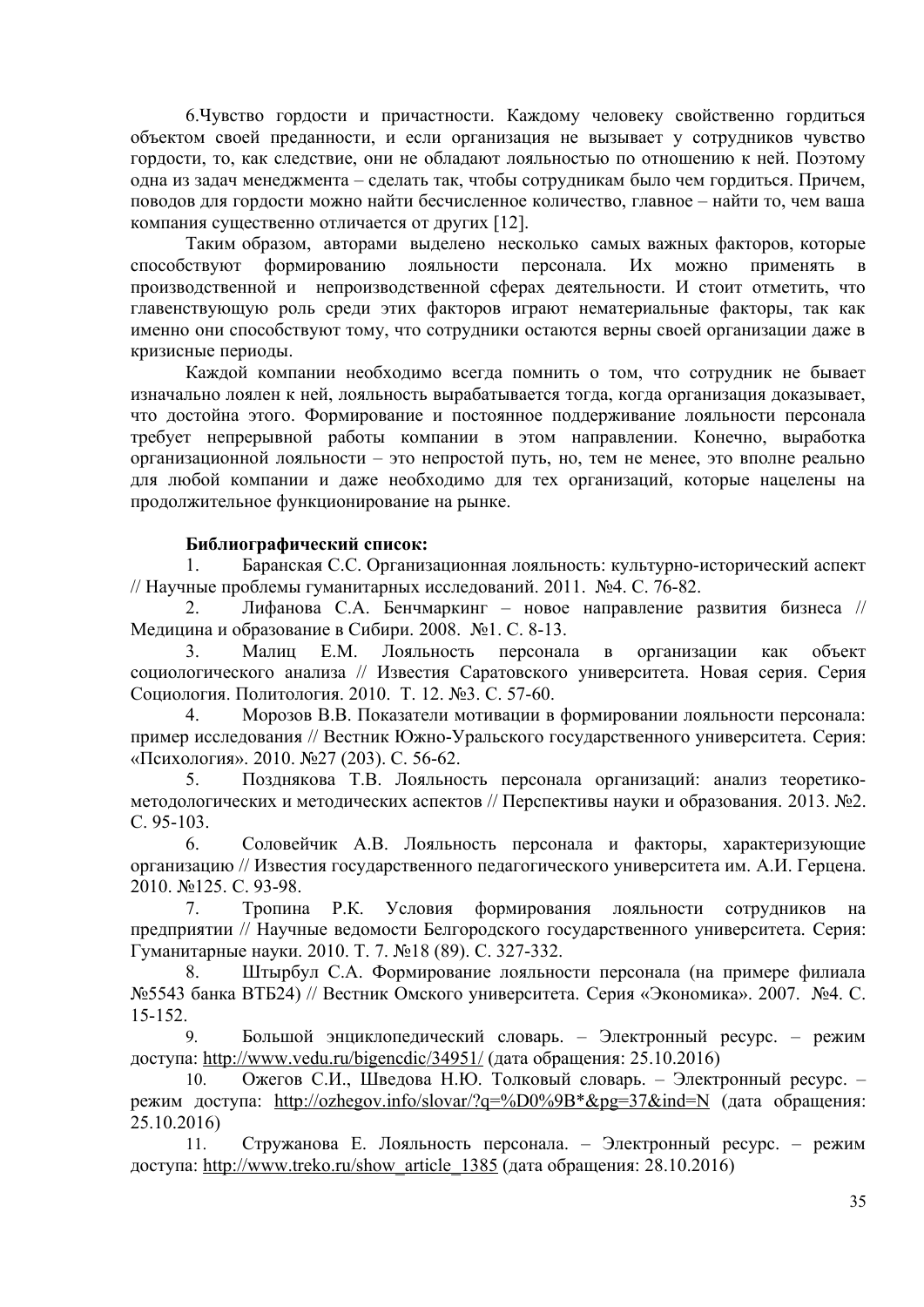6. Чувство гордости и причастности. Каждому человеку свойственно гордиться объектом своей преданности, и если организация не вызывает у сотрудников чувство гордости, то, как следствие, они не обладают лояльностью по отношению к ней. Поэтому одна из задач менеджмента - сделать так, чтобы сотрудникам было чем гордиться. Причем, поводов для гордости можно найти бесчисленное количество, главное - найти то, чем ваша компания существенно отличается от других [12].

Таким образом, авторами выделено несколько самых важных факторов, которые способствуют формированию лояльности персонала. Их можно применять в производственной и непроизводственной сферах деятельности. И стоит отметить, что главенствующую роль среди этих факторов играют нематериальные факторы, так как именно они способствуют тому, что сотрудники остаются верны своей организации даже в кризисные периоды.

Каждой компании необходимо всегда помнить о том, что сотрудник не бывает изначально лоялен к ней, лояльность вырабатывается тогда, когда организация доказывает, что достойна этого. Формирование и постоянное поддерживание лояльности персонала требует непрерывной работы компании в этом направлении. Конечно, выработка организационной лояльности - это непростой путь, но, тем не менее, это вполне реально для любой компании и даже необходимо для тех организаций, которые нацелены на продолжительное функционирование на рынке.

### Библиографический список:

Баранская С.С. Организационная лояльность: культурно-исторический аспект  $\mathbf{1}$ . // Научные проблемы гуманитарных исследований. 2011. №4. С. 76-82.

Лифанова С.А. Бенчмаркинг - новое направление развития бизнеса //  $\overline{2}$ Медицина и образование в Сибири. 2008. №1. С. 8-13.

 $3<sub>1</sub>$ Малиц Е.М. Лояльность персонала в организации как объект социологического анализа // Известия Саратовского университета. Новая серия. Серия Социология. Политология. 2010. Т. 12. №3. С. 57-60.

 $\overline{4}$ Морозов В.В. Показатели мотивации в формировании лояльности персонала: пример исследования // Вестник Южно-Уральского государственного университета. Серия: «Психология». 2010. №27 (203). С. 56-62.

 $5<sub>1</sub>$ Позднякова Т.В. Лояльность персонала организаций: анализ теоретикометодологических и методических аспектов // Перспективы науки и образования. 2013. №2.  $C. 95-103.$ 

Соловейчик А.В. Лояльность персонала и факторы, характеризующие 6 организацию // Известия государственного педагогического университета им. А.И. Герцена. 2010. №125. С. 93-98.

 $7.$ Тропина Р.К. Условия формирования лояльности сотрудников на предприятии // Научные ведомости Белгородского государственного университета. Серия: Гуманитарные науки. 2010. Т. 7. №18 (89). С. 327-332.

Штырбул С.А. Формирование лояльности персонала (на примере филиала 8. №5543 банка ВТБ24) // Вестник Омского университета. Серия «Экономика». 2007. №4. С.  $15 - 152$ 

Большой энциклопедический словарь. - Электронный ресурс. - режим 9. доступа: http://www.yedu.ru/bigencdic/34951/ (дата обращения: 25.10.2016)

Ожегов С.И., Шведова Н.Ю. Толковый словарь. - Электронный ресурс. -10. режим доступа: http://ozhegov.info/slovar/?q=%D0%9B\*&pg=37&ind=N (дата обращения:  $25.10.2016$ 

Стружанова Е. Лояльность персонала. - Электронный ресурс. - режим 11. доступа: http://www.treko.ru/show\_article\_1385 (дата обращения: 28.10.2016)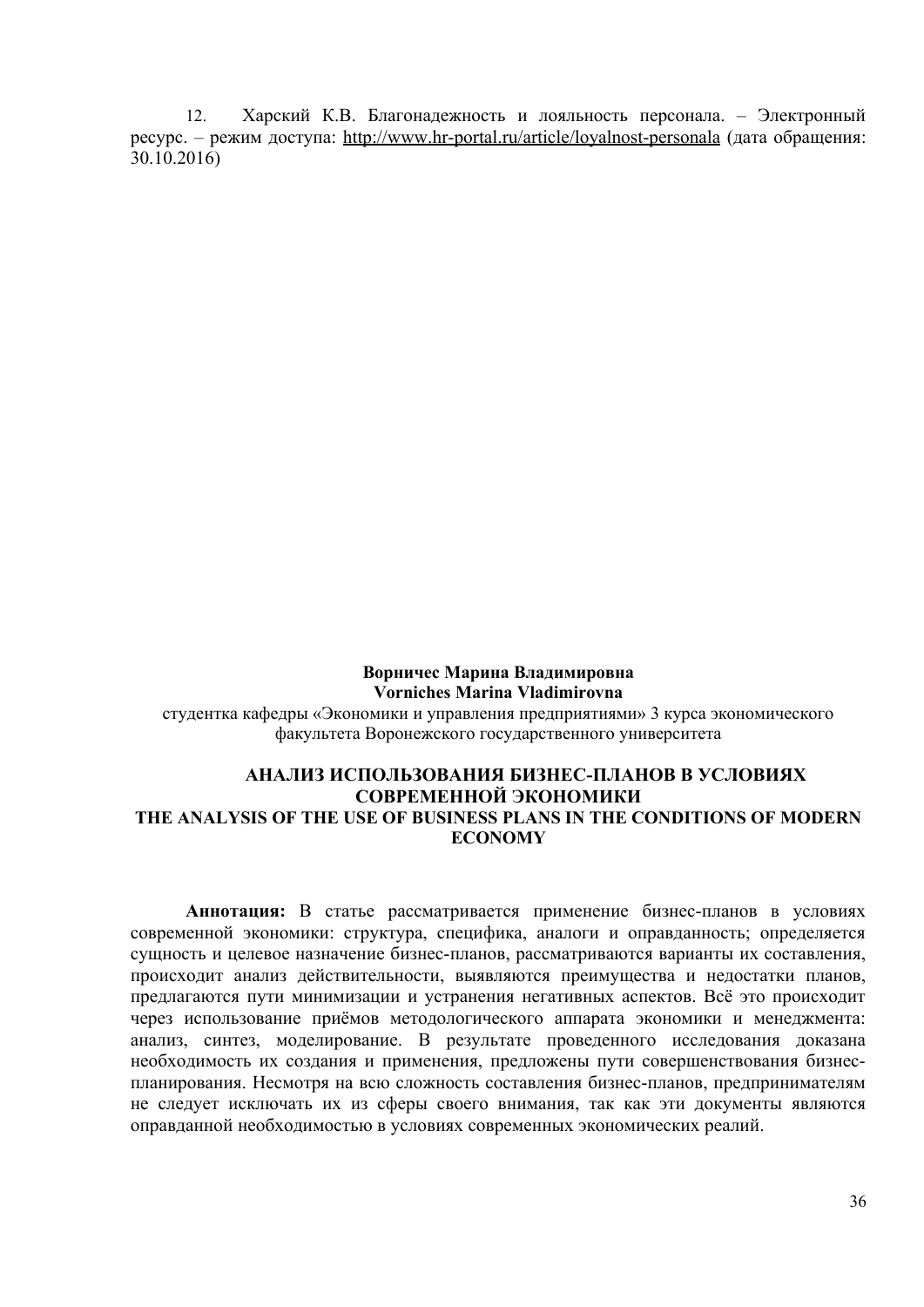12. Харский К.В. Благонадежность и лояльность персонала. – Электронный ресурс. – режим доступа: http://www.hr-portal.ru/article/loyalnost-personala (дата обращения: 30.10.2016)

**Ворничес Марина Владимировна Vorniches Marina Vladimirovna** студентка кафедры «Экономики и управления предприятиями» 3 курса экономического факультета Воронежского государственного университета

# **АНАЛИЗ ИСПОЛЬЗОВАНИЯ БИЗНЕС-ПЛАНОВ В УСЛОВИЯХ СОВРЕМЕННОЙ ЭКОНОМИКИ THE ANALYSIS OF THE USE OF BUSINESS PLANS IN THE CONDITIONS OF MODERN ECONOMY**

**Аннотация:** В статье рассматривается применение бизнес-планов в условиях современной экономики: структура, специфика, аналоги и оправданность; определяется сущность и целевое назначение бизнес-планов, рассматриваются варианты их составления, происходит анализ действительности, выявляются преимущества и недостатки планов, предлагаются пути минимизации и устранения негативных аспектов. Всё это происходит через использование приёмов методологического аппарата экономики и менеджмента: анализ, синтез, моделирование. В результате проведенного исследования доказана необходимость их создания и применения, предложены пути совершенствования бизнеспланирования. Несмотря на всю сложность составления бизнес-планов, предпринимателям не следует исключать их из сферы своего внимания, так как эти документы являются оправданной необходимостью в условиях современных экономических реалий.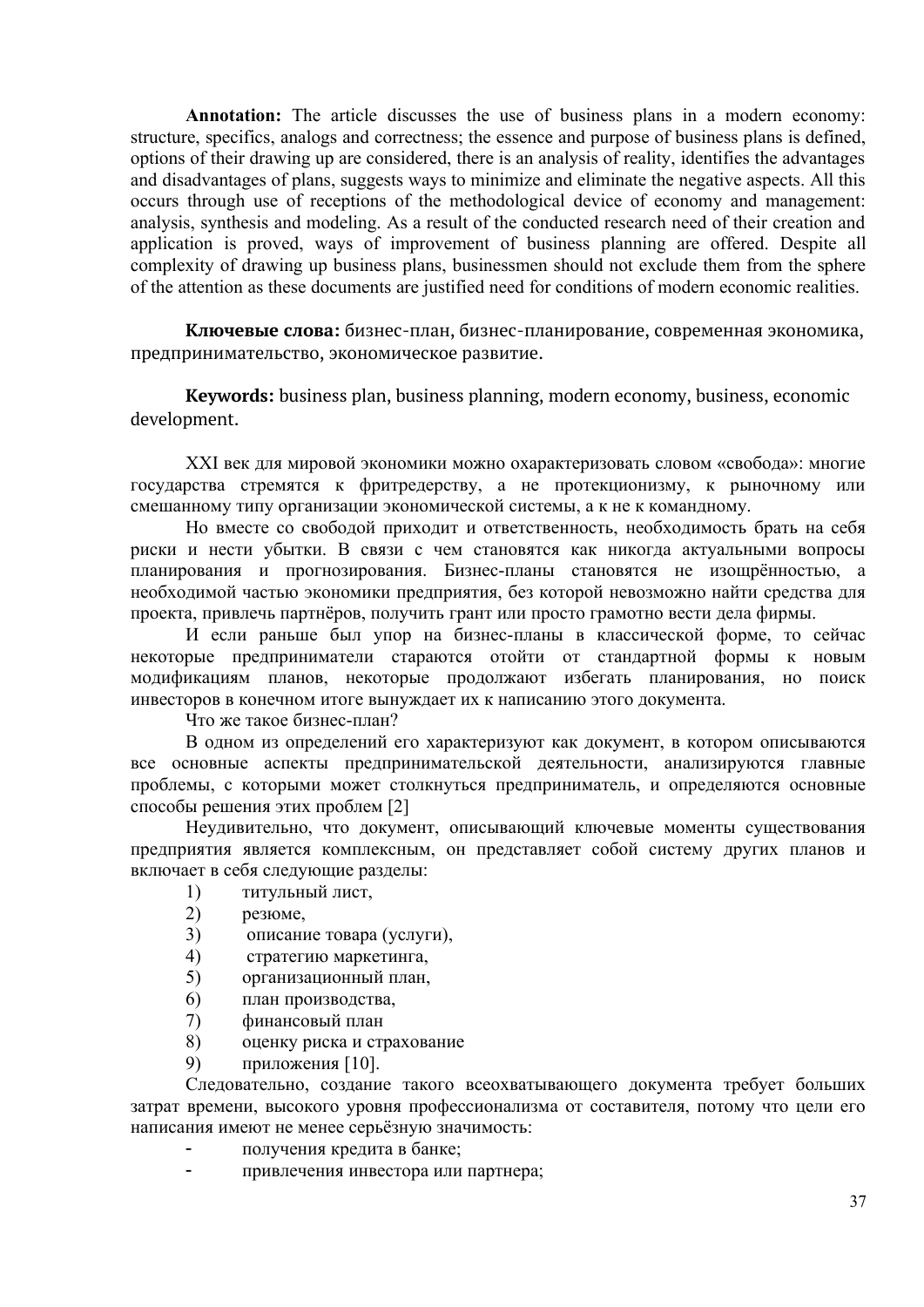**Annotation:** The article discusses the use of business plans in a modern economy: structure, specifics, analogs and correctness; the essence and purpose of business plans is defined, options of their drawing up are considered, there is an analysis of reality, identifies the advantages and disadvantages of plans, suggests ways to minimize and eliminate the negative aspects. All this occurs through use of receptions of the methodological device of economy and management: analysis, synthesis and modeling. As a result of the conducted research need of their creation and application is proved, ways of improvement of business planning are offered. Despite all complexity of drawing up business plans, businessmen should not exclude them from the sphere of the attention as these documents are justified need for conditions of modern economic realities.

**Ключевые слова:** бизнес-план, бизнес-планирование, современная экономика, предпринимательство, экономическое развитие.

**Keywords:** business plan, business planning, modern economy, business, economic development.

XXI век для мировой экономики можно охарактеризовать словом «свобода»: многие государства стремятся к фритредерству, а не протекционизму, к рыночному или смешанному типу организации экономической системы, а к не к командному.

Но вместе со свободой приходит и ответственность, необходимость брать на себя риски и нести убытки. В связи с чем становятся как никогда актуальными вопросы планирования и прогнозирования. Бизнес-планы становятся не изощрённостью, а необходимой частью экономики предприятия, без которой невозможно найти средства для проекта, привлечь партнёров, получить грант или просто грамотно вести дела фирмы.

И если раньше был упор на бизнес-планы в классической форме, то сейчас некоторые предприниматели стараются отойти от стандартной формы к новым модификациям планов, некоторые продолжают избегать планирования, но поиск инвесторов в конечном итоге вынуждает их к написанию этого документа.

Что же такое бизнес-план?

В одном из определений его характеризуют как документ, в котором описываются все основные аспекты предпринимательской деятельности, анализируются главные проблемы, с которыми может столкнуться предприниматель, и определяются основные способы решения этих проблем [2]

Неудивительно, что документ, описывающий ключевые моменты существования предприятия является комплексным, он представляет собой систему других планов и включает в себя следующие разделы:

- 1) титульный лист,
- 2) резюме,
- 3) описание товара (услуги),
- 4) стратегию маркетинга,
- 5) организационный план,
- 6) план производства,
- 7) финансовый план
- 8) оценку риска и страхование
- 9) приложения [10].

Следовательно, создание такого всеохватывающего документа требует больших затрат времени, высокого уровня профессионализма от составителя, потому что цели его написания имеют не менее серьёзную значимость:

- получения кредита в банке;
- привлечения инвестора или партнера;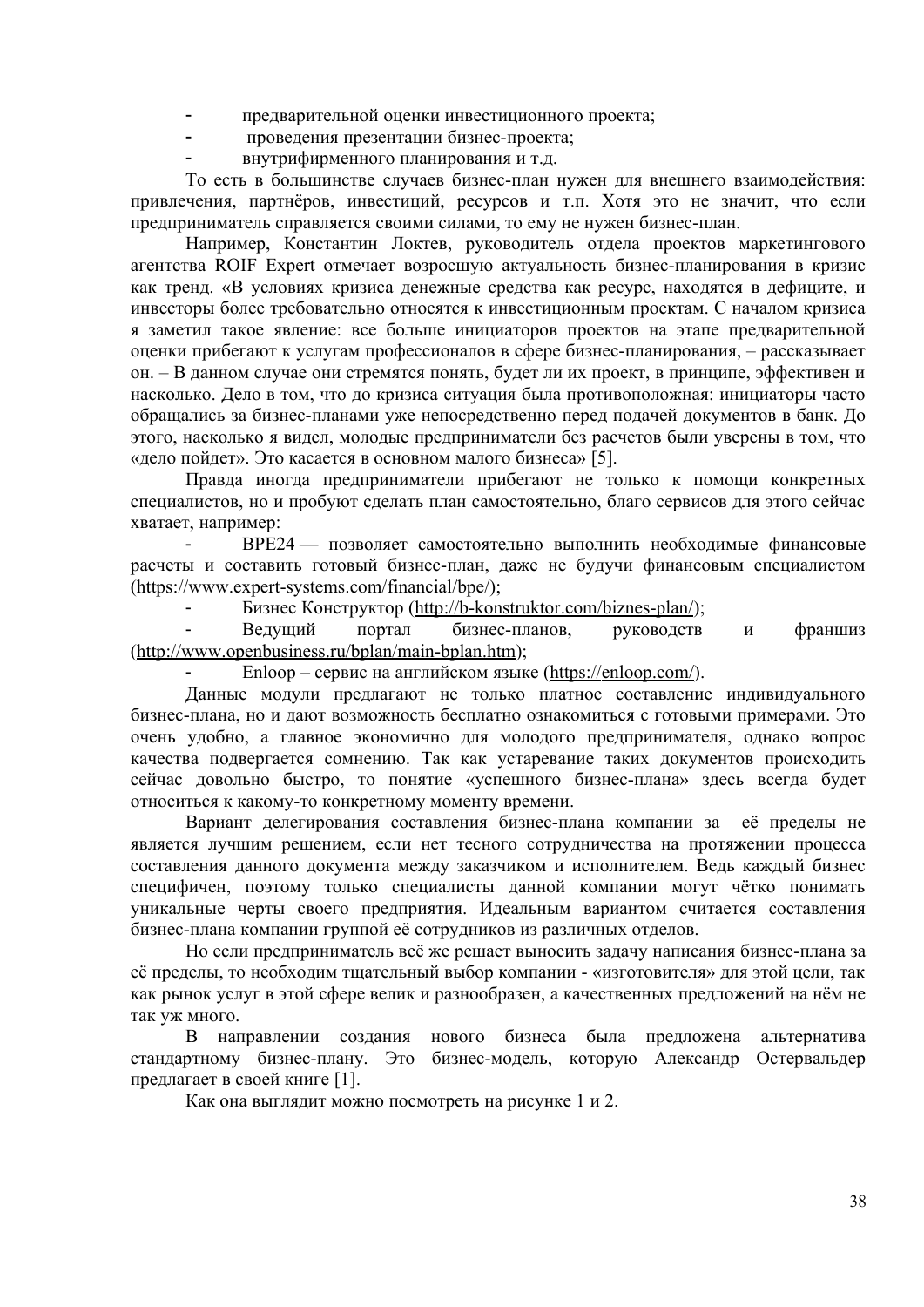- предварительной оценки инвестиционного проекта;
- проведения презентации бизнес-проекта;
- внутрифирменного планирования и т.д.

То есть в большинстве случаев бизнес-план нужен для внешнего взаимодействия: привлечения, партнёров, инвестиций, ресурсов и т.п. Хотя это не значит, что если предприниматель справляется своими силами, то ему не нужен бизнес-план.

Например, Константин Локтев, руководитель отдела проектов маркетингового агентства ROIF Expert отмечает возросшую актуальность бизнес-планирования в кризис как тренд. «В условиях кризиса денежные средства как ресурс, находятся в дефиците, и инвесторы более требовательно относятся к инвестиционным проектам. С началом кризиса я заметил такое явление: все больше инициаторов проектов на этапе предварительной оценки прибегают к услугам профессионалов в сфере бизнес-планирования, – рассказывает он. – В данном случае они стремятся понять, будет ли их проект, в принципе, эффективен и насколько. Дело в том, что до кризиса ситуация была противоположная: инициаторы часто обращались за бизнес-планами уже непосредственно перед подачей документов в банк. До этого, насколько я видел, молодые предприниматели без расчетов были уверены в том, что «дело пойдет». Это касается в основном малого бизнеса» [5].

Правда иногда предприниматели прибегают не только к помощи конкретных специалистов, но и пробуют сделать план самостоятельно, благо сервисов для этого сейчас хватает, например:

 [BPE 24](http://bpe24.ru/) — позволяет самостоятельно выполнить необходимые финансовые расчеты и составить готовый бизнес-план, даже не будучи финансовым специалистом (https://www.expert-systems.com/financial/bpe/);

Бизнес Конструктор [\( http :// b - konstruktor. com / biznes - plan /\)](http://b-konstruktor.com/biznes-plan/);

 Ведущий портал бизнес-планов, руководств и франшиз (http://www.openbusiness.ru/bplan/main-bplan.htm);

Enloop – сервис на английском языке (https://enloop.com/).

Данные модули предлагают не только платное составление индивидуального бизнес-плана, но и дают возможность бесплатно ознакомиться с готовыми примерами. Это очень удобно, а главное экономично для молодого предпринимателя, однако вопрос качества подвергается сомнению. Так как устаревание таких документов происходить сейчас довольно быстро, то понятие «успешного бизнес-плана» здесь всегда будет относиться к какому-то конкретному моменту времени.

Вариант делегирования составления бизнес-плана компании за её пределы не является лучшим решением, если нет тесного сотрудничества на протяжении процесса составления данного документа между заказчиком и исполнителем. Ведь каждый бизнес специфичен, поэтому только специалисты данной компании могут чётко понимать уникальные черты своего предприятия. Идеальным вариантом считается составления бизнес-плана компании группой её сотрудников из различных отделов.

Но если предприниматель всё же решает выносить задачу написания бизнес-плана за её пределы, то необходим тщательный выбор компании - «изготовителя» для этой цели, так как рынок услуг в этой сфере велик и разнообразен, а качественных предложений на нём не так уж много.

В направлении создания нового бизнеса была предложена альтернатива стандартному бизнес-плану. Это бизнес-модель, которую Александр Остервальдер предлагает в своей книге [1].

Как она выглядит можно посмотреть на рисунке 1 и 2.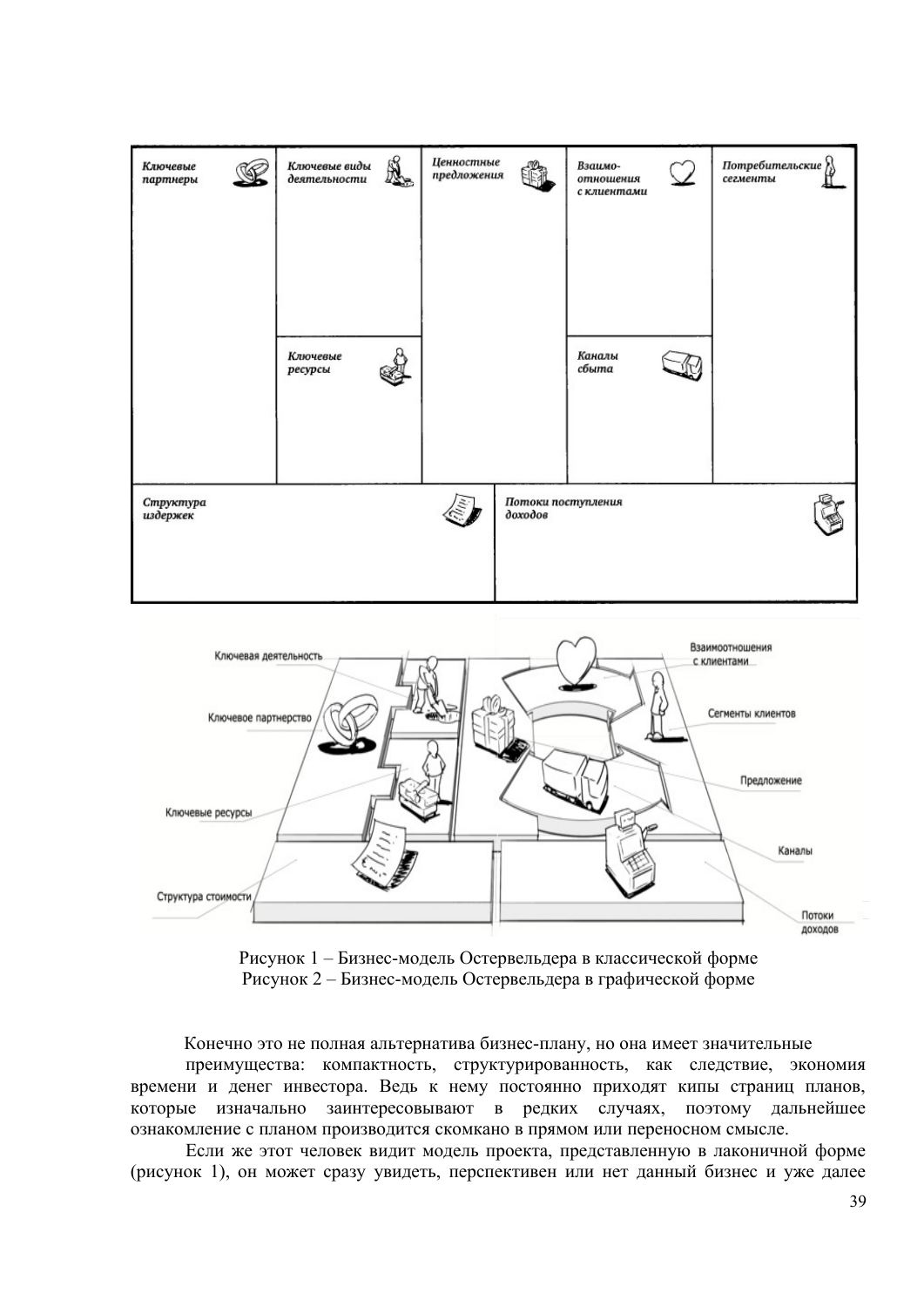



Рисунок 1 – Бизнес-модель Остервельдера в классической форме Рисунок 2 – Бизнес-модель Остервельдера в графической форме

Конечно это не полная альтернатива бизнес-плану, но она имеет значительные

преимущества: компактность, структурированность, как следствие, экономия времени и денег инвестора. Ведь к нему постоянно приходят кипы страниц планов, которые изначально заинтересовывают в редких случаях, поэтому дальнейшее ознакомление с планом производится скомкано в прямом или переносном смысле.

Если же этот человек видит модель проекта, представленную в лаконичной форме (рисунок 1), он может сразу увидеть, перспективен или нет данный бизнес и уже далее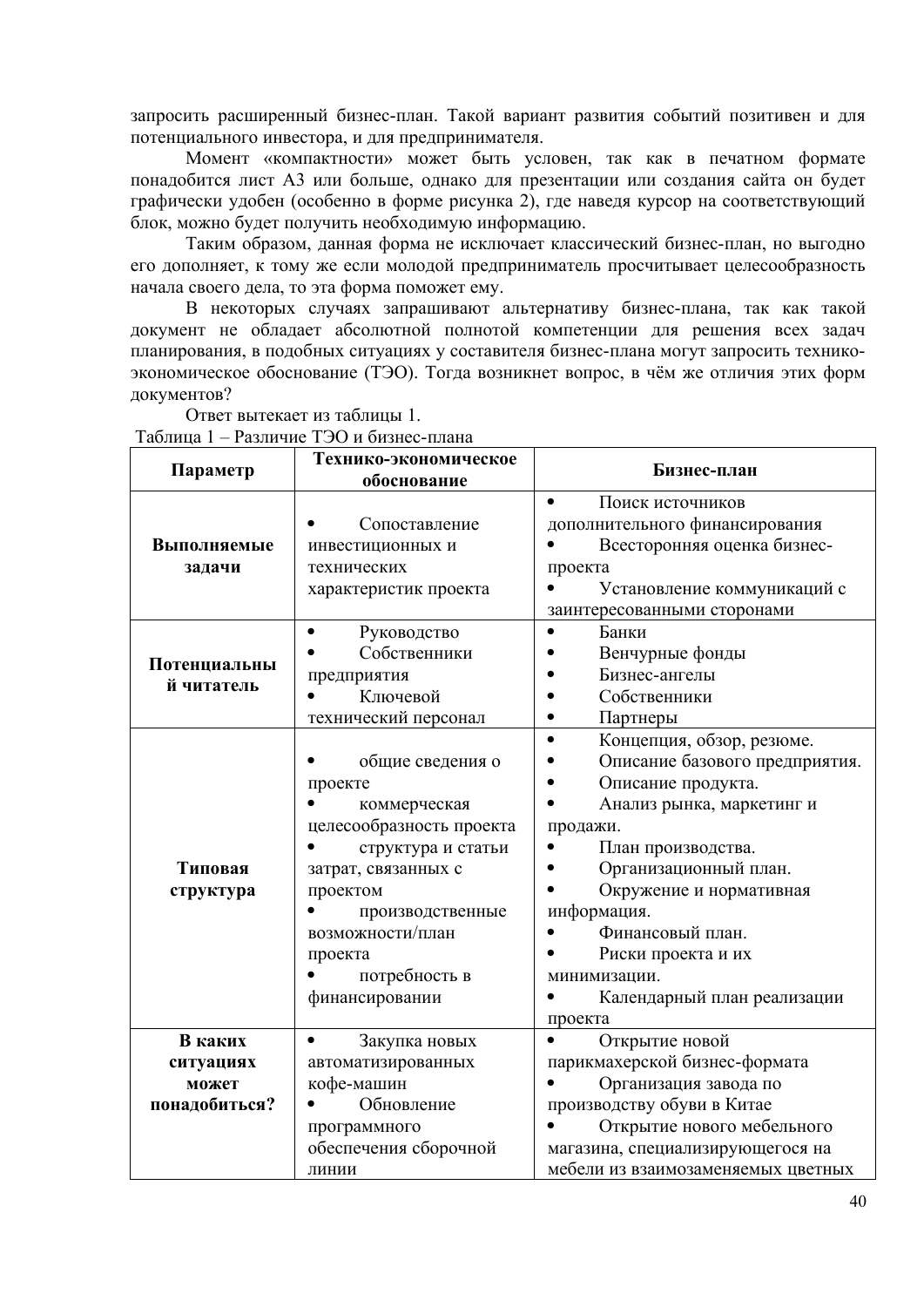запросить расширенный бизнес-план. Такой вариант развития событий позитивен и для потенциального инвестора, и для предпринимателя.

Момент «компактности» может быть условен, так как в печатном формате понадобится лист А3 или больше, однако для презентации или создания сайта он будет графически удобен (особенно в форме рисунка 2), где наведя курсор на соответствующий блок, можно будет получить необходимую информацию.

Таким образом, данная форма не исключает классический бизнес-план, но выгодно его дополняет, к тому же если молодой предприниматель просчитывает целесообразность начала своего дела, то эта форма поможет ему.

В некоторых случаях запрашивают альтернативу бизнес-плана, так как такой документ не обладает абсолютной полнотой компетенции для решения всех задач планирования, в подобных ситуациях у составителя бизнес-плана могут запросить техникоэкономическое обоснование (ТЭО). Тогда возникнет вопрос, в чём же отличия этих форм документов?

**Параметр Технико-экономическое обоснование Бизнес-план Выполняемые задачи** Сопоставление инвестиционных и технических характеристик проекта Поиск источников дополнительного финансирования Всесторонняя оценка бизнеспроекта Установление коммуникаций с заинтересованными сторонами **Потенциальны й читатель** Руководство Собственники предприятия Ключевой технический персонал Банки Венчурные фонды Бизнес-ангелы • Собственники Партнеры **Типовая структура** общие сведения о проекте коммерческая целесообразность проекта структура и статьи затрат, связанных с проектом производственные возможности/план проекта потребность в финансировании Концепция, обзор, резюме. Описание базового предприятия. Описание продукта. Анализ рынка, маркетинг и продажи. План производства. Организационный план. Окружение и нормативная информация. Финансовый план. • Риски проекта и их минимизации. Календарный план реализации проекта **В каких ситуациях может понадобиться?** Закупка новых автоматизированных кофе-машин Обновление программного обеспечения сборочной линии Открытие новой парикмахерской бизнес-формата Организация завода по производству обуви в Китае Открытие нового мебельного магазина, специализирующегося на мебели из взаимозаменяемых цветных

Ответ вытекает из таблицы 1.

Таблица 1 – Различие ТЭО и бизнес-плана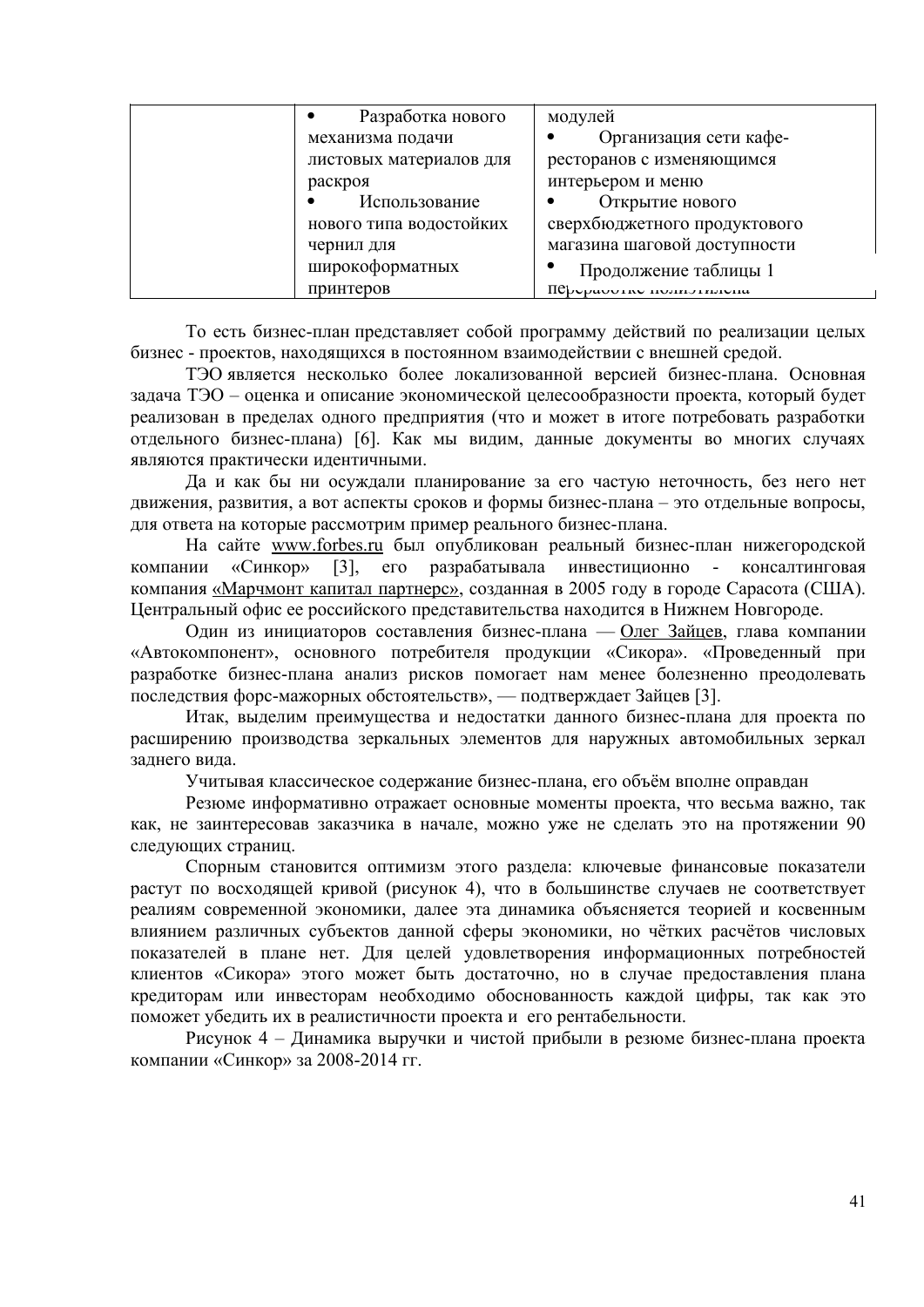| Разработка нового       | модулей                      |
|-------------------------|------------------------------|
| механизма подачи        | Организация сети кафе-       |
| листовых материалов для | ресторанов с изменяющимся    |
| раскроя                 | интерьером и меню            |
| Использование           | Открытие нового              |
| нового типа водостойких | сверхбюджетного продуктового |
| чернил для              | магазина шаговой доступности |
| широкоформатных         | Продолжение таблицы 1        |
| принтеров               | $\text{IP}$                  |

То есть бизнес-план представляет собой программу действий по реализации целых бизнес - проектов, находящихся в постоянном взаимодействии с внешней средой.

ТЭО является несколько более локализованной версией бизнес-плана. Основная задача ТЭО – оценка и описание экономической целесообразности проекта, который будет реализован в пределах одного предприятия (что и может в итоге потребовать разработки отдельного бизнес-плана) [6]. Как мы видим, данные документы во многих случаях являются практически идентичными.

Да и как бы ни осуждали планирование за его частую неточность, без него нет движения, развития, а вот аспекты сроков и формы бизнес-плана – это отдельные вопросы, для ответа на которые рассмотрим пример реального бизнес-плана.

На сайте www.forbes.ru был опубликован реальный бизнес-план нижегородской компании «Синкор» [3], его разрабатывала инвестиционно - консалтинговая компания [«Марчмонт капитал партнерс»,](http://www.marchmont.ru/consulting/) созданная в 2005 году в городе Сарасота (США). Центральный офис ее российского представительства находится в Нижнем Новгороде.

Один из инициаторов составления бизнес-плана — [Олег Зайцев,](http://www.forbesrussia.ru/forbes/issue/2008-11/7198-nedokomplekt) глава компании «Автокомпонент», основного потребителя продукции «Сикора». «Проведенный при разработке бизнес-плана анализ рисков помогает нам менее болезненно преодолевать последствия форс-мажорных обстоятельств», — подтверждает Зайцев [3].

Итак, выделим преимущества и недостатки данного бизнес-плана для проекта по расширению производства зеркальных элементов для наружных автомобильных зеркал заднего вида.

Учитывая классическое содержание бизнес-плана, его объём вполне оправдан

Резюме информативно отражает основные моменты проекта, что весьма важно, так как, не заинтересовав заказчика в начале, можно уже не сделать это на протяжении 90 следующих страниц.

Спорным становится оптимизм этого раздела: ключевые финансовые показатели растут по восходящей кривой (рисунок 4), что в большинстве случаев не соответствует реалиям современной экономики, далее эта динамика объясняется теорией и косвенным влиянием различных субъектов данной сферы экономики, но чётких расчётов числовых показателей в плане нет. Для целей удовлетворения информационных потребностей клиентов «Сикора» этого может быть достаточно, но в случае предоставления плана кредиторам или инвесторам необходимо обоснованность каждой цифры, так как это поможет убедить их в реалистичности проекта и его рентабельности.

Рисунок 4 – Динамика выручки и чистой прибыли в резюме бизнес-плана проекта компании «Синкор» за 2008-2014 гг.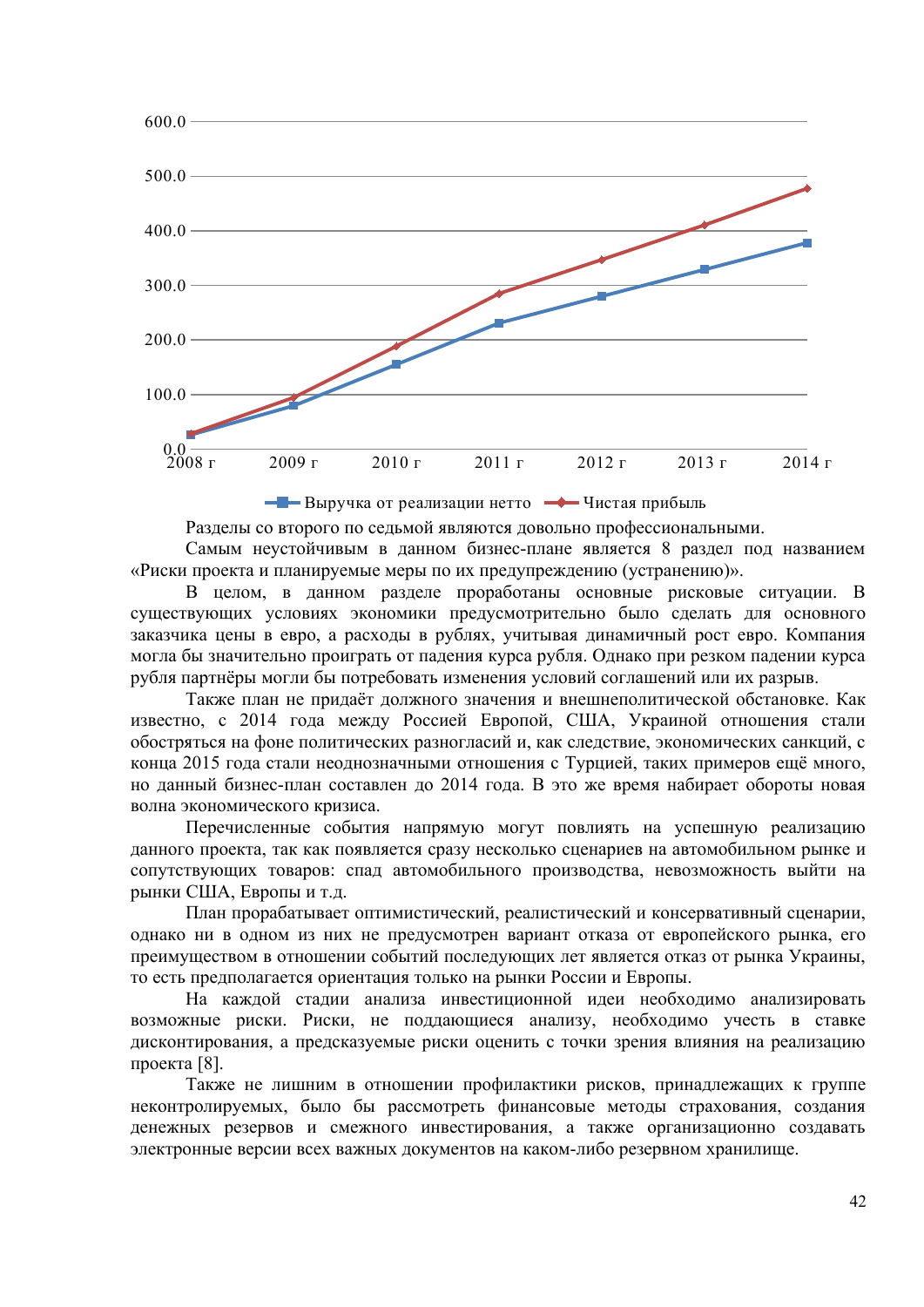

Выручка от реализации нетто Чистая прибыль

Разделы со второго по седьмой являются довольно профессиональными.

Самым неустойчивым в данном бизнес-плане является 8 раздел под названием «Риски проекта и планируемые меры по их предупреждению (устранению)».

В целом, в данном разделе проработаны основные рисковые ситуации. В существующих условиях экономики предусмотрительно было сделать для основного заказчика цены в евро, а расходы в рублях, учитывая динамичный рост евро. Компания могла бы значительно проиграть от падения курса рубля. Однако при резком падении курса рубля партнёры могли бы потребовать изменения условий соглашений или их разрыв.

Также план не придаёт должного значения и внешнеполитической обстановке. Как известно, с 2014 года между Россией Европой, США, Украиной отношения стали обостряться на фоне политических разногласий и, как следствие, экономических санкций, с конца 2015 года стали неоднозначными отношения с Турцией, таких примеров ещё много, но данный бизнес-план составлен до 2014 года. В это же время набирает обороты новая волна экономического кризиса.

Перечисленные события напрямую могут повлиять на успешную реализацию данного проекта, так как появляется сразу несколько сценариев на автомобильном рынке и сопутствующих товаров: спад автомобильного производства, невозможность выйти на рынки США, Европы и т.д.

План прорабатывает оптимистический, реалистический и консервативный сценарии, однако ни в одном из них не предусмотрен вариант отказа от европейского рынка, его преимуществом в отношении событий последующих лет является отказ от рынка Украины, то есть предполагается ориентация только на рынки России и Европы.

На каждой стадии анализа инвестиционной идеи необходимо анализировать возможные риски. Риски, не поддающиеся анализу, необходимо учесть в ставке дисконтирования, а предсказуемые риски оценить с точки зрения влияния на реализацию проекта [8].

Также не лишним в отношении профилактики рисков, принадлежащих к группе неконтролируемых, было бы рассмотреть финансовые методы страхования, создания денежных резервов и смежного инвестирования, а также организационно создавать электронные версии всех важных документов на каком-либо резервном хранилище.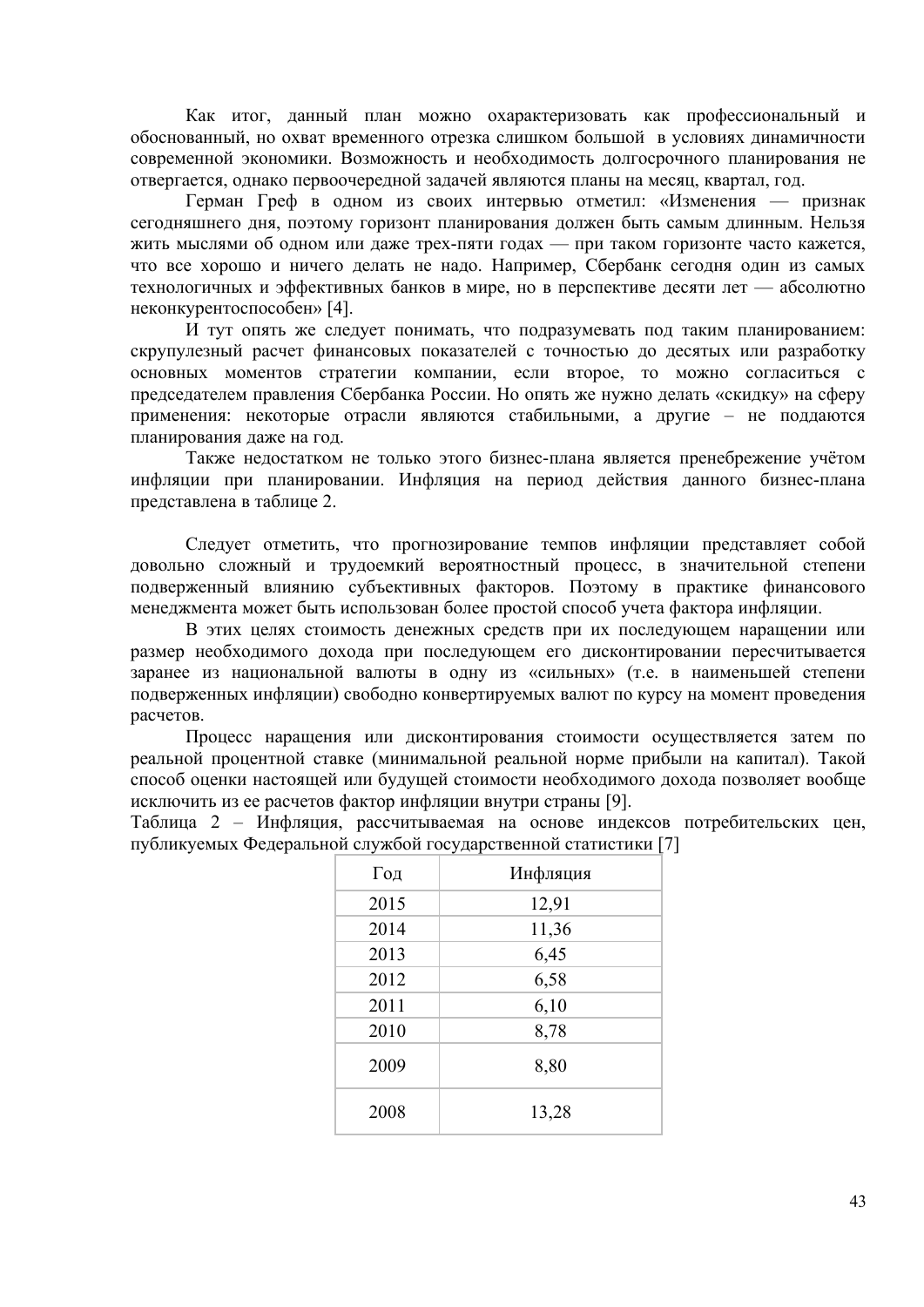Как итог, данный план можно охарактеризовать как профессиональный и обоснованный, но охват временного отрезка слишком большой в условиях динамичности современной экономики. Возможность и необходимость долгосрочного планирования не отвергается, однако первоочередной задачей являются планы на месяц, квартал, год.

Герман Греф в одном из своих интервью отметил: «Изменения — признак сегодняшнего дня, поэтому горизонт планирования должен быть самым длинным. Нельзя жить мыслями об одном или даже трех-пяти годах — при таком горизонте часто кажется, что все хорошо и ничего делать не надо. Например, Сбербанк сегодня один из самых технологичных и эффективных банков в мире, но в перспективе десяти лет — абсолютно неконкурентоспособен» [4].

И тут опять же следует понимать, что подразумевать под таким планированием: скрупулезный расчет финансовых показателей с точностью до десятых или разработку основных моментов стратегии компании, если второе, то можно согласиться с председателем правления Сбербанка России. Но опять же нужно делать «скидку» на сферу применения: некоторые отрасли являются стабильными, а другие - не поддаются планирования даже на год.

Также недостатком не только этого бизнес-плана является пренебрежение учётом инфляции при планировании. Инфляция на период действия данного бизнес-плана представлена в таблице 2.

Следует отметить, что прогнозирование темпов инфляции представляет собой довольно сложный и трудоемкий вероятностный процесс, в значительной степени подверженный влиянию субъективных факторов. Поэтому в практике финансового менеджмента может быть использован более простой способ учета фактора инфляции.

В этих целях стоимость денежных средств при их последующем наращении или размер необходимого дохода при последующем его дисконтировании пересчитывается заранее из национальной валюты в одну из «сильных» (т.е. в наименьшей степени подверженных инфляции) свободно конвертируемых валют по курсу на момент проведения расчетов.

Процесс наращения или дисконтирования стоимости осуществляется затем по реальной процентной ставке (минимальной реальной норме прибыли на капитал). Такой способ оценки настоящей или будущей стоимости необходимого дохода позволяет вообще исключить из ее расчетов фактор инфляции внутри страны [9].

Таблица 2 - Инфляция, рассчитываемая на основе индексов потребительских цен, публикуемых Федеральной службой государственной статистики [7]

| Год  | Инфляция |
|------|----------|
| 2015 | 12,91    |
| 2014 | 11,36    |
| 2013 | 6,45     |
| 2012 | 6,58     |
| 2011 | 6,10     |
| 2010 | 8,78     |
| 2009 | 8,80     |
| 2008 | 13,28    |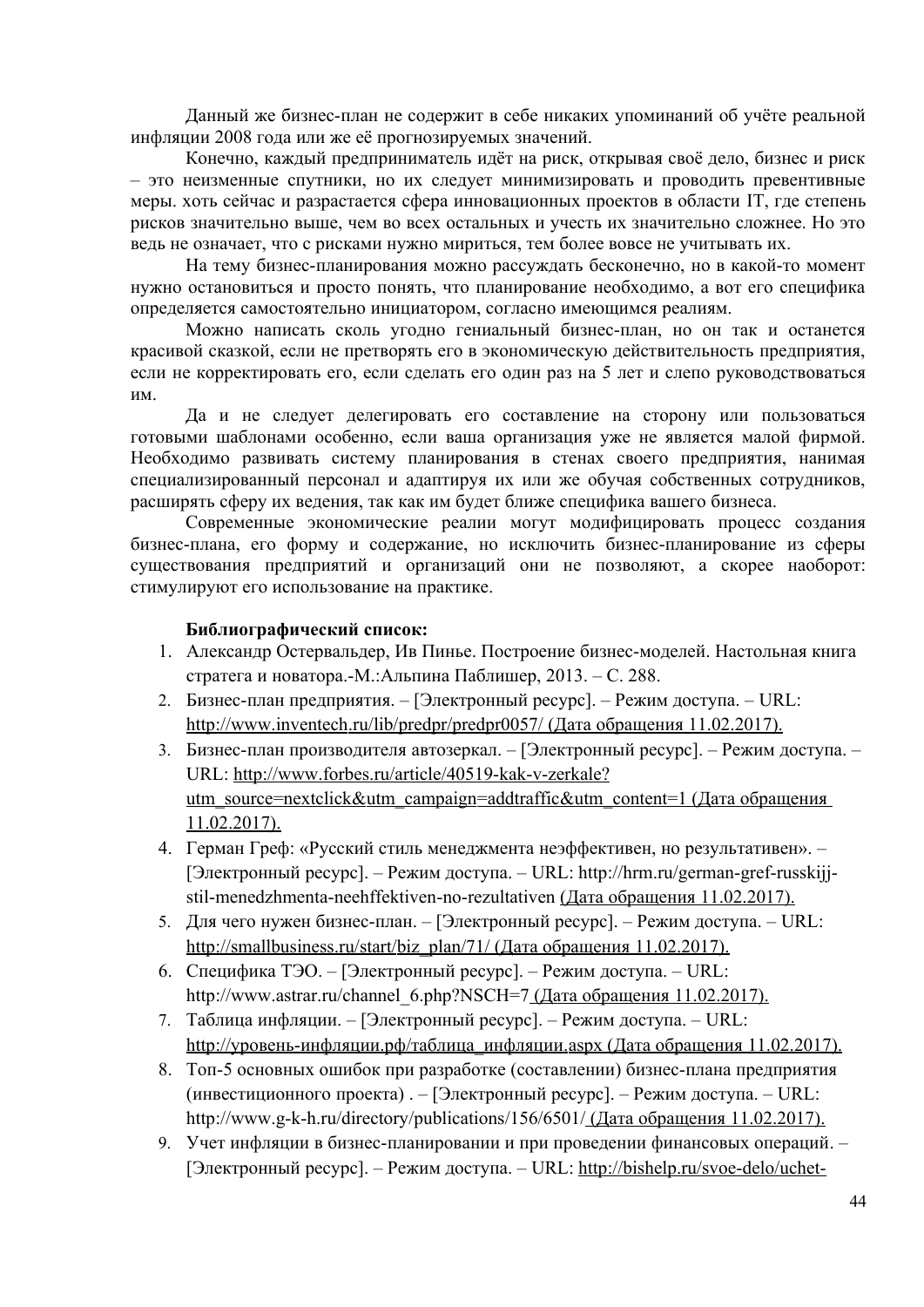Данный же бизнес-план не содержит в себе никаких упоминаний об учёте реальной инфляции 2008 года или же её прогнозируемых значений.

Конечно, каждый предприниматель идёт на риск, открывая своё дело, бизнес и риск – это неизменные спутники, но их следует минимизировать и проводить превентивные меры. хоть сейчас и разрастается сфера инновационных проектов в области IT, где степень рисков значительно выше, чем во всех остальных и учесть их значительно сложнее. Но это ведь не означает, что с рисками нужно мириться, тем более вовсе не учитывать их.

На тему бизнес-планирования можно рассуждать бесконечно, но в какой-то момент нужно остановиться и просто понять, что планирование необходимо, а вот его специфика определяется самостоятельно инициатором, согласно имеющимся реалиям.

Можно написать сколь угодно гениальный бизнес-план, но он так и останется красивой сказкой, если не претворять его в экономическую действительность предприятия, если не корректировать его, если сделать его один раз на 5 лет и слепо руководствоваться им.

Да и не следует делегировать его составление на сторону или пользоваться готовыми шаблонами особенно, если ваша организация уже не является малой фирмой. Необходимо развивать систему планирования в стенах своего предприятия, нанимая специализированный персонал и адаптируя их или же обучая собственных сотрудников, расширять сферу их ведения, так как им будет ближе специфика вашего бизнеса.

Современные экономические реалии могут модифицировать процесс создания бизнес-плана, его форму и содержание, но исключить бизнес-планирование из сферы существования предприятий и организаций они не позволяют, а скорее наоборот: стимулируют его использование на практике.

### **Библиографический список:**

- 1. Александр Остервальдер, Ив Пинье. Построение бизнес-моделей. Настольная книга стратега и новатора.-М.:Альпина Паблишер, 2013. – С. 288.
- 2. Бизнес-план предприятия. [Электронный ресурс]. Режим доступа. URL: http://www.inventech.ru/lib/predpr/predpr0057/ (Дата обращения 11.02.2017).
- 3. Бизнес-план производителя автозеркал. [Электронный ресурс]. Режим доступа. URL: http://www.forbes.ru/article/40519-kak-v-zerkale? utm source=nextclick&utm campaign=addtraffic&utm content =  $1$  (Дата обращения 11.02.2017).
- 4. Герман Греф: «Русский стиль менеджмента неэффективен, но результативен». [Электронный ресурс]. – Режим доступа. – URL: http://hrm.ru/german-gref-russkijjstil-menedzhmenta-neehffektiven-no-rezultativen (Дата обращения 11.02.2017).
- 5. Для чего нужен бизнес-план. [Электронный ресурс]. Режим доступа. URL: http://smallbusiness.ru/start/biz plan/71/ (Дата обращения 11.02.2017).
- 6. Специфика ТЭО. [Электронный ресурс]. Режим доступа. URL: http://www.astrar.ru/channel\_6.php?NSCH=7 (Дата обращения 11.02.2017).
- 7. Таблица инфляции. [Электронный ресурс]. Режим доступа. URL: http://уровень-инфляции.рф/таблица инфляции. aspx (Дата обращения 11.02.2017).
- 8. Топ-5 основных ошибок при разработке (составлении) бизнес-плана предприятия (инвестиционного проекта) . – [Электронный ресурс]. – Режим доступа. – URL: http://www.g-k-h.ru/directory/publications/156/6501/ (Дата обращения 11.02.2017).
- 9. Учет инфляции в бизнес-планировании и при проведении финансовых операций. [Электронный ресурс]. – Режим доступа. – URL: http://bishelp.ru/svoe-delo/uchet-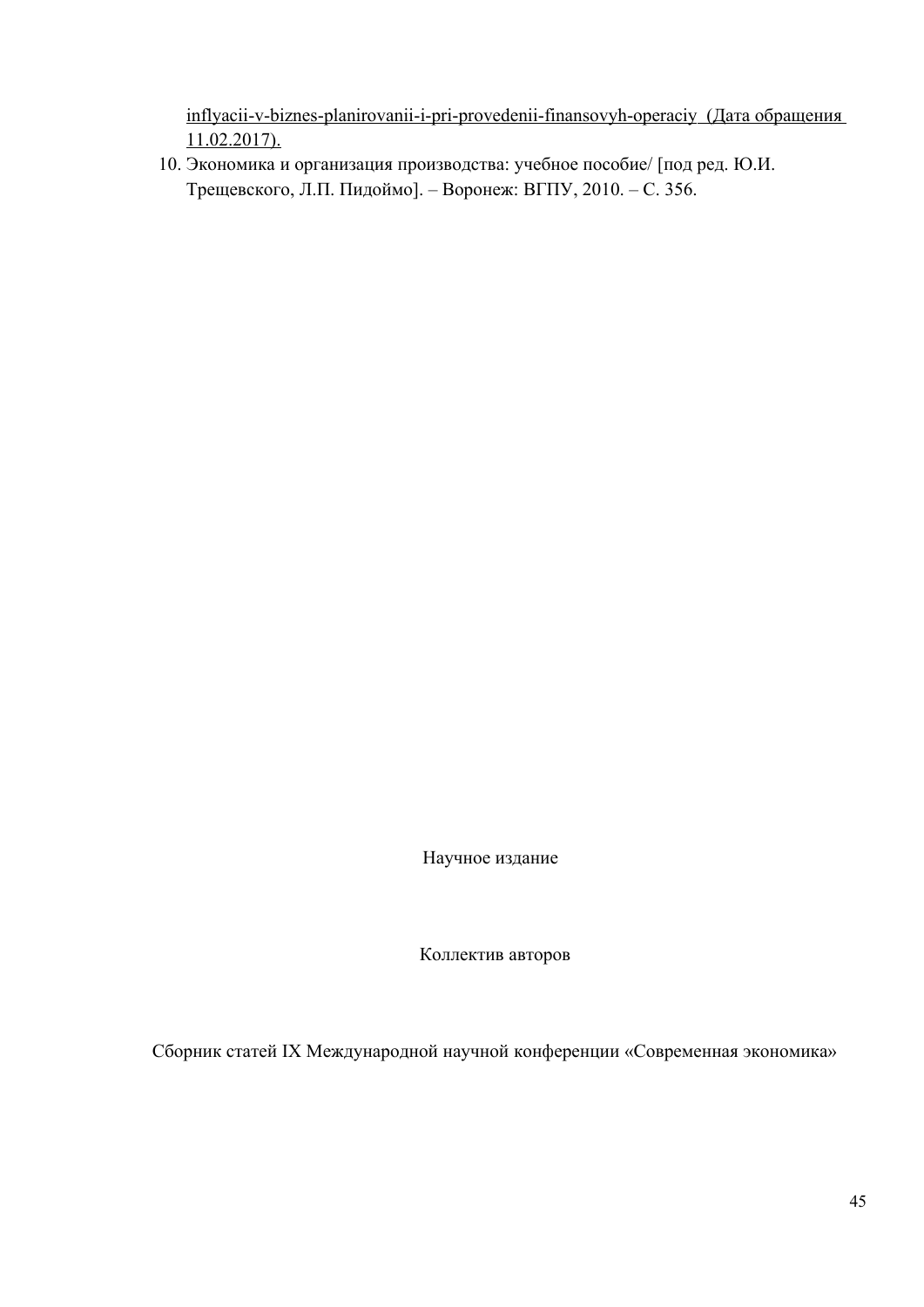inflyacii-v-biznes-planirovanii-i-pri-provedenii-finansovyh-operaciy (Дата обращения 11.02.2017).

10. Экономика и организация производства: учебное пособие/ [под ред. Ю.И. Трещевского, Л.П. Пидоймо]. – Воронеж: ВГПУ, 2010. – С. 356.

Научное издание

Коллектив авторов

Сборник cтатей IX Международной научной конференции «Современная экономика»